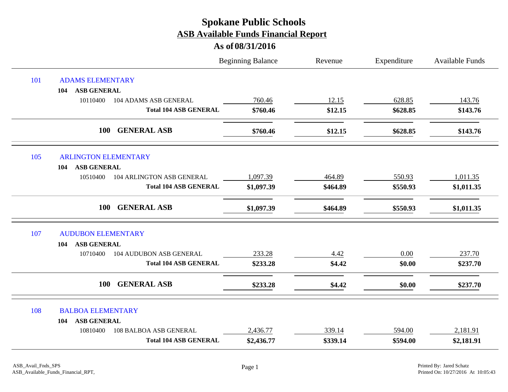|     |                                            | <b>Beginning Balance</b> | Revenue  | Expenditure | <b>Available Funds</b> |
|-----|--------------------------------------------|--------------------------|----------|-------------|------------------------|
| 101 | <b>ADAMS ELEMENTARY</b>                    |                          |          |             |                        |
|     | ASB GENERAL<br>104                         |                          |          |             |                        |
|     | 10110400<br>104 ADAMS ASB GENERAL          | 760.46                   | 12.15    | 628.85      | 143.76                 |
|     | <b>Total 104 ASB GENERAL</b>               | \$760.46                 | \$12.15  | \$628.85    | \$143.76               |
|     | <b>GENERAL ASB</b><br><b>100</b>           | \$760.46                 | \$12.15  | \$628.85    | \$143.76               |
| 105 | <b>ARLINGTON ELEMENTARY</b>                |                          |          |             |                        |
|     | <b>ASB GENERAL</b><br>104                  |                          |          |             |                        |
|     | 10510400<br>104 ARLINGTON ASB GENERAL      | 1,097.39                 | 464.89   | 550.93      | 1,011.35               |
|     | <b>Total 104 ASB GENERAL</b>               | \$1,097.39               | \$464.89 | \$550.93    | \$1,011.35             |
|     | <b>GENERAL ASB</b><br>100                  | \$1,097.39               | \$464.89 | \$550.93    | \$1,011.35             |
| 107 | <b>AUDUBON ELEMENTARY</b>                  |                          |          |             |                        |
|     | <b>ASB GENERAL</b><br>104                  |                          |          |             |                        |
|     | <b>104 AUDUBON ASB GENERAL</b><br>10710400 | 233.28                   | 4.42     | 0.00        | 237.70                 |
|     | <b>Total 104 ASB GENERAL</b>               | \$233.28                 | \$4.42   | \$0.00      | \$237.70               |
|     | <b>GENERAL ASB</b><br>100                  | \$233.28                 | \$4.42   | \$0.00      | \$237.70               |
| 108 | <b>BALBOA ELEMENTARY</b>                   |                          |          |             |                        |
|     | <b>ASB GENERAL</b><br>104                  |                          |          |             |                        |
|     | <b>108 BALBOA ASB GENERAL</b><br>10810400  | 2,436.77                 | 339.14   | 594.00      | 2,181.91               |
|     | <b>Total 104 ASB GENERAL</b>               | \$2,436.77               | \$339.14 | \$594.00    | \$2,181.91             |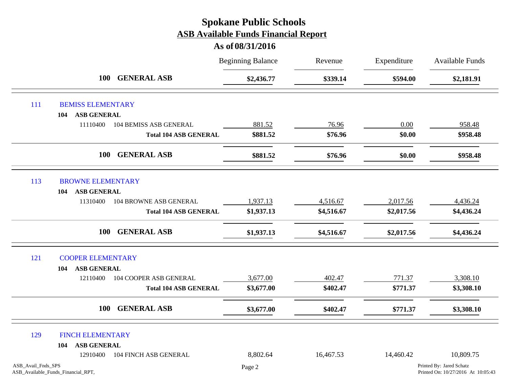|                    |                                    |                               | <b>Beginning Balance</b> | Revenue    | Expenditure | <b>Available Funds</b>                                         |
|--------------------|------------------------------------|-------------------------------|--------------------------|------------|-------------|----------------------------------------------------------------|
|                    | <b>100</b>                         | <b>GENERAL ASB</b>            | \$2,436.77               | \$339.14   | \$594.00    | \$2,181.91                                                     |
| 111                | <b>BEMISS ELEMENTARY</b>           |                               |                          |            |             |                                                                |
|                    | <b>ASB GENERAL</b><br>104          |                               |                          |            |             |                                                                |
|                    | 11110400                           | <b>104 BEMISS ASB GENERAL</b> | 881.52                   | 76.96      | 0.00        | 958.48                                                         |
|                    |                                    | <b>Total 104 ASB GENERAL</b>  | \$881.52                 | \$76.96    | \$0.00      | \$958.48                                                       |
|                    | <b>100</b>                         | <b>GENERAL ASB</b>            | \$881.52                 | \$76.96    | \$0.00      | \$958.48                                                       |
| 113                | <b>BROWNE ELEMENTARY</b>           |                               |                          |            |             |                                                                |
|                    | <b>ASB GENERAL</b><br>104          |                               |                          |            |             |                                                                |
|                    | 11310400                           | 104 BROWNE ASB GENERAL        | 1,937.13                 | 4,516.67   | 2,017.56    | 4,436.24                                                       |
|                    |                                    | <b>Total 104 ASB GENERAL</b>  | \$1,937.13               | \$4,516.67 | \$2,017.56  | \$4,436.24                                                     |
|                    | <b>100</b>                         | <b>GENERAL ASB</b>            | \$1,937.13               | \$4,516.67 | \$2,017.56  | \$4,436.24                                                     |
| 121                | <b>COOPER ELEMENTARY</b>           |                               |                          |            |             |                                                                |
|                    | <b>ASB GENERAL</b><br>104          |                               |                          |            |             |                                                                |
|                    | 12110400                           | 104 COOPER ASB GENERAL        | 3,677.00                 | 402.47     | 771.37      | 3,308.10                                                       |
|                    |                                    | <b>Total 104 ASB GENERAL</b>  | \$3,677.00               | \$402.47   | \$771.37    | \$3,308.10                                                     |
|                    | <b>100</b>                         | <b>GENERAL ASB</b>            | \$3,677.00               | \$402.47   | \$771.37    | \$3,308.10                                                     |
| 129                | <b>FINCH ELEMENTARY</b>            |                               |                          |            |             |                                                                |
|                    | <b>ASB GENERAL</b><br>104          |                               |                          |            |             |                                                                |
|                    | 12910400                           | 104 FINCH ASB GENERAL         | 8,802.64                 | 16,467.53  | 14,460.42   | 10,809.75                                                      |
| ASB_Avail_Fnds_SPS | ASB_Available_Funds_Financial_RPT, |                               | Page 2                   |            |             | Printed By: Jared Schatz<br>Printed On: 10/27/2016 At 10:05:43 |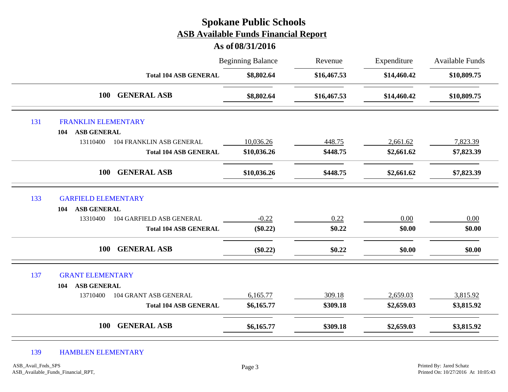# Beginning Balance Revenue Expenditure Available Funds **As of 08/31/2016 Spokane Public Schools ASB Available Funds Financial Report** Revenue **Total 104 ASB GENERAL \$8,802.64 \$16,467.53 \$14,460.42 \$10,809.75 100 GENERAL ASB \$8,802.64 \$16,467.53 \$14,460.42 \$10,809.75** 131 FRANKLIN ELEMENTARY **104 ASB GENERAL** 13110400 104 FRANKLIN ASB GENERAL 10,036.26 448.75 2,661.62 7,823.39 **Total 104 ASB GENERAL \$10,036.26 \$448.75 \$2,661.62 \$7,823.39 100 GENERAL ASB \$10,036.26 \$448.75 \$2,661.62 \$7,823.39** 133 GARFIELD ELEMENTARY **104 ASB GENERAL** 13310400 104 GARFIELD ASB GENERAL  $-0.22$   $0.22$   $0.00$   $0.00$   $0.00$ **Total 104 ASB GENERAL (\$0.22) \$0.22 \$0.00 \$0.00 100 GENERAL ASB (\$0.22) \$0.22 \$0.00 \$0.00** 137 GRANT ELEMENTARY **104 ASB GENERAL** 13710400 104 GRANT ASB GENERAL 6,165.77 309.18 2,659.03 3,815.92 **Total 104 ASB GENERAL \$6,165.77 \$309.18 \$2,659.03 \$3,815.92 100 GENERAL ASB \$6,165.77 \$309.18 \$2,659.03 \$3,815.92**

#### 139 HAMBLEN ELEMENTARY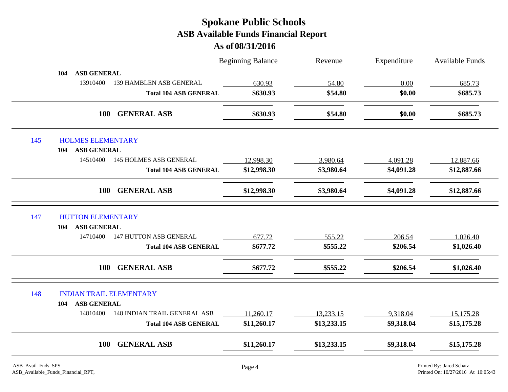|     |                                                 | <b>Beginning Balance</b> | Revenue     | Expenditure | <b>Available Funds</b> |
|-----|-------------------------------------------------|--------------------------|-------------|-------------|------------------------|
|     | ASB GENERAL<br>104                              |                          |             |             |                        |
|     | 13910400<br>139 HAMBLEN ASB GENERAL             | 630.93                   | 54.80       | 0.00        | 685.73                 |
|     | <b>Total 104 ASB GENERAL</b>                    | \$630.93                 | \$54.80     | \$0.00      | \$685.73               |
|     | <b>GENERAL ASB</b><br><b>100</b>                | \$630.93                 | \$54.80     | \$0.00      | \$685.73               |
| 145 | <b>HOLMES ELEMENTARY</b>                        |                          |             |             |                        |
|     | <b>ASB GENERAL</b><br>104                       |                          |             |             |                        |
|     | 14510400<br><b>145 HOLMES ASB GENERAL</b>       | 12,998.30                | 3,980.64    | 4,091.28    | 12,887.66              |
|     | <b>Total 104 ASB GENERAL</b>                    | \$12,998.30              | \$3,980.64  | \$4,091.28  | \$12,887.66            |
|     | <b>GENERAL ASB</b><br><b>100</b>                | \$12,998.30              | \$3,980.64  | \$4,091.28  | \$12,887.66            |
| 147 | <b>HUTTON ELEMENTARY</b>                        |                          |             |             |                        |
|     | <b>ASB GENERAL</b><br>104                       |                          |             |             |                        |
|     | <b>147 HUTTON ASB GENERAL</b><br>14710400       | 677.72                   | 555.22      | 206.54      | 1,026.40               |
|     | <b>Total 104 ASB GENERAL</b>                    | \$677.72                 | \$555.22    | \$206.54    | \$1,026.40             |
|     | <b>GENERAL ASB</b><br>100                       | \$677.72                 | \$555.22    | \$206.54    | \$1,026.40             |
| 148 | <b>INDIAN TRAIL ELEMENTARY</b>                  |                          |             |             |                        |
|     | <b>ASB GENERAL</b><br>104                       |                          |             |             |                        |
|     | 14810400<br><b>148 INDIAN TRAIL GENERAL ASB</b> | 11,260.17                | 13,233.15   | 9,318.04    | 15,175.28              |
|     | <b>Total 104 ASB GENERAL</b>                    | \$11,260.17              | \$13,233.15 | \$9,318.04  | \$15,175.28            |
|     | <b>GENERAL ASB</b><br><b>100</b>                | \$11,260.17              | \$13,233.15 | \$9,318.04  | \$15,175.28            |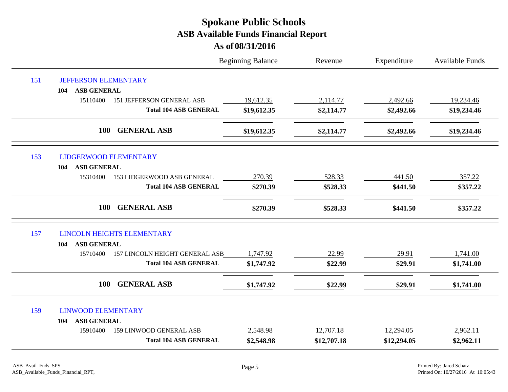|     |                                              | <b>Beginning Balance</b> | Revenue     | Expenditure | Available Funds |
|-----|----------------------------------------------|--------------------------|-------------|-------------|-----------------|
| 151 | <b>JEFFERSON ELEMENTARY</b>                  |                          |             |             |                 |
|     | <b>ASB GENERAL</b><br>104                    |                          |             |             |                 |
|     | 15110400<br><b>151 JEFFERSON GENERAL ASB</b> | 19,612.35                | 2,114.77    | 2,492.66    | 19,234.46       |
|     | <b>Total 104 ASB GENERAL</b>                 | \$19,612.35              | \$2,114.77  | \$2,492.66  | \$19,234.46     |
|     | 100<br><b>GENERAL ASB</b>                    | \$19,612.35              | \$2,114.77  | \$2,492.66  | \$19,234.46     |
| 153 | <b>LIDGERWOOD ELEMENTARY</b>                 |                          |             |             |                 |
|     | <b>ASB GENERAL</b><br>104                    |                          |             |             |                 |
|     | 15310400<br>153 LIDGERWOOD ASB GENERAL       | 270.39                   | 528.33      | 441.50      | 357.22          |
|     | <b>Total 104 ASB GENERAL</b>                 | \$270.39                 | \$528.33    | \$441.50    | \$357.22        |
|     | 100<br><b>GENERAL ASB</b>                    | \$270.39                 | \$528.33    | \$441.50    | \$357.22        |
| 157 | <b>LINCOLN HEIGHTS ELEMENTARY</b>            |                          |             |             |                 |
|     | <b>ASB GENERAL</b><br>104                    |                          |             |             |                 |
|     | 157 LINCOLN HEIGHT GENERAL ASB<br>15710400   | 1,747.92                 | 22.99       | 29.91       | 1,741.00        |
|     | <b>Total 104 ASB GENERAL</b>                 | \$1,747.92               | \$22.99     | \$29.91     | \$1,741.00      |
|     | <b>GENERAL ASB</b><br>100                    | \$1,747.92               | \$22.99     | \$29.91     | \$1,741.00      |
| 159 | <b>LINWOOD ELEMENTARY</b>                    |                          |             |             |                 |
|     | <b>ASB GENERAL</b><br>104                    |                          |             |             |                 |
|     | <b>159 LINWOOD GENERAL ASB</b><br>15910400   | 2,548.98                 | 12,707.18   | 12,294.05   | 2,962.11        |
|     | <b>Total 104 ASB GENERAL</b>                 | \$2,548.98               | \$12,707.18 | \$12,294.05 | \$2,962.11      |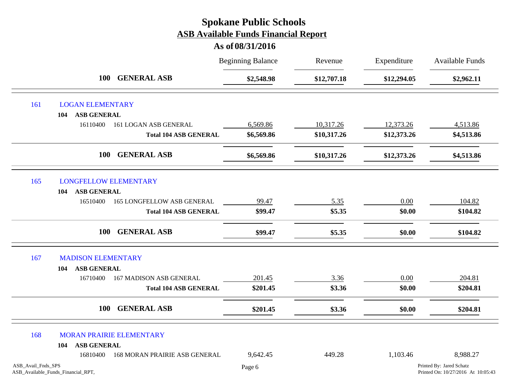|                    |                                    |                                   | <b>Beginning Balance</b> | Revenue     | Expenditure | Available Funds                                                |
|--------------------|------------------------------------|-----------------------------------|--------------------------|-------------|-------------|----------------------------------------------------------------|
|                    | <b>100</b>                         | <b>GENERAL ASB</b><br>\$2,548.98  | \$12,707.18              | \$12,294.05 | \$2,962.11  |                                                                |
| 161                | <b>LOGAN ELEMENTARY</b>            |                                   |                          |             |             |                                                                |
|                    | <b>ASB GENERAL</b><br>104          |                                   |                          |             |             |                                                                |
|                    | 16110400                           | 161 LOGAN ASB GENERAL             | 6,569.86                 | 10,317.26   | 12,373.26   | 4,513.86                                                       |
|                    |                                    | <b>Total 104 ASB GENERAL</b>      | \$6,569.86               | \$10,317.26 | \$12,373.26 | \$4,513.86                                                     |
|                    | <b>100</b>                         | <b>GENERAL ASB</b>                | \$6,569.86               | \$10,317.26 | \$12,373.26 | \$4,513.86                                                     |
| 165                | <b>LONGFELLOW ELEMENTARY</b>       |                                   |                          |             |             |                                                                |
|                    | <b>ASB GENERAL</b><br>104          |                                   |                          |             |             |                                                                |
|                    | 16510400                           | <b>165 LONGFELLOW ASB GENERAL</b> | 99.47                    | 5.35        | $0.00\,$    | 104.82                                                         |
|                    |                                    | <b>Total 104 ASB GENERAL</b>      | \$99.47                  | \$5.35      | \$0.00      | \$104.82                                                       |
|                    | <b>100</b>                         | <b>GENERAL ASB</b>                | \$99.47                  | \$5.35      | \$0.00      | \$104.82                                                       |
| 167                | <b>MADISON ELEMENTARY</b>          |                                   |                          |             |             |                                                                |
|                    | <b>ASB GENERAL</b><br>104          |                                   |                          |             |             |                                                                |
|                    | 16710400                           | <b>167 MADISON ASB GENERAL</b>    | 201.45                   | 3.36        | 0.00        | 204.81                                                         |
|                    |                                    | <b>Total 104 ASB GENERAL</b>      | \$201.45                 | \$3.36      | \$0.00      | \$204.81                                                       |
|                    | 100                                | <b>GENERAL ASB</b>                | \$201.45                 | \$3.36      | \$0.00      | \$204.81                                                       |
| 168                | <b>MORAN PRAIRIE ELEMENTARY</b>    |                                   |                          |             |             |                                                                |
|                    | <b>ASB GENERAL</b><br>104          |                                   |                          |             |             |                                                                |
|                    | 16810400                           | 168 MORAN PRAIRIE ASB GENERAL     | 9,642.45                 | 449.28      | 1,103.46    | 8,988.27                                                       |
| ASB_Avail_Fnds_SPS | ASB_Available_Funds_Financial_RPT, |                                   | Page 6                   |             |             | Printed By: Jared Schatz<br>Printed On: 10/27/2016 At 10:05:43 |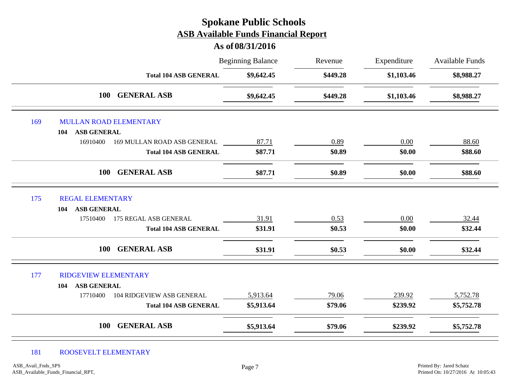# Beginning Balance Revenue Expenditure Available Funds **As of 08/31/2016 Spokane Public Schools ASB Available Funds Financial Report** Revenue **Total 104 ASB GENERAL \$9,642.45 \$449.28 \$1,103.46 \$8,988.27 100 GENERAL ASB \$9,642.45 \$449.28 \$1,103.46 \$8,988.27** 169 MULLAN ROAD ELEMENTARY **104 ASB GENERAL** 16910400 169 MULLAN ROAD ASB GENERAL 87.71 0 0.89 0.00 0.00 88.60 **Total 104 ASB GENERAL \$87.71 \$0.89 \$0.00 \$88.60 100 GENERAL ASB \$87.71 \$0.89 \$0.00 \$88.60** 175 REGAL ELEMENTARY **104 ASB GENERAL** 17510400 175 REGAL ASB GENERAL 31.91 0.53 0.00 32.44 **Total 104 ASB GENERAL \$31.91 \$0.53 \$0.00 \$32.44 100 GENERAL ASB \$31.91 \$0.53 \$0.00 \$32.44** 177 RIDGEVIEW ELEMENTARY **104 ASB GENERAL** 17710400 104 RIDGEVIEW ASB GENERAL 5,913.64 79.06 239.92 5,752.78 **Total 104 ASB GENERAL \$5,913.64 \$79.06 \$239.92 \$5,752.78 100 GENERAL ASB \$5,913.64 \$79.06 \$239.92 \$5,752.78**

#### 181 ROOSEVELT ELEMENTARY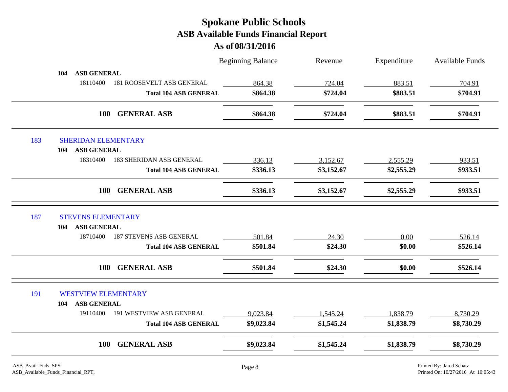|                                   |                                  | <b>Beginning Balance</b> | Revenue    | Expenditure | <b>Available Funds</b> |
|-----------------------------------|----------------------------------|--------------------------|------------|-------------|------------------------|
| <b>ASB GENERAL</b><br>104         |                                  |                          |            |             |                        |
| 18110400                          | <b>181 ROOSEVELT ASB GENERAL</b> | 864.38                   | 724.04     | 883.51      | 704.91                 |
|                                   | <b>Total 104 ASB GENERAL</b>     | \$864.38                 | \$724.04   | \$883.51    | \$704.91               |
|                                   | <b>GENERAL ASB</b><br>100        | \$864.38                 | \$724.04   | \$883.51    | \$704.91               |
| 183<br><b>SHERIDAN ELEMENTARY</b> |                                  |                          |            |             |                        |
| <b>ASB GENERAL</b><br>104         |                                  |                          |            |             |                        |
| 18310400                          | <b>183 SHERIDAN ASB GENERAL</b>  | 336.13                   | 3,152.67   | 2,555.29    | 933.51                 |
|                                   | <b>Total 104 ASB GENERAL</b>     | \$336.13                 | \$3,152.67 | \$2,555.29  | \$933.51               |
|                                   | <b>GENERAL ASB</b><br><b>100</b> | \$336.13                 | \$3,152.67 | \$2,555.29  | \$933.51               |
| 187<br><b>STEVENS ELEMENTARY</b>  |                                  |                          |            |             |                        |
| <b>ASB GENERAL</b><br>104         |                                  |                          |            |             |                        |
| 18710400                          | <b>187 STEVENS ASB GENERAL</b>   | 501.84                   | 24.30      | 0.00        | 526.14                 |
|                                   | <b>Total 104 ASB GENERAL</b>     | \$501.84                 | \$24.30    | \$0.00      | \$526.14               |
|                                   | <b>GENERAL ASB</b><br><b>100</b> | \$501.84                 | \$24.30    | \$0.00      | \$526.14               |
| 191                               | <b>WESTVIEW ELEMENTARY</b>       |                          |            |             |                        |
| <b>ASB GENERAL</b><br>104         |                                  |                          |            |             |                        |
| 19110400                          | 191 WESTVIEW ASB GENERAL         | 9,023.84                 | 1,545.24   | 1,838.79    | 8,730.29               |
|                                   | <b>Total 104 ASB GENERAL</b>     | \$9,023.84               | \$1,545.24 | \$1,838.79  | \$8,730.29             |
|                                   | <b>GENERAL ASB</b><br>100        | \$9,023.84               | \$1,545.24 | \$1,838.79  | \$8,730.29             |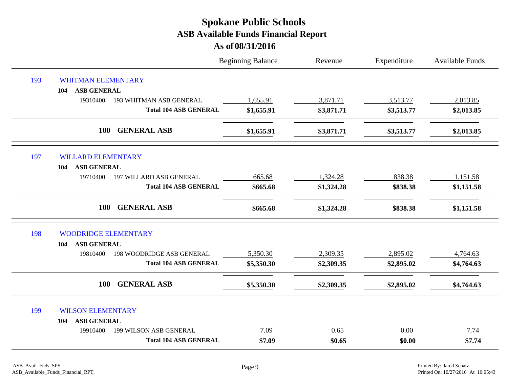|     |                                              | <b>Beginning Balance</b> | Revenue    | Expenditure | <b>Available Funds</b> |
|-----|----------------------------------------------|--------------------------|------------|-------------|------------------------|
| 193 | <b>WHITMAN ELEMENTARY</b>                    |                          |            |             |                        |
|     | <b>ASB GENERAL</b><br>104                    |                          |            |             |                        |
|     | 19310400<br><b>193 WHITMAN ASB GENERAL</b>   | 1,655.91                 | 3,871.71   | 3,513.77    | 2,013.85               |
|     | <b>Total 104 ASB GENERAL</b>                 | \$1,655.91               | \$3,871.71 | \$3,513.77  | \$2,013.85             |
|     | 100<br><b>GENERAL ASB</b>                    | \$1,655.91               | \$3,871.71 | \$3,513.77  | \$2,013.85             |
| 197 | <b>WILLARD ELEMENTARY</b>                    |                          |            |             |                        |
|     | <b>ASB GENERAL</b><br>104                    |                          |            |             |                        |
|     | 197 WILLARD ASB GENERAL<br>19710400          | 665.68                   | 1,324.28   | 838.38      | 1,151.58               |
|     | <b>Total 104 ASB GENERAL</b>                 | \$665.68                 | \$1,324.28 | \$838.38    | \$1,151.58             |
|     | <b>GENERAL ASB</b><br>100                    | \$665.68                 | \$1,324.28 | \$838.38    | \$1,151.58             |
| 198 | <b>WOODRIDGE ELEMENTARY</b>                  |                          |            |             |                        |
|     | <b>ASB GENERAL</b><br>104                    |                          |            |             |                        |
|     | <b>198 WOODRIDGE ASB GENERAL</b><br>19810400 | 5,350.30                 | 2,309.35   | 2,895.02    | 4,764.63               |
|     | <b>Total 104 ASB GENERAL</b>                 | \$5,350.30               | \$2,309.35 | \$2,895.02  | \$4,764.63             |
|     | 100<br><b>GENERAL ASB</b>                    | \$5,350.30               | \$2,309.35 | \$2,895.02  | \$4,764.63             |
| 199 | <b>WILSON ELEMENTARY</b>                     |                          |            |             |                        |
|     | <b>ASB GENERAL</b><br>104                    |                          |            |             |                        |
|     | 19910400<br>199 WILSON ASB GENERAL           | 7.09                     | 0.65       | 0.00        | 7.74                   |
|     | <b>Total 104 ASB GENERAL</b>                 | \$7.09                   | \$0.65     | \$0.00      | \$7.74                 |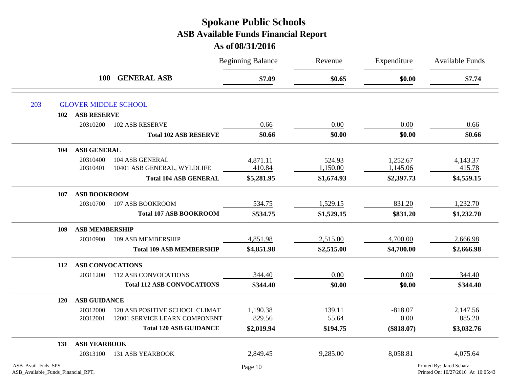|                                                          |                         |                                   | <b>Beginning Balance</b> | Revenue    | Expenditure  | Available Funds                                                |
|----------------------------------------------------------|-------------------------|-----------------------------------|--------------------------|------------|--------------|----------------------------------------------------------------|
|                                                          |                         | <b>GENERAL ASB</b><br><b>100</b>  | \$7.09                   | \$0.65     | \$0.00       | \$7.74                                                         |
| 203                                                      |                         | <b>GLOVER MIDDLE SCHOOL</b>       |                          |            |              |                                                                |
| 102                                                      | <b>ASB RESERVE</b>      |                                   |                          |            |              |                                                                |
|                                                          | 20310200                | <b>102 ASB RESERVE</b>            | 0.66                     | 0.00       | 0.00         | 0.66                                                           |
|                                                          |                         | <b>Total 102 ASB RESERVE</b>      | \$0.66                   | \$0.00     | \$0.00       | \$0.66                                                         |
| 104                                                      | <b>ASB GENERAL</b>      |                                   |                          |            |              |                                                                |
|                                                          | 20310400                | 104 ASB GENERAL                   | 4,871.11                 | 524.93     | 1,252.67     | 4,143.37                                                       |
|                                                          | 20310401                | 10401 ASB GENERAL, WYLDLIFE       | 410.84                   | 1,150.00   | 1,145.06     | 415.78                                                         |
|                                                          |                         | <b>Total 104 ASB GENERAL</b>      | \$5,281.95               | \$1,674.93 | \$2,397.73   | \$4,559.15                                                     |
| 107                                                      | <b>ASB BOOKROOM</b>     |                                   |                          |            |              |                                                                |
|                                                          | 20310700                | 107 ASB BOOKROOM                  | 534.75                   | 1,529.15   | 831.20       | 1,232.70                                                       |
|                                                          |                         | <b>Total 107 ASB BOOKROOM</b>     | \$534.75                 | \$1,529.15 | \$831.20     | \$1,232.70                                                     |
| 109                                                      | <b>ASB MEMBERSHIP</b>   |                                   |                          |            |              |                                                                |
|                                                          | 20310900                | 109 ASB MEMBERSHIP                | 4,851.98                 | 2,515.00   | 4,700.00     | 2,666.98                                                       |
|                                                          |                         | <b>Total 109 ASB MEMBERSHIP</b>   | \$4,851.98               | \$2,515.00 | \$4,700.00   | \$2,666.98                                                     |
| 112                                                      | <b>ASB CONVOCATIONS</b> |                                   |                          |            |              |                                                                |
|                                                          | 20311200                | <b>112 ASB CONVOCATIONS</b>       | 344.40                   | 0.00       | 0.00         | 344.40                                                         |
|                                                          |                         | <b>Total 112 ASB CONVOCATIONS</b> | \$344.40                 | \$0.00     | \$0.00       | \$344.40                                                       |
| <b>120</b>                                               | <b>ASB GUIDANCE</b>     |                                   |                          |            |              |                                                                |
|                                                          | 20312000                | 120 ASB POSITIVE SCHOOL CLIMAT    | 1,190.38                 | 139.11     | $-818.07$    | 2,147.56                                                       |
|                                                          | 20312001                | 12001 SERVICE LEARN COMPONENT     | 829.56                   | 55.64      | 0.00         | 885.20                                                         |
|                                                          |                         | <b>Total 120 ASB GUIDANCE</b>     | \$2,019.94               | \$194.75   | $(\$818.07)$ | \$3,032.76                                                     |
| 131                                                      | <b>ASB YEARBOOK</b>     |                                   |                          |            |              |                                                                |
|                                                          | 20313100                | <b>131 ASB YEARBOOK</b>           | 2,849.45                 | 9,285.00   | 8,058.81     | 4,075.64                                                       |
| ASB_Avail_Fnds_SPS<br>ASB_Available_Funds_Financial_RPT, |                         |                                   | Page 10                  |            |              | Printed By: Jared Schatz<br>Printed On: 10/27/2016 At 10:05:43 |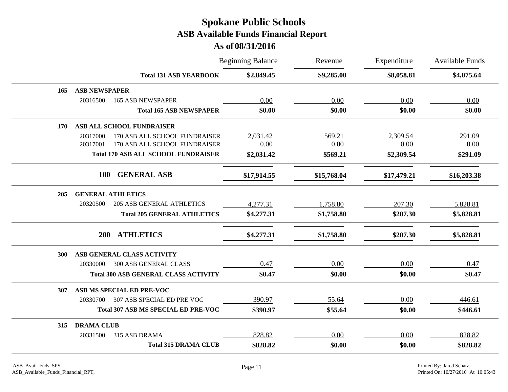|            |                                              | <b>Beginning Balance</b> | Revenue     | Expenditure | Available Funds |
|------------|----------------------------------------------|--------------------------|-------------|-------------|-----------------|
|            | <b>Total 131 ASB YEARBOOK</b>                | \$2,849.45               | \$9,285.00  | \$8,058.81  | \$4,075.64      |
| 165        | <b>ASB NEWSPAPER</b>                         |                          |             |             |                 |
|            | 20316500<br><b>165 ASB NEWSPAPER</b>         | 0.00                     | 0.00        | 0.00        | 0.00            |
|            | <b>Total 165 ASB NEWSPAPER</b>               | \$0.00                   | \$0.00      | \$0.00      | \$0.00          |
| 170        | ASB ALL SCHOOL FUNDRAISER                    |                          |             |             |                 |
|            | 170 ASB ALL SCHOOL FUNDRAISER<br>20317000    | 2,031.42                 | 569.21      | 2,309.54    | 291.09          |
|            | 20317001<br>170 ASB ALL SCHOOL FUNDRAISER    | 0.00                     | 0.00        | 0.00        | 0.00            |
|            | <b>Total 170 ASB ALL SCHOOL FUNDRAISER</b>   | \$2,031.42               | \$569.21    | \$2,309.54  | \$291.09        |
|            | <b>GENERAL ASB</b><br><b>100</b>             | \$17,914.55              | \$15,768.04 | \$17,479.21 | \$16,203.38     |
| 205        | <b>GENERAL ATHLETICS</b>                     |                          |             |             |                 |
|            | <b>205 ASB GENERAL ATHLETICS</b><br>20320500 | 4,277.31                 | 1,758.80    | 207.30      | 5,828.81        |
|            | <b>Total 205 GENERAL ATHLETICS</b>           | \$4,277.31               | \$1,758.80  | \$207.30    | \$5,828.81      |
|            | <b>ATHLETICS</b><br><b>200</b>               | \$4,277.31               | \$1,758.80  | \$207.30    | \$5,828.81      |
| <b>300</b> | ASB GENERAL CLASS ACTIVITY                   |                          |             |             |                 |
|            | <b>300 ASB GENERAL CLASS</b><br>20330000     | 0.47                     | 0.00        | 0.00        | 0.47            |
|            | <b>Total 300 ASB GENERAL CLASS ACTIVITY</b>  | \$0.47                   | \$0.00      | \$0.00      | \$0.47          |
| 307        | ASB MS SPECIAL ED PRE-VOC                    |                          |             |             |                 |
|            | 307 ASB SPECIAL ED PRE VOC<br>20330700       | 390.97                   | 55.64       | 0.00        | 446.61          |
|            | <b>Total 307 ASB MS SPECIAL ED PRE-VOC</b>   | \$390.97                 | \$55.64     | \$0.00      | \$446.61        |
| 315        | <b>DRAMA CLUB</b>                            |                          |             |             |                 |
|            | 315 ASB DRAMA<br>20331500                    | 828.82                   | 0.00        | 0.00        | 828.82          |
|            | <b>Total 315 DRAMA CLUB</b>                  | \$828.82                 | \$0.00      | \$0.00      | \$828.82        |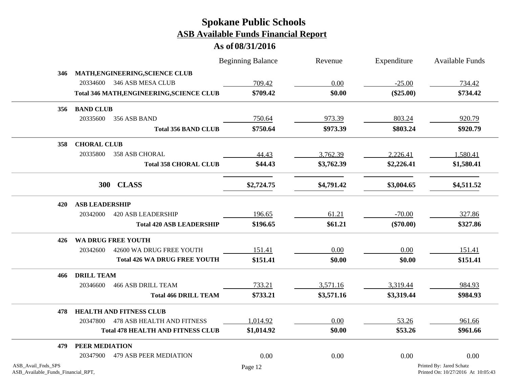|                                                          |                                                  | <b>Beginning Balance</b> | Revenue    | Expenditure | <b>Available Funds</b>                                         |
|----------------------------------------------------------|--------------------------------------------------|--------------------------|------------|-------------|----------------------------------------------------------------|
| 346                                                      | MATH, ENGINEERING, SCIENCE CLUB                  |                          |            |             |                                                                |
|                                                          | 20334600<br>346 ASB MESA CLUB                    | 709.42                   | 0.00       | $-25.00$    | 734.42                                                         |
|                                                          | <b>Total 346 MATH, ENGINEERING, SCIENCE CLUB</b> | \$709.42                 | \$0.00     | $(\$25.00)$ | \$734.42                                                       |
| 356                                                      | <b>BAND CLUB</b>                                 |                          |            |             |                                                                |
|                                                          | 20335600<br>356 ASB BAND                         | 750.64                   | 973.39     | 803.24      | 920.79                                                         |
|                                                          | <b>Total 356 BAND CLUB</b>                       | \$750.64                 | \$973.39   | \$803.24    | \$920.79                                                       |
| 358                                                      | <b>CHORAL CLUB</b>                               |                          |            |             |                                                                |
|                                                          | 20335800<br>358 ASB CHORAL                       | 44.43                    | 3,762.39   | 2,226.41    | 1,580.41                                                       |
|                                                          | <b>Total 358 CHORAL CLUB</b>                     | \$44.43                  | \$3,762.39 | \$2,226.41  | \$1,580.41                                                     |
|                                                          | 300 CLASS                                        | \$2,724.75               | \$4,791.42 | \$3,004.65  | \$4,511.52                                                     |
| 420                                                      | <b>ASB LEADERSHIP</b>                            |                          |            |             |                                                                |
|                                                          | 20342000<br><b>420 ASB LEADERSHIP</b>            | 196.65                   | 61.21      | $-70.00$    | 327.86                                                         |
|                                                          | <b>Total 420 ASB LEADERSHIP</b>                  | \$196.65                 | \$61.21    | $(\$70.00)$ | \$327.86                                                       |
| 426                                                      | WA DRUG FREE YOUTH                               |                          |            |             |                                                                |
|                                                          | 20342600<br>42600 WA DRUG FREE YOUTH             | 151.41                   | 0.00       | 0.00        | 151.41                                                         |
|                                                          | <b>Total 426 WA DRUG FREE YOUTH</b>              | \$151.41                 | \$0.00     | \$0.00      | \$151.41                                                       |
| 466                                                      | <b>DRILL TEAM</b>                                |                          |            |             |                                                                |
|                                                          | 20346600<br><b>466 ASB DRILL TEAM</b>            | 733.21                   | 3,571.16   | 3,319.44    | 984.93                                                         |
|                                                          | <b>Total 466 DRILL TEAM</b>                      | \$733.21                 | \$3,571.16 | \$3,319.44  | \$984.93                                                       |
| 478                                                      | <b>HEALTH AND FITNESS CLUB</b>                   |                          |            |             |                                                                |
|                                                          | 20347800 478 ASB HEALTH AND FITNESS              | 1,014.92                 | 0.00       | 53.26       | 961.66                                                         |
|                                                          | <b>Total 478 HEALTH AND FITNESS CLUB</b>         | \$1,014.92               | \$0.00     | \$53.26     | \$961.66                                                       |
| 479                                                      | PEER MEDIATION                                   |                          |            |             |                                                                |
|                                                          | <b>479 ASB PEER MEDIATION</b><br>20347900        | $0.00\,$                 | 0.00       | 0.00        | 0.00                                                           |
| ASB_Avail_Fnds_SPS<br>ASB_Available_Funds_Financial_RPT, |                                                  | Page 12                  |            |             | Printed By: Jared Schatz<br>Printed On: 10/27/2016 At 10:05:43 |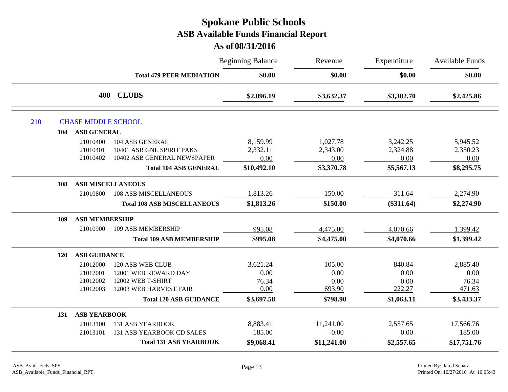|            |                                  |                                                                             | <b>Beginning Balance</b>     | Revenue                      | Expenditure                  | Available Funds              |
|------------|----------------------------------|-----------------------------------------------------------------------------|------------------------------|------------------------------|------------------------------|------------------------------|
|            |                                  | <b>Total 479 PEER MEDIATION</b>                                             | \$0.00                       | \$0.00                       | \$0.00                       | \$0.00                       |
|            | 400                              | <b>CLUBS</b>                                                                | \$2,096.19                   | \$3,632.37                   | \$3,302.70                   | \$2,425.86                   |
| 210        | <b>CHASE MIDDLE SCHOOL</b>       |                                                                             |                              |                              |                              |                              |
| 104        | <b>ASB GENERAL</b>               |                                                                             |                              |                              |                              |                              |
|            | 21010400<br>21010401<br>21010402 | 104 ASB GENERAL<br>10401 ASB GNL SPIRIT PAKS<br>10402 ASB GENERAL NEWSPAPER | 8,159.99<br>2,332.11<br>0.00 | 1,027.78<br>2,343.00<br>0.00 | 3,242.25<br>2,324.88<br>0.00 | 5,945.52<br>2,350.23<br>0.00 |
|            |                                  | <b>Total 104 ASB GENERAL</b>                                                | \$10,492.10                  | \$3,370.78                   | \$5,567.13                   | \$8,295.75                   |
| 108        | <b>ASB MISCELLANEOUS</b>         |                                                                             |                              |                              |                              |                              |
|            | 21010800                         | <b>108 ASB MISCELLANEOUS</b>                                                | 1,813.26                     | 150.00                       | $-311.64$                    | 2,274.90                     |
|            |                                  | <b>Total 108 ASB MISCELLANEOUS</b>                                          | \$1,813.26                   | \$150.00                     | $(\$311.64)$                 | \$2,274.90                   |
| 109        | <b>ASB MEMBERSHIP</b>            |                                                                             |                              |                              |                              |                              |
|            | 21010900                         | 109 ASB MEMBERSHIP                                                          | 995.08                       | 4,475.00                     | 4,070.66                     | 1,399.42                     |
|            |                                  | <b>Total 109 ASB MEMBERSHIP</b>                                             | \$995.08                     | \$4,475.00                   | \$4,070.66                   | \$1,399.42                   |
| <b>120</b> | <b>ASB GUIDANCE</b>              |                                                                             |                              |                              |                              |                              |
|            | 21012000                         | 120 ASB WEB CLUB                                                            | 3,621.24                     | 105.00                       | 840.84                       | 2,885.40                     |
|            | 21012001                         | 12001 WEB REWARD DAY                                                        | 0.00                         | 0.00                         | 0.00                         | 0.00                         |
|            | 21012002                         | 12002 WEB T-SHIRT                                                           | 76.34                        | 0.00                         | 0.00                         | 76.34                        |
|            | 21012003                         | 12003 WEB HARVEST FAIR                                                      | 0.00                         | 693.90                       | 222.27                       | 471.63                       |
|            |                                  | <b>Total 120 ASB GUIDANCE</b>                                               | \$3,697.58                   | \$798.90                     | \$1,063.11                   | \$3,433.37                   |
| 131        | <b>ASB YEARBOOK</b>              |                                                                             |                              |                              |                              |                              |
|            | 21013100                         | <b>131 ASB YEARBOOK</b>                                                     | 8,883.41                     | 11,241.00                    | 2,557.65                     | 17,566.76                    |
|            | 21013101                         | 131 ASB YEARBOOK CD SALES                                                   | 185.00                       | 0.00                         | 0.00                         | 185.00                       |
|            |                                  | <b>Total 131 ASB YEARBOOK</b>                                               | \$9,068.41                   | \$11,241.00                  | \$2,557.65                   | \$17,751.76                  |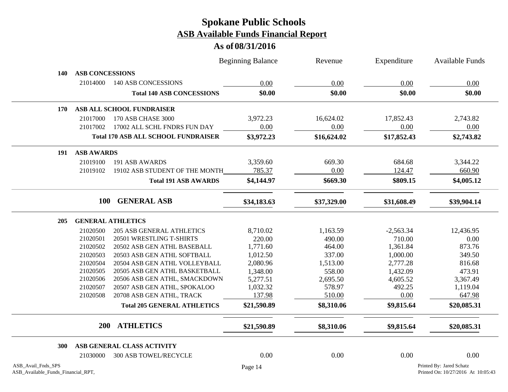|                                                          |                        |                                            | <b>Beginning Balance</b> | Revenue     | Expenditure | <b>Available Funds</b>                                         |
|----------------------------------------------------------|------------------------|--------------------------------------------|--------------------------|-------------|-------------|----------------------------------------------------------------|
| 140                                                      | <b>ASB CONCESSIONS</b> |                                            |                          |             |             |                                                                |
|                                                          | 21014000               | <b>140 ASB CONCESSIONS</b>                 | 0.00                     | 0.00        | 0.00        | 0.00                                                           |
|                                                          |                        | <b>Total 140 ASB CONCESSIONS</b>           | \$0.00                   | \$0.00      | \$0.00      | \$0.00                                                         |
| 170                                                      |                        | ASB ALL SCHOOL FUNDRAISER                  |                          |             |             |                                                                |
|                                                          | 21017000               | 170 ASB CHASE 3000                         | 3,972.23                 | 16,624.02   | 17,852.43   | 2,743.82                                                       |
|                                                          | 21017002               | 17002 ALL SCHL FNDRS FUN DAY               | 0.00                     | 0.00        | 0.00        | 0.00                                                           |
|                                                          |                        | <b>Total 170 ASB ALL SCHOOL FUNDRAISER</b> | \$3,972.23               | \$16,624.02 | \$17,852.43 | \$2,743.82                                                     |
| 191                                                      | <b>ASB AWARDS</b>      |                                            |                          |             |             |                                                                |
|                                                          | 21019100               | 191 ASB AWARDS                             | 3,359.60                 | 669.30      | 684.68      | 3,344.22                                                       |
|                                                          | 21019102               | 19102 ASB STUDENT OF THE MONTH             | 785.37                   | 0.00        | 124.47      | 660.90                                                         |
|                                                          |                        | <b>Total 191 ASB AWARDS</b>                | \$4,144.97               | \$669.30    | \$809.15    | \$4,005.12                                                     |
|                                                          | <b>100</b>             | <b>GENERAL ASB</b>                         | \$34,183.63              | \$37,329.00 | \$31,608.49 | \$39,904.14                                                    |
| 205                                                      |                        | <b>GENERAL ATHLETICS</b>                   |                          |             |             |                                                                |
|                                                          | 21020500               | <b>205 ASB GENERAL ATHLETICS</b>           | 8,710.02                 | 1,163.59    | $-2,563.34$ | 12,436.95                                                      |
|                                                          | 21020501               | 20501 WRESTLING T-SHIRTS                   | 220.00                   | 490.00      | 710.00      | 0.00                                                           |
|                                                          | 21020502               | 20502 ASB GEN ATHL BASEBALL                | 1,771.60                 | 464.00      | 1,361.84    | 873.76                                                         |
|                                                          | 21020503               | 20503 ASB GEN ATHL SOFTBALL                | 1,012.50                 | 337.00      | 1,000.00    | 349.50                                                         |
|                                                          | 21020504               | 20504 ASB GEN ATHL VOLLEYBALL              | 2,080.96                 | 1,513.00    | 2,777.28    | 816.68                                                         |
|                                                          | 21020505               | 20505 ASB GEN ATHL BASKETBALL              | 1,348.00                 | 558.00      | 1,432.09    | 473.91                                                         |
|                                                          | 21020506               | 20506 ASB GEN ATHL, SMACKDOWN              | 5,277.51                 | 2,695.50    | 4,605.52    | 3,367.49                                                       |
|                                                          | 21020507               | 20507 ASB GEN ATHL, SPOKALOO               | 1,032.32                 | 578.97      | 492.25      | 1,119.04                                                       |
|                                                          | 21020508               | 20708 ASB GEN ATHL, TRACK                  | 137.98                   | 510.00      | 0.00        | 647.98                                                         |
|                                                          |                        | <b>Total 205 GENERAL ATHLETICS</b>         | \$21,590.89              | \$8,310.06  | \$9,815.64  | \$20,085.31                                                    |
|                                                          | <b>200</b>             | <b>ATHLETICS</b>                           | \$21,590.89              | \$8,310.06  | \$9,815.64  | \$20,085.31                                                    |
| 300                                                      |                        | ASB GENERAL CLASS ACTIVITY                 |                          |             |             |                                                                |
|                                                          | 21030000               | <b>300 ASB TOWEL/RECYCLE</b>               | 0.00                     | 0.00        | 0.00        | 0.00                                                           |
| ASB_Avail_Fnds_SPS<br>ASB_Available_Funds_Financial_RPT, |                        |                                            | Page 14                  |             |             | Printed By: Jared Schatz<br>Printed On: 10/27/2016 At 10:05:43 |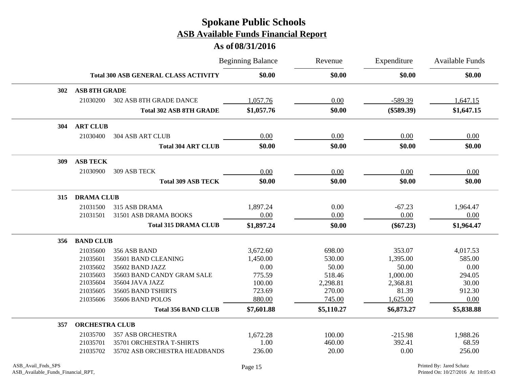|     |                       |                                             | <b>Beginning Balance</b> | Revenue    | Expenditure  | Available Funds |
|-----|-----------------------|---------------------------------------------|--------------------------|------------|--------------|-----------------|
|     |                       | <b>Total 300 ASB GENERAL CLASS ACTIVITY</b> | \$0.00                   | \$0.00     | \$0.00       | \$0.00          |
| 302 | <b>ASB 8TH GRADE</b>  |                                             |                          |            |              |                 |
|     | 21030200              | 302 ASB 8TH GRADE DANCE                     | 1,057.76                 | 0.00       | $-589.39$    | 1,647.15        |
|     |                       | <b>Total 302 ASB 8TH GRADE</b>              | \$1,057.76               | \$0.00     | $(\$589.39)$ | \$1,647.15      |
| 304 | <b>ART CLUB</b>       |                                             |                          |            |              |                 |
|     | 21030400              | <b>304 ASB ART CLUB</b>                     | 0.00                     | 0.00       | 0.00         | 0.00            |
|     |                       | <b>Total 304 ART CLUB</b>                   | \$0.00                   | \$0.00     | \$0.00       | \$0.00          |
| 309 | <b>ASB TECK</b>       |                                             |                          |            |              |                 |
|     | 21030900              | 309 ASB TECK                                | 0.00                     | 0.00       | 0.00         | 0.00            |
|     |                       | <b>Total 309 ASB TECK</b>                   | \$0.00                   | \$0.00     | \$0.00       | \$0.00          |
| 315 | <b>DRAMA CLUB</b>     |                                             |                          |            |              |                 |
|     | 21031500              | 315 ASB DRAMA                               | 1,897.24                 | 0.00       | $-67.23$     | 1,964.47        |
|     | 21031501              | 31501 ASB DRAMA BOOKS                       | 0.00                     | 0.00       | 0.00         | 0.00            |
|     |                       | <b>Total 315 DRAMA CLUB</b>                 | \$1,897.24               | \$0.00     | $(\$67.23)$  | \$1,964.47      |
| 356 | <b>BAND CLUB</b>      |                                             |                          |            |              |                 |
|     | 21035600              | 356 ASB BAND                                | 3,672.60                 | 698.00     | 353.07       | 4,017.53        |
|     | 21035601              | 35601 BAND CLEANING                         | 1,450.00                 | 530.00     | 1,395.00     | 585.00          |
|     | 21035602              | 35602 BAND JAZZ                             | 0.00                     | 50.00      | 50.00        | 0.00            |
|     | 21035603              | 35603 BAND CANDY GRAM SALE                  | 775.59                   | 518.46     | 1,000.00     | 294.05          |
|     | 21035604              | 35604 JAVA JAZZ                             | 100.00                   | 2,298.81   | 2,368.81     | 30.00           |
|     | 21035605              | 35605 BAND TSHIRTS                          | 723.69                   | 270.00     | 81.39        | 912.30          |
|     | 21035606              | 35606 BAND POLOS                            | 880.00                   | 745.00     | 1,625.00     | 0.00            |
|     |                       | <b>Total 356 BAND CLUB</b>                  | \$7,601.88               | \$5,110.27 | \$6,873.27   | \$5,838.88      |
| 357 | <b>ORCHESTRA CLUB</b> |                                             |                          |            |              |                 |
|     | 21035700              | <b>357 ASB ORCHESTRA</b>                    | 1,672.28                 | 100.00     | $-215.98$    | 1,988.26        |
|     | 21035701              | 35701 ORCHESTRA T-SHIRTS                    | 1.00                     | 460.00     | 392.41       | 68.59           |
|     | 21035702              | 35702 ASB ORCHESTRA HEADBANDS               | 236.00                   | 20.00      | 0.00         | 256.00          |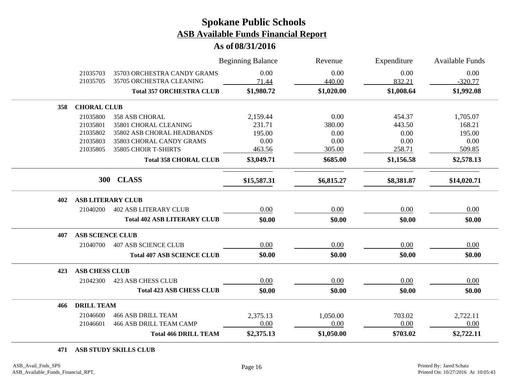**As of 08/31/2016**

|     |                          |                                    | <b>Beginning Balance</b> | Revenue    | Expenditure | Available Funds |
|-----|--------------------------|------------------------------------|--------------------------|------------|-------------|-----------------|
|     | 21035703                 | 35703 ORCHESTRA CANDY GRAMS        | 0.00                     | 0.00       | 0.00        | 0.00            |
|     | 21035705                 | 35705 ORCHESTRA CLEANING           | 71.44                    | 440.00     | 832.21      | $-320.77$       |
|     |                          | <b>Total 357 ORCHESTRA CLUB</b>    | \$1,980.72               | \$1,020.00 | \$1,008.64  | \$1,992.08      |
| 358 | <b>CHORAL CLUB</b>       |                                    |                          |            |             |                 |
|     | 21035800                 | <b>358 ASB CHORAL</b>              | 2,159.44                 | 0.00       | 454.37      | 1,705.07        |
|     | 21035801                 | 35801 CHORAL CLEANING              | 231.71                   | 380.00     | 443.50      | 168.21          |
|     | 21035802                 | 35802 ASB CHORAL HEADBANDS         | 195.00                   | 0.00       | 0.00        | 195.00          |
|     | 21035803                 | 35803 CHORAL CANDY GRAMS           | 0.00                     | 0.00       | 0.00        | 0.00            |
|     | 21035805                 | 35805 CHOIR T-SHIRTS               | 463.56                   | 305.00     | 258.71      | 509.85          |
|     |                          | <b>Total 358 CHORAL CLUB</b>       | \$3,049.71               | \$685.00   | \$1,156.58  | \$2,578.13      |
|     |                          | 300 CLASS                          | \$15,587.31              | \$6,815.27 | \$8,381.87  | \$14,020.71     |
| 402 | <b>ASB LITERARY CLUB</b> |                                    |                          |            |             |                 |
|     | 21040200                 | <b>402 ASB LITERARY CLUB</b>       | 0.00                     | 0.00       | 0.00        | 0.00            |
|     |                          | <b>Total 402 ASB LITERARY CLUB</b> | \$0.00                   | \$0.00     | \$0.00      | \$0.00          |
| 407 | <b>ASB SCIENCE CLUB</b>  |                                    |                          |            |             |                 |
|     | 21040700                 | <b>407 ASB SCIENCE CLUB</b>        | 0.00                     | 0.00       | 0.00        | 0.00            |
|     |                          | <b>Total 407 ASB SCIENCE CLUB</b>  | \$0.00                   | \$0.00     | \$0.00      | \$0.00          |
| 423 | <b>ASB CHESS CLUB</b>    |                                    |                          |            |             |                 |
|     | 21042300                 | <b>423 ASB CHESS CLUB</b>          | 0.00                     | 0.00       | 0.00        | 0.00            |
|     |                          | <b>Total 423 ASB CHESS CLUB</b>    | \$0.00                   | \$0.00     | \$0.00      | \$0.00          |
| 466 | <b>DRILL TEAM</b>        |                                    |                          |            |             |                 |
|     | 21046600                 | <b>466 ASB DRILL TEAM</b>          | 2,375.13                 | 1,050.00   | 703.02      | 2,722.11        |
|     | 21046601                 | <b>466 ASB DRILL TEAM CAMP</b>     | 0.00                     | 0.00       | 0.00        | 0.00            |
|     |                          | <b>Total 466 DRILL TEAM</b>        | \$2,375.13               | \$1,050.00 | \$703.02    | \$2,722.11      |

#### **471 ASB STUDY SKILLS CLUB**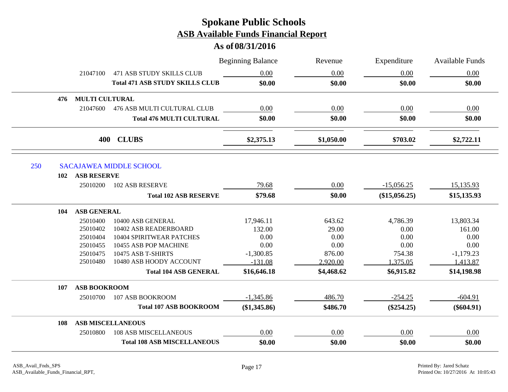|            |                       |                                        | <b>Beginning Balance</b> | Revenue    | Expenditure   | Available Funds |
|------------|-----------------------|----------------------------------------|--------------------------|------------|---------------|-----------------|
|            | 21047100              | <b>471 ASB STUDY SKILLS CLUB</b>       | 0.00                     | 0.00       | 0.00          | 0.00            |
|            |                       | <b>Total 471 ASB STUDY SKILLS CLUB</b> | \$0.00                   | \$0.00     | \$0.00        | \$0.00          |
| 476        | <b>MULTI CULTURAL</b> |                                        |                          |            |               |                 |
|            | 21047600              | 476 ASB MULTI CULTURAL CLUB            | 0.00                     | 0.00       | 0.00          | 0.00            |
|            |                       | <b>Total 476 MULTI CULTURAL</b>        | \$0.00                   | \$0.00     | \$0.00        | \$0.00          |
|            |                       | 400 CLUBS                              | \$2,375.13               | \$1,050.00 | \$703.02      | \$2,722.11      |
|            |                       |                                        |                          |            |               |                 |
| 250<br>102 | <b>ASB RESERVE</b>    | <b>SACAJAWEA MIDDLE SCHOOL</b>         |                          |            |               |                 |
|            | 25010200              | <b>102 ASB RESERVE</b>                 | 79.68                    | 0.00       | $-15,056.25$  | 15,135.93       |
|            |                       | <b>Total 102 ASB RESERVE</b>           | \$79.68                  | \$0.00     | (\$15,056.25) | \$15,135.93     |
| 104        | <b>ASB GENERAL</b>    |                                        |                          |            |               |                 |
|            | 25010400              | 10400 ASB GENERAL                      | 17,946.11                | 643.62     | 4,786.39      | 13,803.34       |
|            | 25010402              | 10402 ASB READERBOARD                  | 132.00                   | 29.00      | 0.00          | 161.00          |
|            | 25010404              | 10404 SPIRITWEAR PATCHES               | 0.00                     | 0.00       | 0.00          | 0.00            |
|            | 25010455              | 10455 ASB POP MACHINE                  | 0.00                     | 0.00       | 0.00          | 0.00            |
|            | 25010475              | 10475 ASB T-SHIRTS                     | $-1,300.85$              | 876.00     | 754.38        | $-1,179.23$     |
|            | 25010480              | 10480 ASB HOODY ACCOUNT                | $-131.08$                | 2,920.00   | 1,375.05      | 1,413.87        |
|            |                       | <b>Total 104 ASB GENERAL</b>           | \$16,646.18              | \$4,468.62 | \$6,915.82    | \$14,198.98     |
| 107        | <b>ASB BOOKROOM</b>   |                                        |                          |            |               |                 |
|            | 25010700              | 107 ASB BOOKROOM                       | $-1,345.86$              | 486.70     | $-254.25$     | $-604.91$       |
|            |                       | <b>Total 107 ASB BOOKROOM</b>          | (\$1,345.86)             | \$486.70   | $(\$254.25)$  | $(\$604.91)$    |
| 108        |                       | <b>ASB MISCELLANEOUS</b>               |                          |            |               |                 |
|            | 25010800              | <b>108 ASB MISCELLANEOUS</b>           | 0.00                     | $0.00\,$   | 0.00          | 0.00            |
|            |                       | <b>Total 108 ASB MISCELLANEOUS</b>     | \$0.00                   | \$0.00     | \$0.00        | \$0.00          |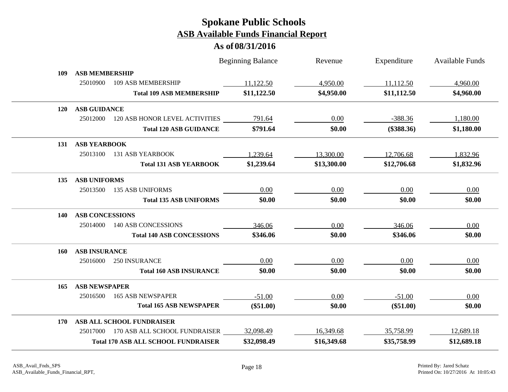|            |                        |                                            | <b>Beginning Balance</b> | Revenue     | Expenditure  | Available Funds |
|------------|------------------------|--------------------------------------------|--------------------------|-------------|--------------|-----------------|
| 109        | <b>ASB MEMBERSHIP</b>  |                                            |                          |             |              |                 |
|            | 25010900               | 109 ASB MEMBERSHIP                         | 11,122.50                | 4,950.00    | 11,112.50    | 4,960.00        |
|            |                        | <b>Total 109 ASB MEMBERSHIP</b>            | \$11,122.50              | \$4,950.00  | \$11,112.50  | \$4,960.00      |
| <b>120</b> | <b>ASB GUIDANCE</b>    |                                            |                          |             |              |                 |
|            | 25012000               | 120 ASB HONOR LEVEL ACTIVITIES             | 791.64                   | 0.00        | $-388.36$    | 1,180.00        |
|            |                        | <b>Total 120 ASB GUIDANCE</b>              | \$791.64                 | \$0.00      | $(\$388.36)$ | \$1,180.00      |
| 131        | <b>ASB YEARBOOK</b>    |                                            |                          |             |              |                 |
|            | 25013100               | <b>131 ASB YEARBOOK</b>                    | 1,239.64                 | 13,300.00   | 12,706.68    | 1,832.96        |
|            |                        | <b>Total 131 ASB YEARBOOK</b>              | \$1,239.64               | \$13,300.00 | \$12,706.68  | \$1,832.96      |
| 135        | <b>ASB UNIFORMS</b>    |                                            |                          |             |              |                 |
|            | 25013500               | <b>135 ASB UNIFORMS</b>                    | 0.00                     | 0.00        | 0.00         | 0.00            |
|            |                        | <b>Total 135 ASB UNIFORMS</b>              | \$0.00                   | \$0.00      | \$0.00       | \$0.00          |
| <b>140</b> | <b>ASB CONCESSIONS</b> |                                            |                          |             |              |                 |
|            | 25014000               | <b>140 ASB CONCESSIONS</b>                 | 346.06                   | 0.00        | 346.06       | 0.00            |
|            |                        | <b>Total 140 ASB CONCESSIONS</b>           | \$346.06                 | \$0.00      | \$346.06     | \$0.00          |
| 160        | <b>ASB INSURANCE</b>   |                                            |                          |             |              |                 |
|            | 25016000               | 250 INSURANCE                              | 0.00                     | 0.00        | 0.00         | $0.00\,$        |
|            |                        | <b>Total 160 ASB INSURANCE</b>             | \$0.00                   | \$0.00      | \$0.00       | \$0.00          |
| 165        | <b>ASB NEWSPAPER</b>   |                                            |                          |             |              |                 |
|            | 25016500               | <b>165 ASB NEWSPAPER</b>                   | $-51.00$                 | 0.00        | $-51.00$     | 0.00            |
|            |                        | <b>Total 165 ASB NEWSPAPER</b>             | $(\$51.00)$              | \$0.00      | $(\$51.00)$  | \$0.00          |
| 170        |                        | ASB ALL SCHOOL FUNDRAISER                  |                          |             |              |                 |
|            |                        | 25017000 170 ASB ALL SCHOOL FUNDRAISER     | 32,098.49                | 16,349.68   | 35,758.99    | 12,689.18       |
|            |                        | <b>Total 170 ASB ALL SCHOOL FUNDRAISER</b> | \$32,098.49              | \$16,349.68 | \$35,758.99  | \$12,689.18     |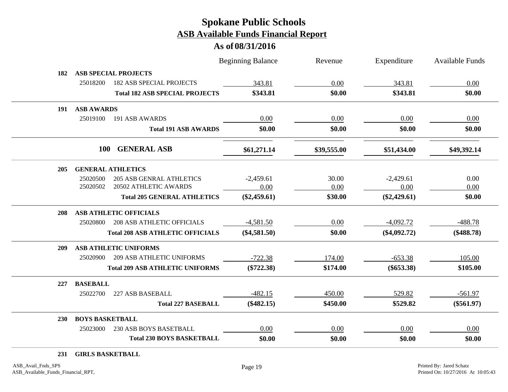### **As of 08/31/2016**

|                        |                                         | <b>Beginning Balance</b> | Revenue     | Expenditure    | Available Funds |
|------------------------|-----------------------------------------|--------------------------|-------------|----------------|-----------------|
| 182                    | <b>ASB SPECIAL PROJECTS</b>             |                          |             |                |                 |
| 25018200               | <b>182 ASB SPECIAL PROJECTS</b>         | 343.81                   | 0.00        | 343.81         | 0.00            |
|                        | <b>Total 182 ASB SPECIAL PROJECTS</b>   | \$343.81                 | \$0.00      | \$343.81       | \$0.00          |
| 191 ASB AWARDS         |                                         |                          |             |                |                 |
| 25019100               | 191 ASB AWARDS                          | 0.00                     | 0.00        | 0.00           | 0.00            |
|                        | <b>Total 191 ASB AWARDS</b>             | \$0.00                   | \$0.00      | \$0.00         | \$0.00          |
|                        | 100<br><b>GENERAL ASB</b>               | \$61,271.14              | \$39,555.00 | \$51,434.00    | \$49,392.14     |
| 205                    | <b>GENERAL ATHLETICS</b>                |                          |             |                |                 |
| 25020500               | <b>205 ASB GENRAL ATHLETICS</b>         | $-2,459.61$              | 30.00       | $-2,429.61$    | 0.00            |
| 25020502               | 20502 ATHLETIC AWARDS                   | 0.00                     | 0.00        | 0.00           | 0.00            |
|                        | <b>Total 205 GENERAL ATHLETICS</b>      | $(\$2,459.61)$           | \$30.00     | $(\$2,429.61)$ | \$0.00          |
| 208                    | <b>ASB ATHLETIC OFFICIALS</b>           |                          |             |                |                 |
| 25020800               | <b>208 ASB ATHLETIC OFFICIALS</b>       | $-4,581.50$              | 0.00        | $-4,092.72$    | $-488.78$       |
|                        | <b>Total 208 ASB ATHLETIC OFFICIALS</b> | $(\$4,581.50)$           | \$0.00      | $(\$4,092.72)$ | $(\$488.78)$    |
| 209                    | <b>ASB ATHLETIC UNIFORMS</b>            |                          |             |                |                 |
| 25020900               | <b>209 ASB ATHLETIC UNIFORMS</b>        | $-722.38$                | 174.00      | $-653.38$      | 105.00          |
|                        | <b>Total 209 ASB ATHLETIC UNIFORMS</b>  | $(\$722.38)$             | \$174.00    | $(\$653.38)$   | \$105.00        |
| <b>BASEBALL</b><br>227 |                                         |                          |             |                |                 |
| 25022700               | 227 ASB BASEBALL                        | $-482.15$                | 450.00      | 529.82         | $-561.97$       |
|                        | <b>Total 227 BASEBALL</b>               | $(\$482.15)$             | \$450.00    | \$529.82       | $(\$561.97)$    |
| <b>230</b>             | <b>BOYS BASKETBALL</b>                  |                          |             |                |                 |
| 25023000               | 230 ASB BOYS BASETBALL                  | 0.00                     | 0.00        | 0.00           | 0.00            |
|                        | <b>Total 230 BOYS BASKETBALL</b>        | \$0.00                   | \$0.00      | \$0.00         | \$0.00          |

#### **231 GIRLS BASKETBALL**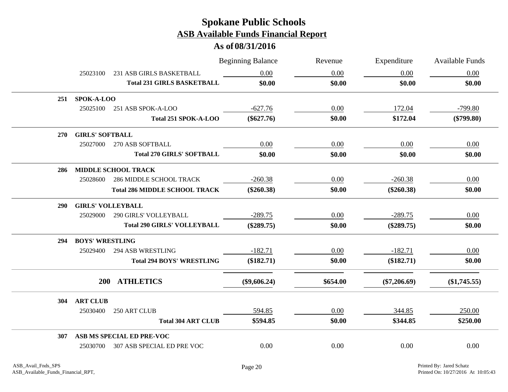|            |                        |                                      | <b>Beginning Balance</b> | Revenue  | Expenditure    | <b>Available Funds</b> |
|------------|------------------------|--------------------------------------|--------------------------|----------|----------------|------------------------|
|            | 25023100               | 231 ASB GIRLS BASKETBALL             | 0.00                     | 0.00     | 0.00           | 0.00                   |
|            |                        | <b>Total 231 GIRLS BASKETBALL</b>    | \$0.00                   | \$0.00   | \$0.00         | \$0.00                 |
|            | 251 SPOK-A-LOO         |                                      |                          |          |                |                        |
|            | 25025100               | 251 ASB SPOK-A-LOO                   | $-627.76$                | 0.00     | 172.04         | $-799.80$              |
|            |                        | Total 251 SPOK-A-LOO                 | $(\$627.76)$             | \$0.00   | \$172.04       | $(\$799.80)$           |
| 270        | <b>GIRLS' SOFTBALL</b> |                                      |                          |          |                |                        |
|            | 25027000               | 270 ASB SOFTBALL                     | 0.00                     | 0.00     | 0.00           | 0.00                   |
|            |                        | <b>Total 270 GIRLS' SOFTBALL</b>     | \$0.00                   | \$0.00   | \$0.00         | \$0.00                 |
| 286        |                        | MIDDLE SCHOOL TRACK                  |                          |          |                |                        |
|            | 25028600               | <b>286 MIDDLE SCHOOL TRACK</b>       | $-260.38$                | 0.00     | $-260.38$      | 0.00                   |
|            |                        | <b>Total 286 MIDDLE SCHOOL TRACK</b> | $(\$260.38)$             | \$0.00   | $(\$260.38)$   | \$0.00                 |
| <b>290</b> |                        | <b>GIRLS' VOLLEYBALL</b>             |                          |          |                |                        |
|            | 25029000               | 290 GIRLS' VOLLEYBALL                | $-289.75$                | 0.00     | $-289.75$      | 0.00                   |
|            |                        | <b>Total 290 GIRLS' VOLLEYBALL</b>   | $(\$289.75)$             | \$0.00   | $(\$289.75)$   | \$0.00                 |
| 294        | <b>BOYS' WRESTLING</b> |                                      |                          |          |                |                        |
|            | 25029400               | <b>294 ASB WRESTLING</b>             | $-182.71$                | 0.00     | $-182.71$      | 0.00                   |
|            |                        | <b>Total 294 BOYS' WRESTLING</b>     | (\$182.71)               | \$0.00   | (\$182.71)     | \$0.00                 |
|            |                        | 200 ATHLETICS                        | $(\$9,606.24)$           | \$654.00 | $(\$7,206.69)$ | (\$1,745.55)           |
| 304        | <b>ART CLUB</b>        |                                      |                          |          |                |                        |
|            | 25030400               | 250 ART CLUB                         | 594.85                   | 0.00     | 344.85         | 250.00                 |
|            |                        | <b>Total 304 ART CLUB</b>            | \$594.85                 | \$0.00   | \$344.85       | \$250.00               |
| 307        |                        | ASB MS SPECIAL ED PRE-VOC            |                          |          |                |                        |
|            | 25030700               | 307 ASB SPECIAL ED PRE VOC           | 0.00                     | 0.00     | 0.00           | 0.00                   |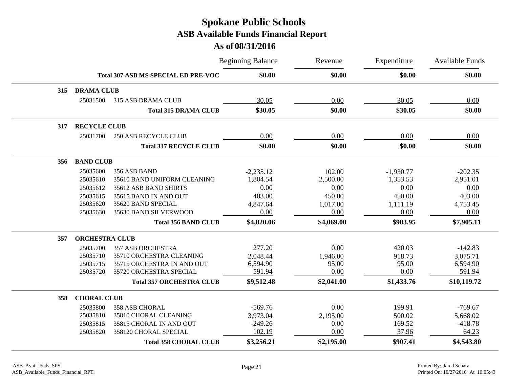|     |                       |                                            | <b>Beginning Balance</b> | Revenue    | Expenditure | <b>Available Funds</b> |
|-----|-----------------------|--------------------------------------------|--------------------------|------------|-------------|------------------------|
|     |                       | <b>Total 307 ASB MS SPECIAL ED PRE-VOC</b> | \$0.00                   | \$0.00     | \$0.00      | \$0.00                 |
| 315 | <b>DRAMA CLUB</b>     |                                            |                          |            |             |                        |
|     | 25031500              | 315 ASB DRAMA CLUB                         | 30.05                    | 0.00       | 30.05       | 0.00                   |
|     |                       | <b>Total 315 DRAMA CLUB</b>                | \$30.05                  | \$0.00     | \$30.05     | \$0.00                 |
| 317 | <b>RECYCLE CLUB</b>   |                                            |                          |            |             |                        |
|     | 25031700              | <b>250 ASB RECYCLE CLUB</b>                | 0.00                     | 0.00       | 0.00        | 0.00                   |
|     |                       | <b>Total 317 RECYCLE CLUB</b>              | \$0.00                   | \$0.00     | \$0.00      | \$0.00                 |
| 356 | <b>BAND CLUB</b>      |                                            |                          |            |             |                        |
|     | 25035600              | 356 ASB BAND                               | $-2,235.12$              | 102.00     | $-1,930.77$ | $-202.35$              |
|     | 25035610              | 35610 BAND UNIFORM CLEANING                | 1,804.54                 | 2,500.00   | 1,353.53    | 2,951.01               |
|     | 25035612              | 35612 ASB BAND SHIRTS                      | 0.00                     | 0.00       | 0.00        | 0.00                   |
|     | 25035615              | 35615 BAND IN AND OUT                      | 403.00                   | 450.00     | 450.00      | 403.00                 |
|     | 25035620              | 35620 BAND SPECIAL                         | 4,847.64                 | 1,017.00   | 1,111.19    | 4,753.45               |
|     | 25035630              | 35630 BAND SILVERWOOD                      | 0.00                     | 0.00       | 0.00        | 0.00                   |
|     |                       | <b>Total 356 BAND CLUB</b>                 | \$4,820.06               | \$4,069.00 | \$983.95    | \$7,905.11             |
| 357 | <b>ORCHESTRA CLUB</b> |                                            |                          |            |             |                        |
|     | 25035700              | <b>357 ASB ORCHESTRA</b>                   | 277.20                   | 0.00       | 420.03      | $-142.83$              |
|     | 25035710              | 35710 ORCHESTRA CLEANING                   | 2,048.44                 | 1,946.00   | 918.73      | 3,075.71               |
|     | 25035715              | 35715 ORCHESTRA IN AND OUT                 | 6,594.90                 | 95.00      | 95.00       | 6,594.90               |
|     | 25035720              | 35720 ORCHESTRA SPECIAL                    | 591.94                   | 0.00       | 0.00        | 591.94                 |
|     |                       | <b>Total 357 ORCHESTRA CLUB</b>            | \$9,512.48               | \$2,041.00 | \$1,433.76  | \$10,119.72            |
| 358 | <b>CHORAL CLUB</b>    |                                            |                          |            |             |                        |
|     | 25035800              | <b>358 ASB CHORAL</b>                      | $-569.76$                | 0.00       | 199.91      | $-769.67$              |
|     | 25035810              | 35810 CHORAL CLEANING                      | 3,973.04                 | 2,195.00   | 500.02      | 5,668.02               |
|     | 25035815              | 35815 CHORAL IN AND OUT                    | $-249.26$                | 0.00       | 169.52      | $-418.78$              |
|     | 25035820              | 358120 CHORAL SPECIAL                      | 102.19                   | 0.00       | 37.96       | 64.23                  |
|     |                       | <b>Total 358 CHORAL CLUB</b>               | \$3,256.21               | \$2,195.00 | \$907.41    | \$4,543.80             |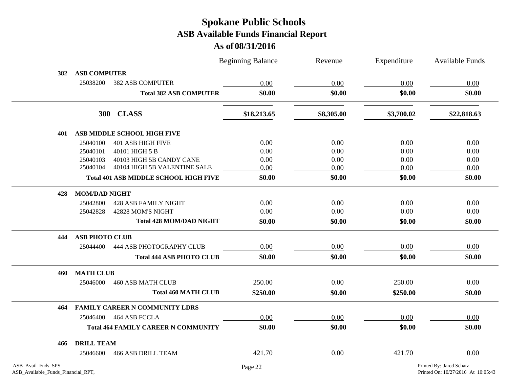|                    |                       |                                              | <b>Beginning Balance</b> | Revenue    | Expenditure | Available Funds          |
|--------------------|-----------------------|----------------------------------------------|--------------------------|------------|-------------|--------------------------|
| 382                | <b>ASB COMPUTER</b>   |                                              |                          |            |             |                          |
|                    | 25038200              | <b>382 ASB COMPUTER</b>                      | 0.00                     | 0.00       | 0.00        | 0.00                     |
|                    |                       | <b>Total 382 ASB COMPUTER</b>                | \$0.00                   | \$0.00     | \$0.00      | \$0.00                   |
|                    | <b>300</b>            | <b>CLASS</b>                                 | \$18,213.65              | \$8,305.00 | \$3,700.02  | \$22,818.63              |
| 401                |                       | ASB MIDDLE SCHOOL HIGH FIVE                  |                          |            |             |                          |
|                    | 25040100              | <b>401 ASB HIGH FIVE</b>                     | 0.00                     | 0.00       | 0.00        | 0.00                     |
|                    | 25040101              | 40101 HIGH 5 B                               | 0.00                     | 0.00       | 0.00        | 0.00                     |
|                    | 25040103              | 40103 HIGH 5B CANDY CANE                     | 0.00                     | 0.00       | 0.00        | 0.00                     |
|                    | 25040104              | 40104 HIGH 5B VALENTINE SALE                 | 0.00                     | 0.00       | 0.00        | 0.00                     |
|                    |                       | <b>Total 401 ASB MIDDLE SCHOOL HIGH FIVE</b> | \$0.00                   | \$0.00     | \$0.00      | \$0.00                   |
| 428                | <b>MOM/DAD NIGHT</b>  |                                              |                          |            |             |                          |
|                    | 25042800              | <b>428 ASB FAMILY NIGHT</b>                  | 0.00                     | 0.00       | 0.00        | 0.00                     |
|                    | 25042828              | 42828 MOM'S NIGHT                            | 0.00                     | 0.00       | 0.00        | 0.00                     |
|                    |                       | <b>Total 428 MOM/DAD NIGHT</b>               | \$0.00                   | \$0.00     | \$0.00      | \$0.00                   |
| 444                | <b>ASB PHOTO CLUB</b> |                                              |                          |            |             |                          |
|                    | 25044400              | 444 ASB PHOTOGRAPHY CLUB                     | 0.00                     | 0.00       | 0.00        | 0.00                     |
|                    |                       | <b>Total 444 ASB PHOTO CLUB</b>              | \$0.00                   | \$0.00     | \$0.00      | \$0.00                   |
| 460                | <b>MATH CLUB</b>      |                                              |                          |            |             |                          |
|                    | 25046000              | <b>460 ASB MATH CLUB</b>                     | 250.00                   | 0.00       | 250.00      | 0.00                     |
|                    |                       | <b>Total 460 MATH CLUB</b>                   | \$250.00                 | \$0.00     | \$250.00    | \$0.00                   |
| 464                |                       | <b>FAMILY CAREER N COMMUNITY LDRS</b>        |                          |            |             |                          |
|                    | 25046400              | 464 ASB FCCLA                                | 0.00                     | 0.00       | 0.00        | 0.00                     |
|                    |                       | <b>Total 464 FAMILY CAREER N COMMUNITY</b>   | \$0.00                   | \$0.00     | \$0.00      | \$0.00                   |
| 466                | <b>DRILL TEAM</b>     |                                              |                          |            |             |                          |
|                    | 25046600              | <b>466 ASB DRILL TEAM</b>                    | 421.70                   | 0.00       | 421.70      | 0.00                     |
| ASB_Avail_Fnds_SPS |                       |                                              | Page 22                  |            |             | Printed By: Jared Schatz |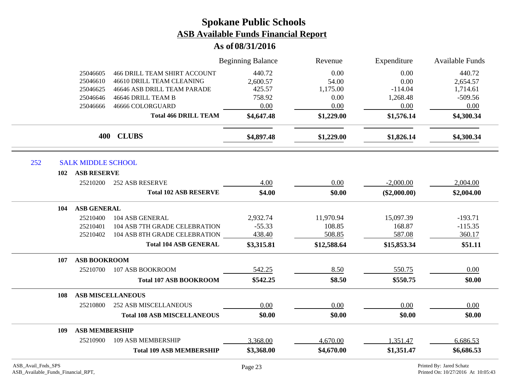|                    |                           |                                     | <b>Beginning Balance</b> | Revenue     | Expenditure    | Available Funds          |
|--------------------|---------------------------|-------------------------------------|--------------------------|-------------|----------------|--------------------------|
|                    | 25046605                  | <b>466 DRILL TEAM SHIRT ACCOUNT</b> | 440.72                   | 0.00        | 0.00           | 440.72                   |
|                    | 25046610                  | 46610 DRILL TEAM CLEANING           | 2,600.57                 | 54.00       | 0.00           | 2,654.57                 |
|                    | 25046625                  | 46646 ASB DRILL TEAM PARADE         | 425.57                   | 1,175.00    | $-114.04$      | 1,714.61                 |
|                    | 25046646                  | 46646 DRILL TEAM B                  | 758.92                   | 0.00        | 1,268.48       | $-509.56$                |
|                    | 25046666                  | 46666 COLORGUARD                    | 0.00                     | 0.00        | 0.00           | 0.00                     |
|                    |                           | <b>Total 466 DRILL TEAM</b>         | \$4,647.48               | \$1,229.00  | \$1,576.14     | \$4,300.34               |
|                    | 400                       | <b>CLUBS</b>                        | \$4,897.48               | \$1,229.00  | \$1,826.14     | \$4,300.34               |
| 252                | <b>SALK MIDDLE SCHOOL</b> |                                     |                          |             |                |                          |
| 102                | <b>ASB RESERVE</b>        |                                     |                          |             |                |                          |
|                    | 25210200                  | <b>252 ASB RESERVE</b>              | 4.00                     | 0.00        | $-2,000.00$    | 2,004.00                 |
|                    |                           | <b>Total 102 ASB RESERVE</b>        | \$4.00                   | \$0.00      | $(\$2,000.00)$ | \$2,004.00               |
| 104                | <b>ASB GENERAL</b>        |                                     |                          |             |                |                          |
|                    | 25210400                  | 104 ASB GENERAL                     | 2,932.74                 | 11,970.94   | 15,097.39      | $-193.71$                |
|                    | 25210401                  | 104 ASB 7TH GRADE CELEBRATION       | $-55.33$                 | 108.85      | 168.87         | $-115.35$                |
|                    | 25210402                  | 104 ASB 8TH GRADE CELEBRATION       | 438.40                   | 508.85      | 587.08         | 360.17                   |
|                    |                           | <b>Total 104 ASB GENERAL</b>        | \$3,315.81               | \$12,588.64 | \$15,853.34    | \$51.11                  |
| 107                | <b>ASB BOOKROOM</b>       |                                     |                          |             |                |                          |
|                    | 25210700                  | 107 ASB BOOKROOM                    | 542.25                   | 8.50        | 550.75         | 0.00                     |
|                    |                           | <b>Total 107 ASB BOOKROOM</b>       | \$542.25                 | \$8.50      | \$550.75       | \$0.00                   |
| 108                |                           | <b>ASB MISCELLANEOUS</b>            |                          |             |                |                          |
|                    | 25210800                  | <b>252 ASB MISCELLANEOUS</b>        | 0.00                     | 0.00        | 0.00           | 0.00                     |
|                    |                           | <b>Total 108 ASB MISCELLANEOUS</b>  | \$0.00                   | \$0.00      | \$0.00         | \$0.00                   |
| 109                | <b>ASB MEMBERSHIP</b>     |                                     |                          |             |                |                          |
|                    | 25210900                  | 109 ASB MEMBERSHIP                  | 3,368.00                 | 4,670.00    | 1,351.47       | 6,686.53                 |
|                    |                           | <b>Total 109 ASB MEMBERSHIP</b>     | \$3,368.00               | \$4,670.00  | \$1,351.47     | \$6,686.53               |
| ASB_Avail_Fnds_SPS |                           |                                     | Page 23                  |             |                | Printed By: Jared Schatz |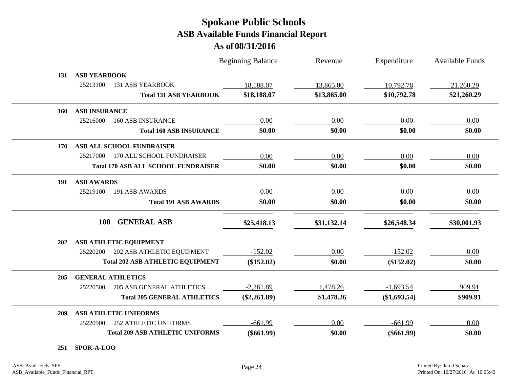### **As of 08/31/2016**

|     |                                              | <b>Beginning Balance</b> | Revenue     | Expenditure  | <b>Available Funds</b> |
|-----|----------------------------------------------|--------------------------|-------------|--------------|------------------------|
| 131 | <b>ASB YEARBOOK</b>                          |                          |             |              |                        |
|     | 25213100<br><b>131 ASB YEARBOOK</b>          | 18,188.07                | 13,865.00   | 10,792.78    | 21,260.29              |
|     | <b>Total 131 ASB YEARBOOK</b>                | \$18,188.07              | \$13,865.00 | \$10,792.78  | \$21,260.29            |
| 160 | <b>ASB INSURANCE</b>                         |                          |             |              |                        |
|     | 25216000<br><b>160 ASB INSURANCE</b>         | 0.00                     | 0.00        | 0.00         | 0.00                   |
|     | <b>Total 160 ASB INSURANCE</b>               | \$0.00                   | \$0.00      | \$0.00       | \$0.00                 |
| 170 | ASB ALL SCHOOL FUNDRAISER                    |                          |             |              |                        |
|     | 170 ALL SCHOOL FUNDRAISER<br>25217000        | 0.00                     | 0.00        | 0.00         | 0.00                   |
|     | <b>Total 170 ASB ALL SCHOOL FUNDRAISER</b>   | \$0.00                   | \$0.00      | \$0.00       | \$0.00                 |
| 191 | <b>ASB AWARDS</b>                            |                          |             |              |                        |
|     | 25219100<br>191 ASB AWARDS                   | 0.00                     | 0.00        | 0.00         | 0.00                   |
|     | <b>Total 191 ASB AWARDS</b>                  | \$0.00                   | \$0.00      | \$0.00       | \$0.00                 |
|     | <b>GENERAL ASB</b><br><b>100</b>             | \$25,418.13              | \$31,132.14 | \$26,548.34  | \$30,001.93            |
| 202 | <b>ASB ATHLETIC EQUIPMENT</b>                |                          |             |              |                        |
|     | 202 ASB ATHLETIC EQUIPMENT<br>25220200       | $-152.02$                | 0.00        | $-152.02$    | 0.00                   |
|     | <b>Total 202 ASB ATHLETIC EQUIPMENT</b>      | $(\$152.02)$             | \$0.00      | (\$152.02)   | \$0.00                 |
| 205 | <b>GENERAL ATHLETICS</b>                     |                          |             |              |                        |
|     | 25220500<br><b>205 ASB GENERAL ATHLETICS</b> | $-2,261.89$              | 1,478.26    | $-1,693.54$  | 909.91                 |
|     | <b>Total 205 GENERAL ATHLETICS</b>           | $(\$2,261.89)$           | \$1,478.26  | (\$1,693.54) | \$909.91               |
| 209 | <b>ASB ATHLETIC UNIFORMS</b>                 |                          |             |              |                        |
|     | <b>252 ATHLETIC UNIFORMS</b><br>25220900     | $-661.99$                | 0.00        | $-661.99$    | 0.00                   |
|     | <b>Total 209 ASB ATHLETIC UNIFORMS</b>       | $(\$661.99)$             | \$0.00      | $(\$661.99)$ | \$0.00                 |

**251 SPOK-A-LOO**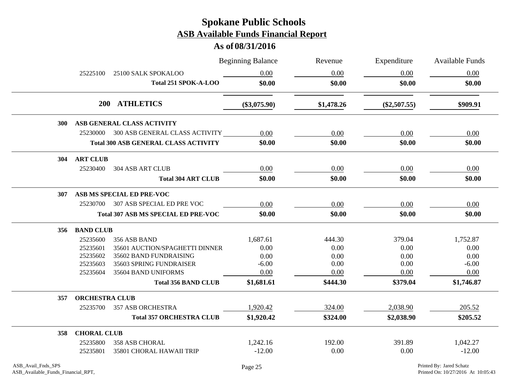|            |                       |                                             | <b>Beginning Balance</b> | Revenue    | Expenditure    | <b>Available Funds</b> |
|------------|-----------------------|---------------------------------------------|--------------------------|------------|----------------|------------------------|
|            | 25225100              | 25100 SALK SPOKALOO                         | 0.00                     | 0.00       | 0.00           | 0.00                   |
|            |                       | Total 251 SPOK-A-LOO                        | \$0.00                   | \$0.00     | \$0.00         | \$0.00                 |
|            |                       | 200 ATHLETICS                               | $(\$3,075.90)$           | \$1,478.26 | $(\$2,507.55)$ | \$909.91               |
| <b>300</b> |                       | ASB GENERAL CLASS ACTIVITY                  |                          |            |                |                        |
|            |                       | 25230000 300 ASB GENERAL CLASS ACTIVITY     | 0.00                     | 0.00       | 0.00           | 0.00                   |
|            |                       | <b>Total 300 ASB GENERAL CLASS ACTIVITY</b> | \$0.00                   | \$0.00     | \$0.00         | \$0.00                 |
| <b>304</b> | <b>ART CLUB</b>       |                                             |                          |            |                |                        |
|            | 25230400              | <b>304 ASB ART CLUB</b>                     | 0.00                     | 0.00       | 0.00           | 0.00                   |
|            |                       | <b>Total 304 ART CLUB</b>                   | \$0.00                   | \$0.00     | \$0.00         | \$0.00                 |
| <b>307</b> |                       | ASB MS SPECIAL ED PRE-VOC                   |                          |            |                |                        |
|            |                       | 25230700 307 ASB SPECIAL ED PRE VOC         | 0.00                     | 0.00       | 0.00           | 0.00                   |
|            |                       | <b>Total 307 ASB MS SPECIAL ED PRE-VOC</b>  | \$0.00                   | \$0.00     | \$0.00         | \$0.00                 |
| 356        | <b>BAND CLUB</b>      |                                             |                          |            |                |                        |
|            | 25235600              | 356 ASB BAND                                | 1,687.61                 | 444.30     | 379.04         | 1,752.87               |
|            | 25235601              | 35601 AUCTION/SPAGHETTI DINNER              | 0.00                     | 0.00       | 0.00           | 0.00                   |
|            | 25235602              | 35602 BAND FUNDRAISING                      | 0.00                     | 0.00       | 0.00           | 0.00                   |
|            | 25235603              | 35603 SPRING FUNDRAISER                     | $-6.00$                  | 0.00       | 0.00           | $-6.00$                |
|            | 25235604              | 35604 BAND UNIFORMS                         | 0.00                     | 0.00       | 0.00           | 0.00                   |
|            |                       | <b>Total 356 BAND CLUB</b>                  | \$1,681.61               | \$444.30   | \$379.04       | \$1,746.87             |
| 357        | <b>ORCHESTRA CLUB</b> |                                             |                          |            |                |                        |
|            | 25235700              | <b>357 ASB ORCHESTRA</b>                    | 1,920.42                 | 324.00     | 2,038.90       | 205.52                 |
|            |                       | <b>Total 357 ORCHESTRA CLUB</b>             | \$1,920.42               | \$324.00   | \$2,038.90     | \$205.52               |
| 358        | <b>CHORAL CLUB</b>    |                                             |                          |            |                |                        |
|            | 25235800              | <b>358 ASB CHORAL</b>                       | 1,242.16                 | 192.00     | 391.89         | 1,042.27               |
|            | 25235801              | 35801 CHORAL HAWAII TRIP                    | $-12.00$                 | 0.00       | 0.00           | $-12.00$               |
|            |                       |                                             |                          |            |                |                        |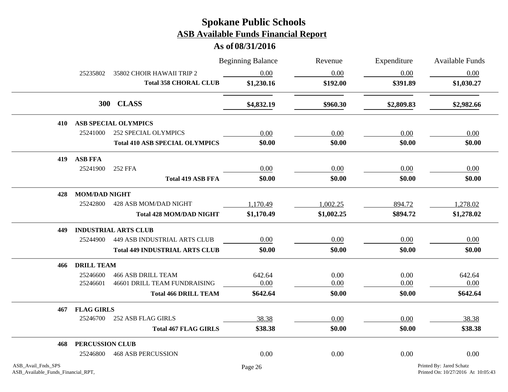|                                                          |                      |                                       | <b>Beginning Balance</b> | Revenue    | Expenditure | <b>Available Funds</b>                                         |
|----------------------------------------------------------|----------------------|---------------------------------------|--------------------------|------------|-------------|----------------------------------------------------------------|
|                                                          | 25235802             | 35802 CHOIR HAWAII TRIP 2             | 0.00                     | 0.00       | 0.00        | 0.00                                                           |
|                                                          |                      | <b>Total 358 CHORAL CLUB</b>          | \$1,230.16               | \$192.00   | \$391.89    | \$1,030.27                                                     |
|                                                          |                      | 300 CLASS                             | \$4,832.19               | \$960.30   | \$2,809.83  | \$2,982.66                                                     |
| 410                                                      |                      | <b>ASB SPECIAL OLYMPICS</b>           |                          |            |             |                                                                |
|                                                          | 25241000             | <b>252 SPECIAL OLYMPICS</b>           | 0.00                     | 0.00       | 0.00        | 0.00                                                           |
|                                                          |                      | <b>Total 410 ASB SPECIAL OLYMPICS</b> | \$0.00                   | \$0.00     | \$0.00      | \$0.00                                                         |
| 419                                                      | <b>ASB FFA</b>       |                                       |                          |            |             |                                                                |
|                                                          | 25241900             | 252 FFA                               | 0.00                     | 0.00       | 0.00        | 0.00                                                           |
|                                                          |                      | <b>Total 419 ASB FFA</b>              | \$0.00                   | \$0.00     | \$0.00      | \$0.00                                                         |
| 428                                                      | <b>MOM/DAD NIGHT</b> |                                       |                          |            |             |                                                                |
|                                                          | 25242800             | 428 ASB MOM/DAD NIGHT                 | 1,170.49                 | 1,002.25   | 894.72      | 1,278.02                                                       |
|                                                          |                      | <b>Total 428 MOM/DAD NIGHT</b>        | \$1,170.49               | \$1,002.25 | \$894.72    | \$1,278.02                                                     |
| 449                                                      |                      | <b>INDUSTRIAL ARTS CLUB</b>           |                          |            |             |                                                                |
|                                                          | 25244900             | <b>449 ASB INDUSTRIAL ARTS CLUB</b>   | 0.00                     | 0.00       | 0.00        | 0.00                                                           |
|                                                          |                      | <b>Total 449 INDUSTRIAL ARTS CLUB</b> | \$0.00                   | \$0.00     | \$0.00      | \$0.00                                                         |
| 466                                                      | <b>DRILL TEAM</b>    |                                       |                          |            |             |                                                                |
|                                                          | 25246600             | <b>466 ASB DRILL TEAM</b>             | 642.64                   | 0.00       | 0.00        | 642.64                                                         |
|                                                          | 25246601             | 46601 DRILL TEAM FUNDRAISING          | 0.00                     | 0.00       | 0.00        | 0.00                                                           |
|                                                          |                      | <b>Total 466 DRILL TEAM</b>           | \$642.64                 | \$0.00     | \$0.00      | \$642.64                                                       |
| 467                                                      | <b>FLAG GIRLS</b>    |                                       |                          |            |             |                                                                |
|                                                          | 25246700             | 252 ASB FLAG GIRLS                    | 38.38                    | 0.00       | 0.00        | 38.38                                                          |
|                                                          |                      | <b>Total 467 FLAG GIRLS</b>           | \$38.38                  | \$0.00     | \$0.00      | \$38.38                                                        |
| 468                                                      | PERCUSSION CLUB      |                                       |                          |            |             |                                                                |
|                                                          | 25246800             | <b>468 ASB PERCUSSION</b>             | 0.00                     | 0.00       | 0.00        | 0.00                                                           |
| ASB_Avail_Fnds_SPS<br>ASB_Available_Funds_Financial_RPT, |                      |                                       | Page 26                  |            |             | Printed By: Jared Schatz<br>Printed On: 10/27/2016 At 10:05:43 |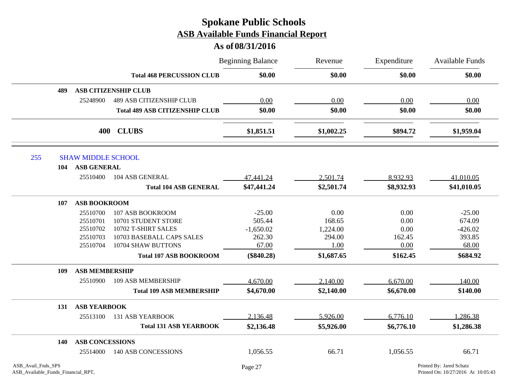|                    |                           |                                       | <b>Beginning Balance</b> | Revenue<br>\$0.00<br>\$0.00 | Expenditure<br>\$0.00 | <b>Available Funds</b><br>\$0.00 |
|--------------------|---------------------------|---------------------------------------|--------------------------|-----------------------------|-----------------------|----------------------------------|
|                    |                           | <b>Total 468 PERCUSSION CLUB</b>      |                          |                             |                       |                                  |
| 489                |                           | <b>ASB CITIZENSHIP CLUB</b>           |                          |                             |                       |                                  |
|                    | 25248900                  | <b>489 ASB CITIZENSHIP CLUB</b>       | 0.00                     | 0.00                        | 0.00                  | 0.00                             |
|                    |                           | <b>Total 489 ASB CITIZENSHIP CLUB</b> | \$0.00                   | \$0.00                      | \$0.00                | \$0.00                           |
|                    | 400                       | <b>CLUBS</b>                          | \$1,851.51               | \$1,002.25                  | \$894.72              | \$1,959.04                       |
| 255                | <b>SHAW MIDDLE SCHOOL</b> |                                       |                          |                             |                       |                                  |
| 104                | <b>ASB GENERAL</b>        |                                       |                          |                             |                       |                                  |
|                    | 25510400                  | 104 ASB GENERAL                       | 47,441.24                | 2,501.74                    | 8,932.93              | 41,010.05                        |
|                    |                           | <b>Total 104 ASB GENERAL</b>          | \$47,441.24              | \$2,501.74                  | \$8,932.93            | \$41,010.05                      |
| 107                | <b>ASB BOOKROOM</b>       |                                       |                          |                             |                       |                                  |
|                    | 25510700                  | 107 ASB BOOKROOM                      | $-25.00$                 | 0.00                        | 0.00                  | $-25.00$                         |
|                    | 25510701                  | 10701 STUDENT STORE                   | 505.44                   | 168.65                      | 0.00                  | 674.09                           |
|                    | 25510702                  | 10702 T-SHIRT SALES                   | $-1,650.02$              | 1,224.00                    | 0.00                  | $-426.02$                        |
|                    | 25510703                  | 10703 BASEBALL CAPS SALES             | 262.30                   | 294.00                      | 162.45                | 393.85                           |
|                    | 25510704                  | 10704 SHAW BUTTONS                    | 67.00                    | 1.00                        | 0.00                  | 68.00                            |
|                    |                           | <b>Total 107 ASB BOOKROOM</b>         | $(\$840.28)$             | \$1,687.65                  | \$162.45              | \$684.92                         |
| 109                | <b>ASB MEMBERSHIP</b>     |                                       |                          |                             |                       |                                  |
|                    | 25510900                  | <b>109 ASB MEMBERSHIP</b>             | 4,670.00                 | 2,140.00                    | 6,670.00              | 140.00                           |
|                    |                           | <b>Total 109 ASB MEMBERSHIP</b>       | \$4,670.00               | \$2,140.00                  | \$6,670.00            | \$140.00                         |
| 131                | <b>ASB YEARBOOK</b>       |                                       |                          |                             |                       |                                  |
|                    | 25513100                  | <b>131 ASB YEARBOOK</b>               | 2,136.48                 | 5,926.00                    | 6,776.10              | 1,286.38                         |
|                    |                           | <b>Total 131 ASB YEARBOOK</b>         | \$2,136.48               | \$5,926.00                  | \$6,776.10            | \$1,286.38                       |
| 140                | <b>ASB CONCESSIONS</b>    |                                       |                          |                             |                       |                                  |
|                    | 25514000                  | <b>140 ASB CONCESSIONS</b>            | 1,056.55                 | 66.71                       | 1,056.55              | 66.71                            |
| ASB_Avail_Fnds_SPS |                           |                                       | Page 27                  |                             |                       | Printed By: Jared Schatz         |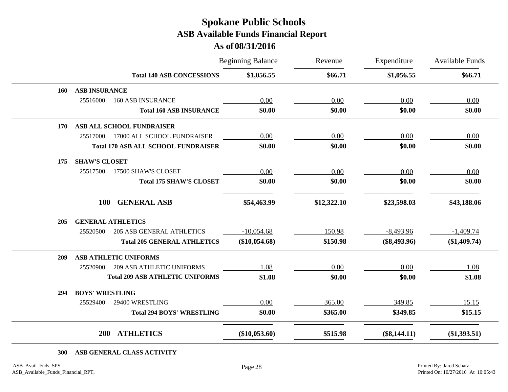### **As of 08/31/2016**

|     |                                              | <b>Beginning Balance</b> | Revenue     | Expenditure    | Available Funds |
|-----|----------------------------------------------|--------------------------|-------------|----------------|-----------------|
|     | <b>Total 140 ASB CONCESSIONS</b>             | \$1,056.55               | \$66.71     | \$1,056.55     | \$66.71         |
| 160 | <b>ASB INSURANCE</b>                         |                          |             |                |                 |
|     | 25516000<br><b>160 ASB INSURANCE</b>         | 0.00                     | 0.00        | 0.00           | 0.00            |
|     | <b>Total 160 ASB INSURANCE</b>               | \$0.00                   | \$0.00      | \$0.00         | \$0.00          |
| 170 | ASB ALL SCHOOL FUNDRAISER                    |                          |             |                |                 |
|     | 25517000<br>17000 ALL SCHOOL FUNDRAISER      | 0.00                     | 0.00        | 0.00           | 0.00            |
|     | <b>Total 170 ASB ALL SCHOOL FUNDRAISER</b>   | \$0.00                   | \$0.00      | \$0.00         | \$0.00          |
| 175 | <b>SHAW'S CLOSET</b>                         |                          |             |                |                 |
|     | 25517500<br>17500 SHAW'S CLOSET              | 0.00                     | 0.00        | 0.00           | 0.00            |
|     | <b>Total 175 SHAW'S CLOSET</b>               | \$0.00                   | \$0.00      | \$0.00         | \$0.00          |
|     | <b>GENERAL ASB</b><br><b>100</b>             | \$54,463.99              | \$12,322.10 | \$23,598.03    | \$43,188.06     |
| 205 | <b>GENERAL ATHLETICS</b>                     |                          |             |                |                 |
|     | <b>205 ASB GENERAL ATHLETICS</b><br>25520500 | $-10,054.68$             | 150.98      | $-8,493.96$    | $-1,409.74$     |
|     | <b>Total 205 GENERAL ATHLETICS</b>           | $(\$10,054.68)$          | \$150.98    | $(\$8,493.96)$ | $(\$1,409.74)$  |
| 209 | <b>ASB ATHLETIC UNIFORMS</b>                 |                          |             |                |                 |
|     | <b>209 ASB ATHLETIC UNIFORMS</b><br>25520900 | 1.08                     | 0.00        | 0.00           | 1.08            |
|     | <b>Total 209 ASB ATHLETIC UNIFORMS</b>       | \$1.08                   | \$0.00      | \$0.00         | \$1.08          |
| 294 | <b>BOYS' WRESTLING</b>                       |                          |             |                |                 |
|     | 25529400<br>29400 WRESTLING                  | 0.00                     | 365.00      | 349.85         | 15.15           |
|     | <b>Total 294 BOYS' WRESTLING</b>             | \$0.00                   | \$365.00    | \$349.85       | \$15.15         |
|     | <b>ATHLETICS</b><br><b>200</b>               | $(\$10,053.60)$          | \$515.98    | $(\$8,144.11)$ | $(\$1,393.51)$  |

**300 ASB GENERAL CLASS ACTIVITY**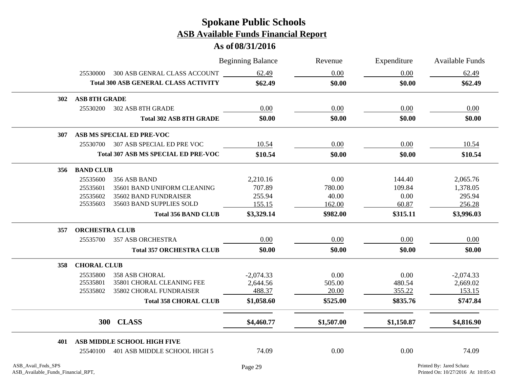|     |                       |                                                             | <b>Beginning Balance</b> | Revenue    | Expenditure | <b>Available Funds</b> |
|-----|-----------------------|-------------------------------------------------------------|--------------------------|------------|-------------|------------------------|
|     | 25530000              | 300 ASB GENRAL CLASS ACCOUNT                                | 62.49                    | 0.00       | 0.00        | 62.49                  |
|     |                       | <b>Total 300 ASB GENERAL CLASS ACTIVITY</b>                 | \$62.49                  | \$0.00     | \$0.00      | \$62.49                |
| 302 | <b>ASB 8TH GRADE</b>  |                                                             |                          |            |             |                        |
|     | 25530200              | 302 ASB 8TH GRADE                                           | 0.00                     | 0.00       | 0.00        | 0.00                   |
|     |                       | <b>Total 302 ASB 8TH GRADE</b>                              | \$0.00                   | \$0.00     | \$0.00      | \$0.00                 |
| 307 |                       | ASB MS SPECIAL ED PRE-VOC                                   |                          |            |             |                        |
|     |                       | 25530700 307 ASB SPECIAL ED PRE VOC                         | 10.54                    | 0.00       | 0.00        | 10.54                  |
|     |                       | <b>Total 307 ASB MS SPECIAL ED PRE-VOC</b>                  | \$10.54                  | \$0.00     | \$0.00      | \$10.54                |
| 356 | <b>BAND CLUB</b>      |                                                             |                          |            |             |                        |
|     | 25535600              | 356 ASB BAND                                                | 2,210.16                 | 0.00       | 144.40      | 2,065.76               |
|     | 25535601              | 35601 BAND UNIFORM CLEANING                                 | 707.89                   | 780.00     | 109.84      | 1,378.05               |
|     | 25535602              | 35602 BAND FUNDRAISER                                       | 255.94                   | 40.00      | 0.00        | 295.94                 |
|     | 25535603              | 35603 BAND SUPPLIES SOLD                                    | 155.15                   | 162.00     | 60.87       | 256.28                 |
|     |                       | <b>Total 356 BAND CLUB</b>                                  | \$3,329.14               | \$982.00   | \$315.11    | \$3,996.03             |
| 357 | <b>ORCHESTRA CLUB</b> |                                                             |                          |            |             |                        |
|     | 25535700              | 357 ASB ORCHESTRA                                           | 0.00                     | 0.00       | 0.00        | 0.00                   |
|     |                       | <b>Total 357 ORCHESTRA CLUB</b>                             | \$0.00                   | \$0.00     | \$0.00      | \$0.00                 |
| 358 | <b>CHORAL CLUB</b>    |                                                             |                          |            |             |                        |
|     | 25535800              | <b>358 ASB CHORAL</b>                                       | $-2,074.33$              | 0.00       | 0.00        | $-2,074.33$            |
|     | 25535801              | 35801 CHORAL CLEANING FEE                                   | 2,644.56                 | 505.00     | 480.54      | 2,669.02               |
|     | 25535802              | 35802 CHORAL FUNDRAISER                                     | 488.37                   | 20.00      | 355.22      | 153.15                 |
|     |                       | <b>Total 358 CHORAL CLUB</b>                                | \$1,058.60               | \$525.00   | \$835.76    | \$747.84               |
|     |                       | 300 CLASS                                                   | \$4,460.77               | \$1,507.00 | \$1,150.87  | \$4,816.90             |
|     |                       |                                                             |                          |            |             |                        |
| 401 | 25540100              | ASB MIDDLE SCHOOL HIGH FIVE<br>401 ASB MIDDLE SCHOOL HIGH 5 | 74.09                    | 0.00       | 0.00        | 74.09                  |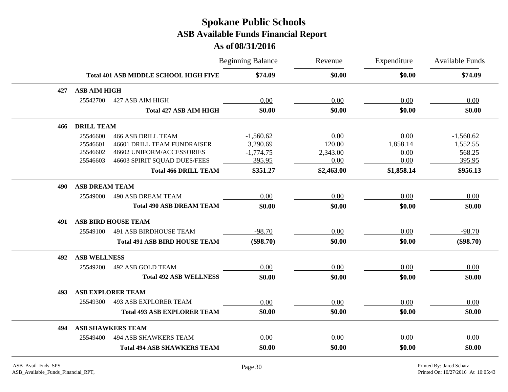|     |                       |                                              | <b>Beginning Balance</b> | Revenue    | Expenditure | <b>Available Funds</b> |
|-----|-----------------------|----------------------------------------------|--------------------------|------------|-------------|------------------------|
|     |                       | <b>Total 401 ASB MIDDLE SCHOOL HIGH FIVE</b> | \$74.09                  | \$0.00     | \$0.00      | \$74.09                |
| 427 | <b>ASB AIM HIGH</b>   |                                              |                          |            |             |                        |
|     | 25542700              | 427 ASB AIM HIGH                             | 0.00                     | 0.00       | 0.00        | 0.00                   |
|     |                       | <b>Total 427 ASB AIM HIGH</b>                | \$0.00                   | \$0.00     | \$0.00      | \$0.00                 |
| 466 | <b>DRILL TEAM</b>     |                                              |                          |            |             |                        |
|     | 25546600              | <b>466 ASB DRILL TEAM</b>                    | $-1,560.62$              | 0.00       | 0.00        | $-1,560.62$            |
|     | 25546601              | <b>46601 DRILL TEAM FUNDRAISER</b>           | 3,290.69                 | 120.00     | 1,858.14    | 1,552.55               |
|     | 25546602              | 46602 UNIFORM/ACCESSORIES                    | $-1,774.75$              | 2,343.00   | 0.00        | 568.25                 |
|     | 25546603              | 46603 SPIRIT SQUAD DUES/FEES                 | 395.95                   | 0.00       | 0.00        | 395.95                 |
|     |                       | <b>Total 466 DRILL TEAM</b>                  | \$351.27                 | \$2,463.00 | \$1,858.14  | \$956.13               |
| 490 | <b>ASB DREAM TEAM</b> |                                              |                          |            |             |                        |
|     | 25549000              | <b>490 ASB DREAM TEAM</b>                    | 0.00                     | 0.00       | 0.00        | 0.00                   |
|     |                       | <b>Total 490 ASB DREAM TEAM</b>              | \$0.00                   | \$0.00     | \$0.00      | \$0.00                 |
| 491 |                       | <b>ASB BIRD HOUSE TEAM</b>                   |                          |            |             |                        |
|     | 25549100              | <b>491 ASB BIRDHOUSE TEAM</b>                | $-98.70$                 | 0.00       | 0.00        | $-98.70$               |
|     |                       | <b>Total 491 ASB BIRD HOUSE TEAM</b>         | $(\$98.70)$              | \$0.00     | \$0.00      | $(\$98.70)$            |
| 492 | <b>ASB WELLNESS</b>   |                                              |                          |            |             |                        |
|     | 25549200              | 492 ASB GOLD TEAM                            | 0.00                     | 0.00       | 0.00        | 0.00                   |
|     |                       | <b>Total 492 ASB WELLNESS</b>                | \$0.00                   | \$0.00     | \$0.00      | \$0.00                 |
| 493 |                       | <b>ASB EXPLORER TEAM</b>                     |                          |            |             |                        |
|     | 25549300              | <b>493 ASB EXPLORER TEAM</b>                 | 0.00                     | 0.00       | 0.00        | 0.00                   |
|     |                       | <b>Total 493 ASB EXPLORER TEAM</b>           | \$0.00                   | \$0.00     | \$0.00      | \$0.00                 |
| 494 |                       | <b>ASB SHAWKERS TEAM</b>                     |                          |            |             |                        |
|     | 25549400              | <b>494 ASB SHAWKERS TEAM</b>                 | 0.00                     | 0.00       | 0.00        | 0.00                   |
|     |                       | <b>Total 494 ASB SHAWKERS TEAM</b>           | \$0.00                   | \$0.00     | \$0.00      | \$0.00                 |
|     |                       |                                              |                          |            |             |                        |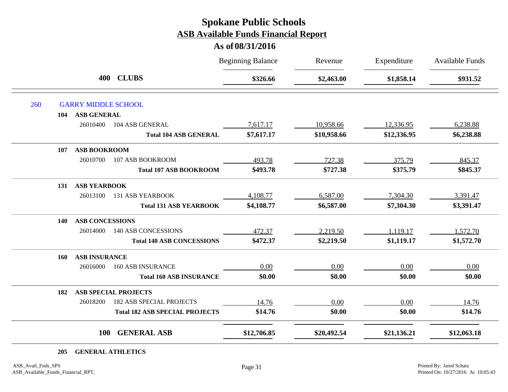### **As of 08/31/2016**

|            |                            |                                       | <b>Beginning Balance</b> | Revenue     | Expenditure | <b>Available Funds</b> |
|------------|----------------------------|---------------------------------------|--------------------------|-------------|-------------|------------------------|
|            | 400                        | <b>CLUBS</b>                          | \$326.66                 | \$2,463.00  | \$1,858.14  | \$931.52               |
| 260        | <b>GARRY MIDDLE SCHOOL</b> |                                       |                          |             |             |                        |
| 104        | <b>ASB GENERAL</b>         |                                       |                          |             |             |                        |
|            | 26010400                   | 104 ASB GENERAL                       | 7,617.17                 | 10,958.66   | 12,336.95   | 6,238.88               |
|            |                            | <b>Total 104 ASB GENERAL</b>          | \$7,617.17               | \$10,958.66 | \$12,336.95 | \$6,238.88             |
| 107        | <b>ASB BOOKROOM</b>        |                                       |                          |             |             |                        |
|            | 26010700                   | 107 ASB BOOKROOM                      | 493.78                   | 727.38      | 375.79      | 845.37                 |
|            |                            | <b>Total 107 ASB BOOKROOM</b>         | \$493.78                 | \$727.38    | \$375.79    | \$845.37               |
| 131        | <b>ASB YEARBOOK</b>        |                                       |                          |             |             |                        |
|            | 26013100                   | <b>131 ASB YEARBOOK</b>               | 4,108.77                 | 6,587.00    | 7,304.30    | 3,391.47               |
|            |                            | <b>Total 131 ASB YEARBOOK</b>         | \$4,108.77               | \$6,587.00  | \$7,304.30  | \$3,391.47             |
| 140        | <b>ASB CONCESSIONS</b>     |                                       |                          |             |             |                        |
|            | 26014000                   | <b>140 ASB CONCESSIONS</b>            | 472.37                   | 2,219.50    | 1,119.17    | 1,572.70               |
|            |                            | <b>Total 140 ASB CONCESSIONS</b>      | \$472.37                 | \$2,219.50  | \$1,119.17  | \$1,572.70             |
| <b>160</b> | <b>ASB INSURANCE</b>       |                                       |                          |             |             |                        |
|            | 26016000                   | <b>160 ASB INSURANCE</b>              | 0.00                     | 0.00        | 0.00        | 0.00                   |
|            |                            | <b>Total 160 ASB INSURANCE</b>        | \$0.00                   | \$0.00      | \$0.00      | \$0.00                 |
| 182        |                            | <b>ASB SPECIAL PROJECTS</b>           |                          |             |             |                        |
|            | 26018200                   | <b>182 ASB SPECIAL PROJECTS</b>       | 14.76                    | 0.00        | 0.00        | 14.76                  |
|            |                            | <b>Total 182 ASB SPECIAL PROJECTS</b> | \$14.76                  | \$0.00      | \$0.00      | \$14.76                |
|            | <b>100</b>                 | <b>GENERAL ASB</b>                    | \$12,706.85              | \$20,492.54 | \$21,136.21 | \$12,063.18            |

**205 GENERAL ATHLETICS**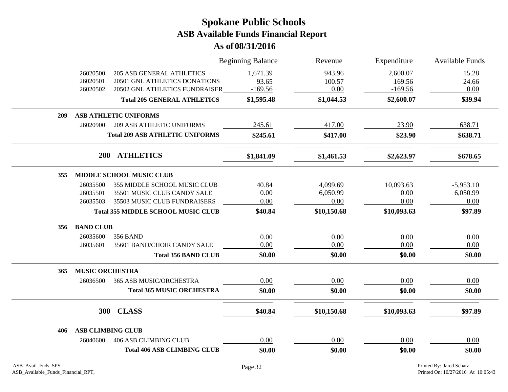|                                                                                                                                         | <b>Beginning Balance</b>       | Revenue                  | Expenditure                     | Available Funds        |
|-----------------------------------------------------------------------------------------------------------------------------------------|--------------------------------|--------------------------|---------------------------------|------------------------|
| 26020500<br><b>205 ASB GENERAL ATHLETICS</b><br>26020501<br>20501 GNL ATHLETICS DONATIONS<br>26020502<br>20502 GNL ATHLETICS FUNDRAISER | 1,671.39<br>93.65<br>$-169.56$ | 943.96<br>100.57<br>0.00 | 2,600.07<br>169.56<br>$-169.56$ | 15.28<br>24.66<br>0.00 |
| <b>Total 205 GENERAL ATHLETICS</b>                                                                                                      | \$1,595.48                     | \$1,044.53               | \$2,600.07                      | \$39.94                |
| <b>ASB ATHLETIC UNIFORMS</b><br>209                                                                                                     |                                |                          |                                 |                        |
| <b>209 ASB ATHLETIC UNIFORMS</b><br>26020900                                                                                            | 245.61                         | 417.00                   | 23.90                           | 638.71                 |
| <b>Total 209 ASB ATHLETIC UNIFORMS</b>                                                                                                  | \$245.61                       | \$417.00                 | \$23.90                         | \$638.71               |
| 200 ATHLETICS                                                                                                                           | \$1,841.09                     | \$1,461.53               | \$2,623.97                      | \$678.65               |
| <b>MIDDLE SCHOOL MUSIC CLUB</b><br>355                                                                                                  |                                |                          |                                 |                        |
| 26035500<br>355 MIDDLE SCHOOL MUSIC CLUB                                                                                                | 40.84                          | 4,099.69                 | 10,093.63                       | $-5,953.10$            |
| 26035501<br>35501 MUSIC CLUB CANDY SALE                                                                                                 | 0.00                           | 6,050.99                 | 0.00                            | 6,050.99               |
| 35503 MUSIC CLUB FUNDRAISERS<br>26035503                                                                                                | 0.00                           | 0.00                     | 0.00                            | 0.00                   |
| <b>Total 355 MIDDLE SCHOOL MUSIC CLUB</b>                                                                                               | \$40.84                        | \$10,150.68              | \$10,093.63                     | \$97.89                |
| <b>BAND CLUB</b><br>356                                                                                                                 |                                |                          |                                 |                        |
| 26035600<br><b>356 BAND</b>                                                                                                             | 0.00                           | 0.00                     | 0.00                            | 0.00                   |
| 26035601<br>35601 BAND/CHOIR CANDY SALE                                                                                                 | 0.00                           | 0.00                     | 0.00                            | 0.00                   |
| <b>Total 356 BAND CLUB</b>                                                                                                              | \$0.00                         | \$0.00                   | \$0.00                          | \$0.00                 |
| <b>MUSIC ORCHESTRA</b><br>365                                                                                                           |                                |                          |                                 |                        |
| 26036500<br>365 ASB MUSIC/ORCHESTRA                                                                                                     | 0.00                           | 0.00                     | 0.00                            | 0.00                   |
| <b>Total 365 MUSIC ORCHESTRA</b>                                                                                                        | \$0.00                         | \$0.00                   | \$0.00                          | \$0.00                 |
| 300<br><b>CLASS</b>                                                                                                                     | \$40.84                        | \$10,150.68              | \$10,093.63                     | \$97.89                |
| <b>ASB CLIMBING CLUB</b><br>406                                                                                                         |                                |                          |                                 |                        |
| 26040600<br><b>406 ASB CLIMBING CLUB</b>                                                                                                | 0.00                           | 0.00                     | 0.00                            | 0.00                   |
| <b>Total 406 ASB CLIMBING CLUB</b>                                                                                                      | \$0.00                         | \$0.00                   | \$0.00                          | \$0.00                 |
|                                                                                                                                         |                                |                          |                                 |                        |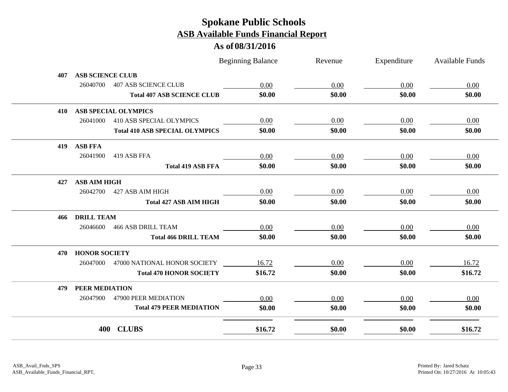|     |                         |                                       | <b>Beginning Balance</b> | Revenue | Expenditure | <b>Available Funds</b> |
|-----|-------------------------|---------------------------------------|--------------------------|---------|-------------|------------------------|
| 407 | <b>ASB SCIENCE CLUB</b> |                                       |                          |         |             |                        |
|     | 26040700                | <b>407 ASB SCIENCE CLUB</b>           | 0.00                     | 0.00    | 0.00        | 0.00                   |
|     |                         | <b>Total 407 ASB SCIENCE CLUB</b>     | \$0.00                   | \$0.00  | \$0.00      | \$0.00                 |
| 410 |                         | <b>ASB SPECIAL OLYMPICS</b>           |                          |         |             |                        |
|     | 26041000                | <b>410 ASB SPECIAL OLYMPICS</b>       | 0.00                     | 0.00    | 0.00        | 0.00                   |
|     |                         | <b>Total 410 ASB SPECIAL OLYMPICS</b> | \$0.00                   | \$0.00  | \$0.00      | \$0.00                 |
| 419 | <b>ASB FFA</b>          |                                       |                          |         |             |                        |
|     | 26041900                | 419 ASB FFA                           | 0.00                     | 0.00    | 0.00        | 0.00                   |
|     |                         | <b>Total 419 ASB FFA</b>              | \$0.00                   | \$0.00  | \$0.00      | \$0.00                 |
| 427 | <b>ASB AIM HIGH</b>     |                                       |                          |         |             |                        |
|     | 26042700                | 427 ASB AIM HIGH                      | 0.00                     | 0.00    | 0.00        | 0.00                   |
|     |                         | <b>Total 427 ASB AIM HIGH</b>         | \$0.00                   | \$0.00  | \$0.00      | \$0.00                 |
| 466 | <b>DRILL TEAM</b>       |                                       |                          |         |             |                        |
|     | 26046600                | <b>466 ASB DRILL TEAM</b>             | 0.00                     | 0.00    | 0.00        | 0.00                   |
|     |                         | <b>Total 466 DRILL TEAM</b>           | \$0.00                   | \$0.00  | \$0.00      | \$0.00                 |
| 470 | <b>HONOR SOCIETY</b>    |                                       |                          |         |             |                        |
|     | 26047000                | 47000 NATIONAL HONOR SOCIETY          | 16.72                    | 0.00    | 0.00        | 16.72                  |
|     |                         | <b>Total 470 HONOR SOCIETY</b>        | \$16.72                  | \$0.00  | \$0.00      | \$16.72                |
| 479 | PEER MEDIATION          |                                       |                          |         |             |                        |
|     | 26047900                | 47900 PEER MEDIATION                  | 0.00                     | 0.00    | 0.00        | 0.00                   |
|     |                         | <b>Total 479 PEER MEDIATION</b>       | \$0.00                   | \$0.00  | \$0.00      | \$0.00                 |
|     | 400                     | <b>CLUBS</b>                          | \$16.72                  | \$0.00  | \$0.00      | \$16.72                |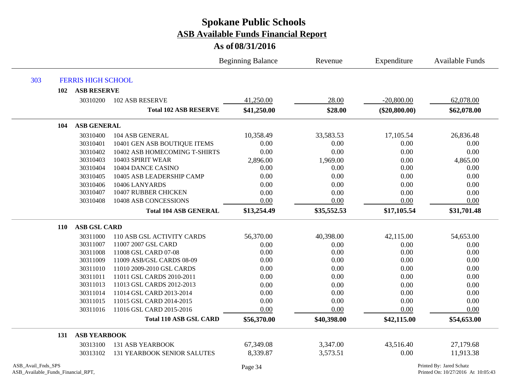|                                                          |                           |                                    | <b>Beginning Balance</b> | Revenue     | Expenditure     | <b>Available Funds</b>                                         |
|----------------------------------------------------------|---------------------------|------------------------------------|--------------------------|-------------|-----------------|----------------------------------------------------------------|
| 303                                                      | <b>FERRIS HIGH SCHOOL</b> |                                    |                          |             |                 |                                                                |
| 102                                                      | <b>ASB RESERVE</b>        |                                    |                          |             |                 |                                                                |
|                                                          | 30310200                  | <b>102 ASB RESERVE</b>             | 41,250.00                | 28.00       | $-20,800.00$    | 62,078.00                                                      |
|                                                          |                           | <b>Total 102 ASB RESERVE</b>       | \$41,250.00              | \$28.00     | $(\$20,800.00)$ | \$62,078.00                                                    |
| 104                                                      | <b>ASB GENERAL</b>        |                                    |                          |             |                 |                                                                |
|                                                          | 30310400                  | 104 ASB GENERAL                    | 10,358.49                | 33,583.53   | 17,105.54       | 26,836.48                                                      |
|                                                          | 30310401                  | 10401 GEN ASB BOUTIQUE ITEMS       | 0.00                     | 0.00        | 0.00            | 0.00                                                           |
|                                                          | 30310402                  | 10402 ASB HOMECOMING T-SHIRTS      | 0.00                     | 0.00        | 0.00            | 0.00                                                           |
|                                                          | 30310403                  | 10403 SPIRIT WEAR                  | 2,896.00                 | 1,969.00    | 0.00            | 4,865.00                                                       |
|                                                          | 30310404                  | 10404 DANCE CASINO                 | 0.00                     | 0.00        | 0.00            | 0.00                                                           |
|                                                          | 30310405                  | 10405 ASB LEADERSHIP CAMP          | 0.00                     | 0.00        | 0.00            | 0.00                                                           |
|                                                          | 30310406                  | 10406 LANYARDS                     | 0.00                     | 0.00        | 0.00            | 0.00                                                           |
|                                                          | 30310407                  | 10407 RUBBER CHICKEN               | 0.00                     | 0.00        | 0.00            | 0.00                                                           |
|                                                          | 30310408                  | 10408 ASB CONCESSIONS              | 0.00                     | 0.00        | 0.00            | 0.00                                                           |
|                                                          |                           | <b>Total 104 ASB GENERAL</b>       | \$13,254.49              | \$35,552.53 | \$17,105.54     | \$31,701.48                                                    |
| <b>110</b>                                               | <b>ASB GSL CARD</b>       |                                    |                          |             |                 |                                                                |
|                                                          | 30311000                  | 110 ASB GSL ACTIVITY CARDS         | 56,370.00                | 40,398.00   | 42,115.00       | 54,653.00                                                      |
|                                                          | 30311007                  | 11007 2007 GSL CARD                | 0.00                     | 0.00        | 0.00            | 0.00                                                           |
|                                                          | 30311008                  | 11008 GSL CARD 07-08               | 0.00                     | 0.00        | 0.00            | 0.00                                                           |
|                                                          | 30311009                  | 11009 ASB/GSL CARDS 08-09          | 0.00                     | 0.00        | 0.00            | 0.00                                                           |
|                                                          | 30311010                  | 11010 2009-2010 GSL CARDS          | 0.00                     | 0.00        | 0.00            | 0.00                                                           |
|                                                          | 30311011                  | 11011 GSL CARDS 2010-2011          | 0.00                     | 0.00        | 0.00            | 0.00                                                           |
|                                                          | 30311013                  | 11013 GSL CARDS 2012-2013          | 0.00                     | 0.00        | 0.00            | 0.00                                                           |
|                                                          | 30311014                  | 11014 GSL CARD 2013-2014           | 0.00                     | 0.00        | 0.00            | 0.00                                                           |
|                                                          | 30311015                  | 11015 GSL CARD 2014-2015           | 0.00                     | 0.00        | 0.00            | 0.00                                                           |
|                                                          | 30311016                  | 11016 GSL CARD 2015-2016           | 0.00                     | 0.00        | 0.00            | 0.00                                                           |
|                                                          |                           | <b>Total 110 ASB GSL CARD</b>      | \$56,370.00              | \$40,398.00 | \$42,115.00     | \$54,653.00                                                    |
| 131                                                      | <b>ASB YEARBOOK</b>       |                                    |                          |             |                 |                                                                |
|                                                          | 30313100                  | <b>131 ASB YEARBOOK</b>            | 67,349.08                | 3,347.00    | 43,516.40       | 27,179.68                                                      |
|                                                          | 30313102                  | <b>131 YEARBOOK SENIOR SALUTES</b> | 8,339.87                 | 3,573.51    | 0.00            | 11,913.38                                                      |
| ASB_Avail_Fnds_SPS<br>ASB_Available_Funds_Financial_RPT, |                           |                                    | Page 34                  |             |                 | Printed By: Jared Schatz<br>Printed On: 10/27/2016 At 10:05:43 |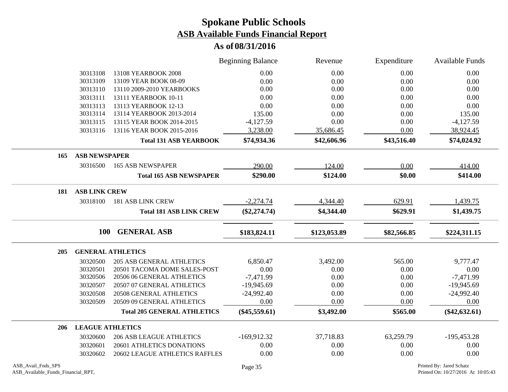|     |                         |                                                       | <b>Beginning Balance</b>    | Revenue      | Expenditure  | Available Funds             |
|-----|-------------------------|-------------------------------------------------------|-----------------------------|--------------|--------------|-----------------------------|
|     | 30313108                | 13108 YEARBOOK 2008                                   | 0.00                        | 0.00         | 0.00         | 0.00                        |
|     | 30313109                | 13109 YEAR BOOK 08-09                                 | 0.00                        | 0.00         | 0.00         | 0.00                        |
|     | 30313110                | 13110 2009-2010 YEARBOOKS                             | 0.00                        | 0.00         | 0.00         | 0.00                        |
|     | 30313111                | 13111 YEARBOOK 10-11                                  | 0.00                        | 0.00         | 0.00         | 0.00                        |
|     | 30313113                | 13113 YEARBOOK 12-13                                  | 0.00                        | 0.00         | 0.00         | 0.00                        |
|     | 30313114                | 13114 YEARBOOK 2013-2014                              | 135.00                      | 0.00         | 0.00         | 135.00                      |
|     | 30313115                | 13115 YEAR BOOK 2014-2015                             | $-4,127.59$                 | 0.00         | 0.00         | $-4,127.59$                 |
|     | 30313116                | 13116 YEAR BOOK 2015-2016                             | 3,238.00                    | 35,686.45    | 0.00         | 38,924.45                   |
|     |                         | <b>Total 131 ASB YEARBOOK</b>                         | \$74,934.36                 | \$42,606.96  | \$43,516.40  | \$74,024.92                 |
| 165 | <b>ASB NEWSPAPER</b>    |                                                       |                             |              |              |                             |
|     | 30316500                | <b>165 ASB NEWSPAPER</b>                              | 290.00                      | 124.00       | 0.00         | 414.00                      |
|     |                         | <b>Total 165 ASB NEWSPAPER</b>                        | \$290.00                    | \$124.00     | \$0.00       | \$414.00                    |
| 181 | <b>ASB LINK CREW</b>    |                                                       |                             |              |              |                             |
|     | 30318100                | <b>181 ASB LINK CREW</b>                              | $-2,274.74$                 | 4,344.40     | 629.91       | 1,439.75                    |
|     |                         | <b>Total 181 ASB LINK CREW</b>                        | $(\$2,274.74)$              | \$4,344.40   | \$629.91     | \$1,439.75                  |
|     | 100                     | <b>GENERAL ASB</b>                                    | \$183,824.11                | \$123,053.89 | \$82,566.85  | \$224,311.15                |
|     |                         |                                                       |                             |              |              |                             |
| 205 |                         | <b>GENERAL ATHLETICS</b>                              |                             |              |              |                             |
|     | 30320500                | <b>205 ASB GENERAL ATHLETICS</b>                      | 6,850.47                    | 3,492.00     | 565.00       | 9,777.47                    |
|     | 30320501                | 20501 TACOMA DOME SALES-POST                          | 0.00                        | 0.00         | 0.00         | 0.00                        |
|     | 30320506<br>30320507    | 20506 06 GENERAL ATHLETICS                            | $-7,471.99$<br>$-19,945.69$ | 0.00<br>0.00 | 0.00<br>0.00 | $-7,471.99$<br>$-19,945.69$ |
|     | 30320508                | 20507 07 GENERAL ATHLETICS<br>20508 GENERAL ATHLETICS | $-24,992.40$                | 0.00         | 0.00         | $-24,992.40$                |
|     | 30320509                | 20509 09 GENERAL ATHLETICS                            | 0.00                        | 0.00         | 0.00         | 0.00                        |
|     |                         |                                                       |                             |              |              |                             |
|     |                         | <b>Total 205 GENERAL ATHLETICS</b>                    | $(\$45,559.61)$             | \$3,492.00   | \$565.00     | $(\$42,632.61)$             |
| 206 | <b>LEAGUE ATHLETICS</b> |                                                       |                             |              |              |                             |
|     | 30320600                | <b>206 ASB LEAGUE ATHLETICS</b>                       | $-169,912.32$               | 37,718.83    | 63,259.79    | $-195,453.28$               |
|     | 30320601                | 20601 ATHLETICS DONATIONS                             | 0.00                        | 0.00         | 0.00         | 0.00                        |
|     | 30320602                | 20602 LEAGUE ATHLETICS RAFFLES                        | 0.00                        | 0.00         | 0.00         | 0.00                        |
|     |                         |                                                       |                             |              |              |                             |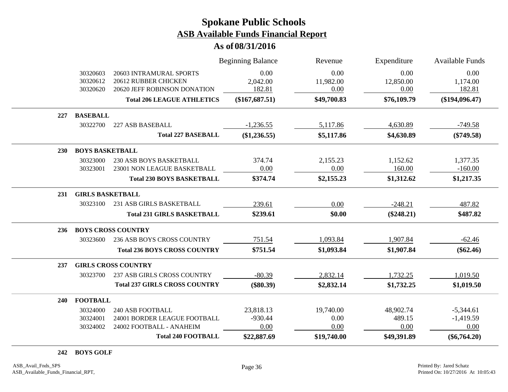### **As of 08/31/2016**

|     |                                  |                                                                                 | <b>Beginning Balance</b>   | Revenue                   | Expenditure               | Available Funds            |
|-----|----------------------------------|---------------------------------------------------------------------------------|----------------------------|---------------------------|---------------------------|----------------------------|
|     | 30320603<br>30320612<br>30320620 | 20603 INTRAMURAL SPORTS<br>20612 RUBBER CHICKEN<br>20620 JEFF ROBINSON DONATION | 0.00<br>2,042.00<br>182.81 | 0.00<br>11,982.00<br>0.00 | 0.00<br>12,850.00<br>0.00 | 0.00<br>1,174.00<br>182.81 |
|     |                                  | <b>Total 206 LEAGUE ATHLETICS</b>                                               | $(\$167,687.51)$           | \$49,700.83               | \$76,109.79               | $(\$194,096.47)$           |
| 227 | <b>BASEBALL</b>                  |                                                                                 |                            |                           |                           |                            |
|     | 30322700                         | 227 ASB BASEBALL                                                                | $-1,236.55$                | 5,117.86                  | 4,630.89                  | $-749.58$                  |
|     |                                  | <b>Total 227 BASEBALL</b>                                                       | (\$1,236.55)               | \$5,117.86                | \$4,630.89                | $(\$749.58)$               |
| 230 | <b>BOYS BASKETBALL</b>           |                                                                                 |                            |                           |                           |                            |
|     | 30323000                         | 230 ASB BOYS BASKETBALL                                                         | 374.74                     | 2,155.23                  | 1,152.62                  | 1,377.35                   |
|     | 30323001                         | 23001 NON LEAGUE BASKETBALL                                                     | 0.00                       | 0.00                      | 160.00                    | $-160.00$                  |
|     |                                  | <b>Total 230 BOYS BASKETBALL</b>                                                | \$374.74                   | \$2,155.23                | \$1,312.62                | \$1,217.35                 |
| 231 | <b>GIRLS BASKETBALL</b>          |                                                                                 |                            |                           |                           |                            |
|     | 30323100                         | 231 ASB GIRLS BASKETBALL                                                        | 239.61                     | 0.00                      | $-248.21$                 | 487.82                     |
|     |                                  | <b>Total 231 GIRLS BASKETBALL</b>                                               | \$239.61                   | \$0.00                    | $(\$248.21)$              | \$487.82                   |
| 236 |                                  | <b>BOYS CROSS COUNTRY</b>                                                       |                            |                           |                           |                            |
|     | 30323600                         | 236 ASB BOYS CROSS COUNTRY                                                      | 751.54                     | 1,093.84                  | 1,907.84                  | $-62.46$                   |
|     |                                  | <b>Total 236 BOYS CROSS COUNTRY</b>                                             | \$751.54                   | \$1,093.84                | \$1,907.84                | $(\$62.46)$                |
| 237 |                                  | <b>GIRLS CROSS COUNTRY</b>                                                      |                            |                           |                           |                            |
|     | 30323700                         | 237 ASB GIRLS CROSS COUNTRY                                                     | $-80.39$                   | 2,832.14                  | 1,732.25                  | 1,019.50                   |
|     |                                  | <b>Total 237 GIRLS CROSS COUNTRY</b>                                            | $(\$80.39)$                | \$2,832.14                | \$1,732.25                | \$1,019.50                 |
| 240 | <b>FOOTBALL</b>                  |                                                                                 |                            |                           |                           |                            |
|     | 30324000                         | <b>240 ASB FOOTBALL</b>                                                         | 23,818.13                  | 19,740.00                 | 48,902.74                 | $-5,344.61$                |
|     | 30324001                         | 24001 BORDER LEAGUE FOOTBALL                                                    | $-930.44$                  | 0.00                      | 489.15                    | $-1,419.59$                |
|     | 30324002                         | 24002 FOOTBALL - ANAHEIM                                                        | 0.00                       | 0.00                      | 0.00                      | 0.00                       |
|     |                                  | <b>Total 240 FOOTBALL</b>                                                       | \$22,887.69                | \$19,740.00               | \$49,391.89               | $(\$6,764.20)$             |

#### **242 BOYS GOLF**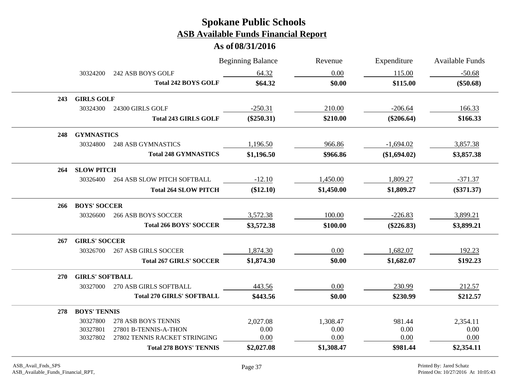|            |                        |                                    | <b>Beginning Balance</b> | Revenue    | Expenditure  | Available Funds |
|------------|------------------------|------------------------------------|--------------------------|------------|--------------|-----------------|
|            | 30324200               | 242 ASB BOYS GOLF                  | 64.32                    | 0.00       | 115.00       | $-50.68$        |
|            |                        | <b>Total 242 BOYS GOLF</b>         | \$64.32                  | \$0.00     | \$115.00     | $(\$50.68)$     |
| 243        | <b>GIRLS GOLF</b>      |                                    |                          |            |              |                 |
|            | 30324300               | 24300 GIRLS GOLF                   | $-250.31$                | 210.00     | $-206.64$    | 166.33          |
|            |                        | <b>Total 243 GIRLS GOLF</b>        | $(\$250.31)$             | \$210.00   | $(\$206.64)$ | \$166.33        |
| 248        | <b>GYMNASTICS</b>      |                                    |                          |            |              |                 |
|            | 30324800               | <b>248 ASB GYMNASTICS</b>          | 1,196.50                 | 966.86     | $-1,694.02$  | 3,857.38        |
|            |                        | <b>Total 248 GYMNASTICS</b>        | \$1,196.50               | \$966.86   | (\$1,694.02) | \$3,857.38      |
| 264        | <b>SLOW PITCH</b>      |                                    |                          |            |              |                 |
|            | 30326400               | <b>264 ASB SLOW PITCH SOFTBALL</b> | $-12.10$                 | 1,450.00   | 1,809.27     | $-371.37$       |
|            |                        | <b>Total 264 SLOW PITCH</b>        | (\$12.10)                | \$1,450.00 | \$1,809.27   | $(\$371.37)$    |
| 266        | <b>BOYS' SOCCER</b>    |                                    |                          |            |              |                 |
|            | 30326600               | <b>266 ASB BOYS SOCCER</b>         | 3,572.38                 | 100.00     | $-226.83$    | 3,899.21        |
|            |                        | <b>Total 266 BOYS' SOCCER</b>      | \$3,572.38               | \$100.00   | $(\$226.83)$ | \$3,899.21      |
| 267        | <b>GIRLS' SOCCER</b>   |                                    |                          |            |              |                 |
|            | 30326700               | <b>267 ASB GIRLS SOCCER</b>        | 1,874.30                 | 0.00       | 1,682.07     | 192.23          |
|            |                        | <b>Total 267 GIRLS' SOCCER</b>     | \$1,874.30               | \$0.00     | \$1,682.07   | \$192.23        |
| <b>270</b> | <b>GIRLS' SOFTBALL</b> |                                    |                          |            |              |                 |
|            | 30327000               | 270 ASB GIRLS SOFTBALL             | 443.56                   | 0.00       | 230.99       | 212.57          |
|            |                        | <b>Total 270 GIRLS' SOFTBALL</b>   | \$443.56                 | \$0.00     | \$230.99     | \$212.57        |
| 278        | <b>BOYS' TENNIS</b>    |                                    |                          |            |              |                 |
|            | 30327800               | 278 ASB BOYS TENNIS                | 2,027.08                 | 1,308.47   | 981.44       | 2,354.11        |
|            | 30327801               | 27801 B-TENNIS-A-THON              | 0.00                     | 0.00       | 0.00         | 0.00            |
|            | 30327802               | 27802 TENNIS RACKET STRINGING      | 0.00                     | 0.00       | 0.00         | 0.00            |
|            |                        | <b>Total 278 BOYS' TENNIS</b>      | \$2,027.08               | \$1,308.47 | \$981.44     | \$2,354.11      |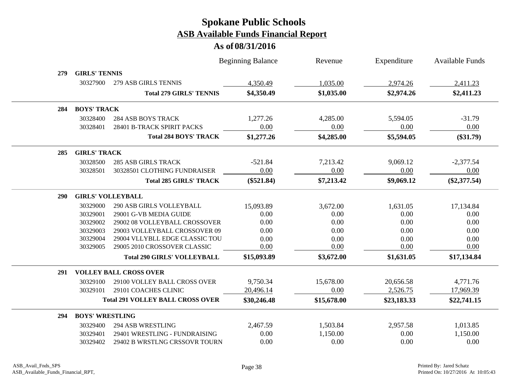|            |                        |                                         | <b>Beginning Balance</b> | Revenue     | Expenditure | <b>Available Funds</b> |  |
|------------|------------------------|-----------------------------------------|--------------------------|-------------|-------------|------------------------|--|
| 279        | <b>GIRLS' TENNIS</b>   |                                         |                          |             |             |                        |  |
|            | 30327900               | 279 ASB GIRLS TENNIS                    | 4,350.49                 | 1,035.00    | 2,974.26    | 2,411.23               |  |
|            |                        | <b>Total 279 GIRLS' TENNIS</b>          | \$4,350.49               | \$1,035.00  | \$2,974.26  | \$2,411.23             |  |
| 284        | <b>BOYS' TRACK</b>     |                                         |                          |             |             |                        |  |
|            | 30328400               | <b>284 ASB BOYS TRACK</b>               | 1,277.26                 | 4,285.00    | 5,594.05    | $-31.79$               |  |
|            | 30328401               | 28401 B-TRACK SPIRIT PACKS              | 0.00                     | 0.00        | 0.00        | 0.00                   |  |
|            |                        | <b>Total 284 BOYS' TRACK</b>            | \$1,277.26               | \$4,285.00  | \$5,594.05  | $(\$31.79)$            |  |
| 285        |                        | <b>GIRLS' TRACK</b>                     |                          |             |             |                        |  |
|            | 30328500               | <b>285 ASB GIRLS TRACK</b>              | $-521.84$                | 7,213.42    | 9,069.12    | $-2,377.54$            |  |
|            | 30328501               | 30328501 CLOTHING FUNDRAISER            | 0.00                     | 0.00        | 0.00        | 0.00                   |  |
|            |                        | <b>Total 285 GIRLS' TRACK</b>           | $(\$521.84)$             | \$7,213.42  | \$9,069.12  | $(\$2,377.54)$         |  |
| <b>290</b> |                        | <b>GIRLS' VOLLEYBALL</b>                |                          |             |             |                        |  |
|            | 30329000               | <b>290 ASB GIRLS VOLLEYBALL</b>         | 15,093.89                | 3,672.00    | 1,631.05    | 17,134.84              |  |
|            | 30329001               | 29001 G-VB MEDIA GUIDE                  | 0.00                     | 0.00        | 0.00        | 0.00                   |  |
|            | 30329002               | 29002 08 VOLLEYBALL CROSSOVER           | 0.00                     | 0.00        | 0.00        | 0.00                   |  |
|            | 30329003               | 29003 VOLLEYBALL CROSSOVER 09           | 0.00                     | 0.00        | 0.00        | 0.00                   |  |
|            | 30329004               | 29004 VLLYBLL EDGE CLASSIC TOU          | 0.00                     | 0.00        | 0.00        | 0.00                   |  |
|            | 30329005               | 29005 2010 CROSSOVER CLASSIC            | 0.00                     | 0.00        | 0.00        | 0.00                   |  |
|            |                        | <b>Total 290 GIRLS' VOLLEYBALL</b>      | \$15,093.89              | \$3,672.00  | \$1,631.05  | \$17,134.84            |  |
| 291        |                        | <b>VOLLEY BALL CROSS OVER</b>           |                          |             |             |                        |  |
|            | 30329100               | 29100 VOLLEY BALL CROSS OVER            | 9,750.34                 | 15,678.00   | 20,656.58   | 4,771.76               |  |
|            | 30329101               | 29101 COACHES CLINIC                    | 20,496.14                | 0.00        | 2,526.75    | 17,969.39              |  |
|            |                        | <b>Total 291 VOLLEY BALL CROSS OVER</b> | \$30,246.48              | \$15,678.00 | \$23,183.33 | \$22,741.15            |  |
| 294        | <b>BOYS' WRESTLING</b> |                                         |                          |             |             |                        |  |
|            | 30329400               | <b>294 ASB WRESTLING</b>                | 2,467.59                 | 1,503.84    | 2,957.58    | 1,013.85               |  |
|            | 30329401               | 29401 WRESTLING - FUNDRAISING           | 0.00                     | 1,150.00    | 0.00        | 1,150.00               |  |
|            | 30329402               | 29402 B WRSTLNG CRSSOVR TOURN           | 0.00                     | 0.00        | 0.00        | 0.00                   |  |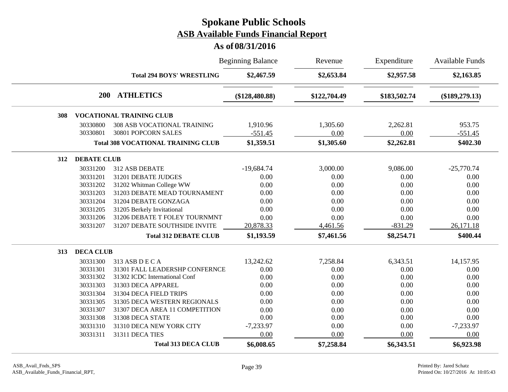|     |                    |                                           | <b>Beginning Balance</b> | Revenue      | Expenditure  | Available Funds  |
|-----|--------------------|-------------------------------------------|--------------------------|--------------|--------------|------------------|
|     |                    | <b>Total 294 BOYS' WRESTLING</b>          | \$2,467.59               | \$2,653.84   | \$2,957.58   | \$2,163.85       |
|     |                    | 200 ATHLETICS                             | $(\$128,480.88)$         | \$122,704.49 | \$183,502.74 | $(\$189,279.13)$ |
| 308 |                    | <b>VOCATIONAL TRAINING CLUB</b>           |                          |              |              |                  |
|     | 30330800           | <b>308 ASB VOCATIONAL TRAINING</b>        | 1,910.96                 | 1,305.60     | 2,262.81     | 953.75           |
|     | 30330801           | 30801 POPCORN SALES                       | $-551.45$                | 0.00         | 0.00         | $-551.45$        |
|     |                    | <b>Total 308 VOCATIONAL TRAINING CLUB</b> | \$1,359.51               | \$1,305.60   | \$2,262.81   | \$402.30         |
| 312 | <b>DEBATE CLUB</b> |                                           |                          |              |              |                  |
|     | 30331200           | 312 ASB DEBATE                            | $-19,684.74$             | 3,000.00     | 9,086.00     | $-25,770.74$     |
|     | 30331201           | 31201 DEBATE JUDGES                       | 0.00                     | 0.00         | 0.00         | 0.00             |
|     | 30331202           | 31202 Whitman College WW                  | 0.00                     | 0.00         | 0.00         | 0.00             |
|     | 30331203           | 31203 DEBATE MEAD TOURNAMENT              | 0.00                     | 0.00         | 0.00         | 0.00             |
|     | 30331204           | 31204 DEBATE GONZAGA                      | 0.00                     | 0.00         | 0.00         | 0.00             |
|     | 30331205           | 31205 Berkely Invitational                | 0.00                     | 0.00         | 0.00         | 0.00             |
|     | 30331206           | 31206 DEBATE T FOLEY TOURNMNT             | 0.00                     | 0.00         | 0.00         | 0.00             |
|     | 30331207           | 31207 DEBATE SOUTHSIDE INVITE             | 20,878.33                | 4,461.56     | $-831.29$    | 26,171.18        |
|     |                    | <b>Total 312 DEBATE CLUB</b>              | \$1,193.59               | \$7,461.56   | \$8,254.71   | \$400.44         |
| 313 | <b>DECA CLUB</b>   |                                           |                          |              |              |                  |
|     | 30331300           | 313 ASB D E C A                           | 13,242.62                | 7,258.84     | 6,343.51     | 14,157.95        |
|     | 30331301           | 31301 FALL LEADERSHP CONFERNCE            | 0.00                     | 0.00         | 0.00         | 0.00             |
|     | 30331302           | 31302 ICDC International Conf             | 0.00                     | 0.00         | 0.00         | 0.00             |
|     | 30331303           | 31303 DECA APPAREL                        | 0.00                     | 0.00         | 0.00         | 0.00             |
|     | 30331304           | 31304 DECA FIELD TRIPS                    | 0.00                     | 0.00         | 0.00         | 0.00             |
|     | 30331305           | 31305 DECA WESTERN REGIONALS              | 0.00                     | 0.00         | 0.00         | 0.00             |
|     | 30331307           | 31307 DECA AREA 11 COMPETITION            | 0.00                     | 0.00         | 0.00         | 0.00             |
|     | 30331308           | 31308 DECA STATE                          | 0.00                     | 0.00         | 0.00         | 0.00             |
|     | 30331310           | 31310 DECA NEW YORK CITY                  | $-7,233.97$              | 0.00         | 0.00         | $-7,233.97$      |
|     | 30331311           | 31311 DECA TIES                           | 0.00                     | 0.00         | 0.00         | 0.00             |
|     |                    | <b>Total 313 DECA CLUB</b>                | \$6,008.65               | \$7,258.84   | \$6,343.51   | \$6,923.98       |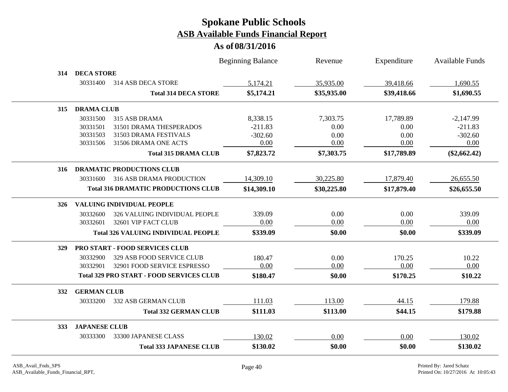|            |                      |                                                 | <b>Beginning Balance</b> | Revenue     | Expenditure | <b>Available Funds</b> |
|------------|----------------------|-------------------------------------------------|--------------------------|-------------|-------------|------------------------|
| 314        | <b>DECA STORE</b>    |                                                 |                          |             |             |                        |
|            | 30331400             | 314 ASB DECA STORE                              | 5,174.21                 | 35,935.00   | 39,418.66   | 1,690.55               |
|            |                      | <b>Total 314 DECA STORE</b>                     | \$5,174.21               | \$35,935.00 | \$39,418.66 | \$1,690.55             |
| 315        | <b>DRAMA CLUB</b>    |                                                 |                          |             |             |                        |
|            | 30331500             | 315 ASB DRAMA                                   | 8,338.15                 | 7,303.75    | 17,789.89   | $-2,147.99$            |
|            | 30331501             | 31501 DRAMA THESPERADOS                         | $-211.83$                | 0.00        | 0.00        | $-211.83$              |
|            | 30331503             | 31503 DRAMA FESTIVALS                           | $-302.60$                | 0.00        | 0.00        | $-302.60$              |
|            | 30331506             | 31506 DRAMA ONE ACTS                            | 0.00                     | 0.00        | 0.00        | 0.00                   |
|            |                      | <b>Total 315 DRAMA CLUB</b>                     | \$7,823.72               | \$7,303.75  | \$17,789.89 | $(\$2,662.42)$         |
| 316        |                      | <b>DRAMATIC PRODUCTIONS CLUB</b>                |                          |             |             |                        |
|            | 30331600             | <b>316 ASB DRAMA PRODUCTION</b>                 | 14,309.10                | 30,225.80   | 17,879.40   | 26,655.50              |
|            |                      | <b>Total 316 DRAMATIC PRODUCTIONS CLUB</b>      | \$14,309.10              | \$30,225.80 | \$17,879.40 | \$26,655.50            |
| 326        |                      | <b>VALUING INDIVIDUAL PEOPLE</b>                |                          |             |             |                        |
|            | 30332600             | 326 VALUING INDIVIDUAL PEOPLE                   | 339.09                   | 0.00        | 0.00        | 339.09                 |
|            | 30332601             | 32601 VIP FACT CLUB                             | 0.00                     | 0.00        | 0.00        | 0.00                   |
|            |                      | <b>Total 326 VALUING INDIVIDUAL PEOPLE</b>      | \$339.09                 | \$0.00      | \$0.00      | \$339.09               |
| <b>329</b> |                      | PRO START - FOOD SERVICES CLUB                  |                          |             |             |                        |
|            | 30332900             | 329 ASB FOOD SERVICE CLUB                       | 180.47                   | 0.00        | 170.25      | 10.22                  |
|            | 30332901             | 32901 FOOD SERVICE ESPRESSO                     | 0.00                     | 0.00        | 0.00        | 0.00                   |
|            |                      | <b>Total 329 PRO START - FOOD SERVICES CLUB</b> | \$180.47                 | \$0.00      | \$170.25    | \$10.22                |
| 332        | <b>GERMAN CLUB</b>   |                                                 |                          |             |             |                        |
|            | 30333200             | 332 ASB GERMAN CLUB                             | 111.03                   | 113.00      | 44.15       | 179.88                 |
|            |                      | <b>Total 332 GERMAN CLUB</b>                    | \$111.03                 | \$113.00    | \$44.15     | \$179.88               |
| 333        | <b>JAPANESE CLUB</b> |                                                 |                          |             |             |                        |
|            | 30333300             | 33300 JAPANESE CLASS                            | 130.02                   | 0.00        | 0.00        | 130.02                 |
|            |                      | <b>Total 333 JAPANESE CLUB</b>                  | \$130.02                 | \$0.00      | \$0.00      | \$130.02               |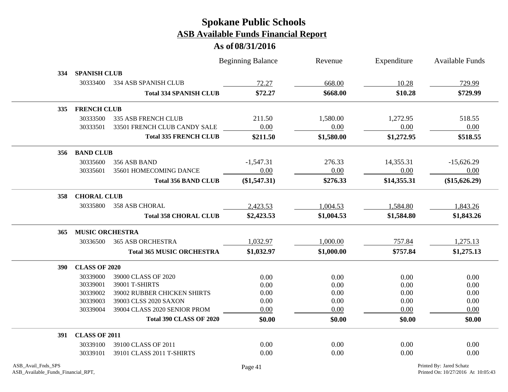|            |                        |                                  | <b>Beginning Balance</b> | Revenue    | Expenditure | Available Funds |
|------------|------------------------|----------------------------------|--------------------------|------------|-------------|-----------------|
| 334        | <b>SPANISH CLUB</b>    |                                  |                          |            |             |                 |
|            | 30333400               | 334 ASB SPANISH CLUB             | 72.27                    | 668.00     | 10.28       | 729.99          |
|            |                        | <b>Total 334 SPANISH CLUB</b>    | \$72.27                  | \$668.00   | \$10.28     | \$729.99        |
| <b>335</b> | <b>FRENCH CLUB</b>     |                                  |                          |            |             |                 |
|            | 30333500               | 335 ASB FRENCH CLUB              | 211.50                   | 1,580.00   | 1,272.95    | 518.55          |
|            | 30333501               | 33501 FRENCH CLUB CANDY SALE     | $0.00\,$                 | 0.00       | 0.00        | 0.00            |
|            |                        | <b>Total 335 FRENCH CLUB</b>     | \$211.50                 | \$1,580.00 | \$1,272.95  | \$518.55        |
|            | 356 BAND CLUB          |                                  |                          |            |             |                 |
|            | 30335600               | 356 ASB BAND                     | $-1,547.31$              | 276.33     | 14,355.31   | $-15,626.29$    |
|            | 30335601               | 35601 HOMECOMING DANCE           | 0.00                     | 0.00       | 0.00        | 0.00            |
|            |                        | <b>Total 356 BAND CLUB</b>       | (\$1,547.31)             | \$276.33   | \$14,355.31 | (\$15,626.29)   |
| 358        | <b>CHORAL CLUB</b>     |                                  |                          |            |             |                 |
|            | 30335800               | <b>358 ASB CHORAL</b>            | 2,423.53                 | 1,004.53   | 1,584.80    | 1,843.26        |
|            |                        | <b>Total 358 CHORAL CLUB</b>     | \$2,423.53               | \$1,004.53 | \$1,584.80  | \$1,843.26      |
| 365        | <b>MUSIC ORCHESTRA</b> |                                  |                          |            |             |                 |
|            | 30336500               | <b>365 ASB ORCHESTRA</b>         | 1,032.97                 | 1,000.00   | 757.84      | 1,275.13        |
|            |                        | <b>Total 365 MUSIC ORCHESTRA</b> | \$1,032.97               | \$1,000.00 | \$757.84    | \$1,275.13      |
| <b>390</b> | <b>CLASS OF 2020</b>   |                                  |                          |            |             |                 |
|            | 30339000               | 39000 CLASS OF 2020              | 0.00                     | 0.00       | 0.00        | 0.00            |
|            | 30339001               | 39001 T-SHIRTS                   | 0.00                     | 0.00       | 0.00        | 0.00            |
|            | 30339002               | 39002 RUBBER CHICKEN SHIRTS      | 0.00                     | 0.00       | 0.00        | 0.00            |
|            | 30339003               | 39003 CLSS 2020 SAXON            | 0.00                     | 0.00       | 0.00        | 0.00            |
|            | 30339004               | 39004 CLASS 2020 SENIOR PROM     | 0.00                     | 0.00       | 0.00        | 0.00            |
|            |                        | <b>Total 390 CLASS OF 2020</b>   | \$0.00                   | \$0.00     | \$0.00      | \$0.00          |
| <b>391</b> | <b>CLASS OF 2011</b>   |                                  |                          |            |             |                 |
|            | 30339100               | 39100 CLASS OF 2011              | 0.00                     | 0.00       | 0.00        | 0.00            |
|            | 30339101               | 39101 CLASS 2011 T-SHIRTS        | 0.00                     | 0.00       | 0.00        | 0.00            |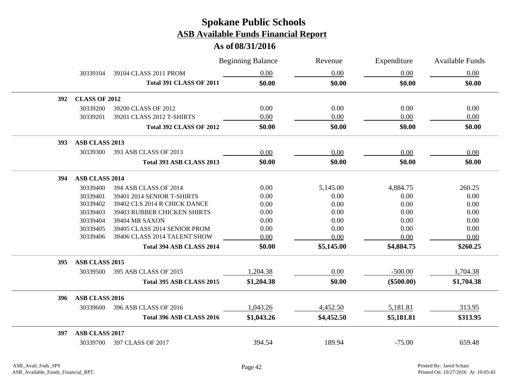|     |                       |                                | <b>Beginning Balance</b> | Revenue    | Expenditure  | Available Funds |
|-----|-----------------------|--------------------------------|--------------------------|------------|--------------|-----------------|
|     | 30339104              | 39104 CLASS 2011 PROM          | $0.00\,$                 | 0.00       | 0.00         | 0.00            |
|     |                       | <b>Total 391 CLASS OF 2011</b> | \$0.00                   | \$0.00     | \$0.00       | \$0.00          |
| 392 | <b>CLASS OF 2012</b>  |                                |                          |            |              |                 |
|     | 30339200              | 39200 CLASS OF 2012            | 0.00                     | 0.00       | 0.00         | 0.00            |
|     | 30339201              | 39201 CLASS 2012 T-SHIRTS      | 0.00                     | 0.00       | 0.00         | 0.00            |
|     |                       | <b>Total 392 CLASS OF 2012</b> | \$0.00                   | \$0.00     | \$0.00       | \$0.00          |
| 393 | ASB CLASS 2013        |                                |                          |            |              |                 |
|     | 30339300              | 393 ASB CLASS OF 2013          | 0.00                     | 0.00       | 0.00         | 0.00            |
|     |                       | Total 393 ASB CLASS 2013       | \$0.00                   | \$0.00     | \$0.00       | \$0.00          |
| 394 | ASB CLASS 2014        |                                |                          |            |              |                 |
|     | 30339400              | 394 ASB CLASS OF 2014          | 0.00                     | 5,145.00   | 4,884.75     | 260.25          |
|     | 30339401              | 39401 2014 SENIOR T-SHIRTS     | 0.00                     | 0.00       | 0.00         | 0.00            |
|     | 30339402              | 39402 CLS 2014 R CHICK DANCE   | 0.00                     | 0.00       | 0.00         | 0.00            |
|     | 30339403              | 39403 RUBBER CHICKEN SHIRTS    | 0.00                     | 0.00       | 0.00         | 0.00            |
|     | 30339404              | 39404 MR SAXON                 | 0.00                     | 0.00       | 0.00         | 0.00            |
|     | 30339405              | 39405 CLASS 2014 SENIOR PROM   | 0.00                     | 0.00       | 0.00         | 0.00            |
|     | 30339406              | 39406 CLASS 2014 TALENT SHOW   | 0.00                     | 0.00       | 0.00         | 0.00            |
|     |                       | Total 394 ASB CLASS 2014       | \$0.00                   | \$5,145.00 | \$4,884.75   | \$260.25        |
| 395 | ASB CLASS 2015        |                                |                          |            |              |                 |
|     | 30339500              | 395 ASB CLASS OF 2015          | 1,204.38                 | 0.00       | $-500.00$    | 1,704.38        |
|     |                       | Total 395 ASB CLASS 2015       | \$1,204.38               | \$0.00     | $(\$500.00)$ | \$1,704.38      |
| 396 | ASB CLASS 2016        |                                |                          |            |              |                 |
|     | 30339600              | 396 ASB CLASS OF 2016          | 1,043.26                 | 4,452.50   | 5,181.81     | 313.95          |
|     |                       | Total 396 ASB CLASS 2016       | \$1,043.26               | \$4,452.50 | \$5,181.81   | \$313.95        |
| 397 | <b>ASB CLASS 2017</b> |                                |                          |            |              |                 |
|     |                       | 30339700 397 CLASS OF 2017     | 394.54                   | 189.94     | $-75.00$     | 659.48          |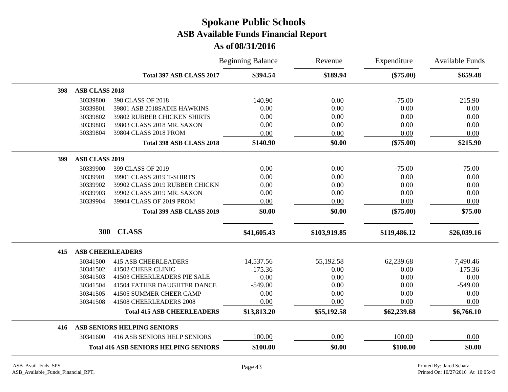|     |                         |                                              | <b>Beginning Balance</b> | Revenue      | Expenditure  | Available Funds |
|-----|-------------------------|----------------------------------------------|--------------------------|--------------|--------------|-----------------|
|     |                         | Total 397 ASB CLASS 2017                     | \$394.54                 | \$189.94     | $(\$75.00)$  | \$659.48        |
| 398 | <b>ASB CLASS 2018</b>   |                                              |                          |              |              |                 |
|     | 30339800                | 398 CLASS OF 2018                            | 140.90                   | 0.00         | $-75.00$     | 215.90          |
|     | 30339801                | 39801 ASB 2018SADIE HAWKINS                  | 0.00                     | 0.00         | 0.00         | 0.00            |
|     | 30339802                | 39802 RUBBER CHICKEN SHIRTS                  | 0.00                     | 0.00         | 0.00         | 0.00            |
|     | 30339803                | 39803 CLASS 2018 MR. SAXON                   | 0.00                     | 0.00         | 0.00         | 0.00            |
|     | 30339804                | 39804 CLASS 2018 PROM                        | 0.00                     | 0.00         | 0.00         | 0.00            |
|     |                         | Total 398 ASB CLASS 2018                     | \$140.90                 | \$0.00       | $(\$75.00)$  | \$215.90        |
| 399 | <b>ASB CLASS 2019</b>   |                                              |                          |              |              |                 |
|     | 30339900                | 399 CLASS OF 2019                            | 0.00                     | 0.00         | $-75.00$     | 75.00           |
|     | 30339901                | 39901 CLASS 2019 T-SHIRTS                    | 0.00                     | 0.00         | 0.00         | 0.00            |
|     | 30339902                | 39902 CLASS 2019 RUBBER CHICKN               | 0.00                     | 0.00         | 0.00         | 0.00            |
|     | 30339903                | 39902 CLASS 2019 MR. SAXON                   | 0.00                     | 0.00         | 0.00         | 0.00            |
|     | 30339904                | 39904 CLASS OF 2019 PROM                     | 0.00                     | 0.00         | 0.00         | 0.00            |
|     |                         | Total 399 ASB CLASS 2019                     | \$0.00                   | \$0.00       | $(\$75.00)$  | \$75.00         |
|     | 300                     | <b>CLASS</b>                                 | \$41,605.43              | \$103,919.85 | \$119,486.12 | \$26,039.16     |
| 415 | <b>ASB CHEERLEADERS</b> |                                              |                          |              |              |                 |
|     | 30341500                | <b>415 ASB CHEERLEADERS</b>                  | 14,537.56                | 55,192.58    | 62,239.68    | 7,490.46        |
|     | 30341502                | 41502 CHEER CLINIC                           | $-175.36$                | 0.00         | 0.00         | $-175.36$       |
|     | 30341503                | 41503 CHEERLEADERS PIE SALE                  | 0.00                     | 0.00         | 0.00         | 0.00            |
|     | 30341504                | 41504 FATHER DAUGHTER DANCE                  | $-549.00$                | 0.00         | 0.00         | $-549.00$       |
|     | 30341505                | 41505 SUMMER CHEER CAMP                      | 0.00                     | 0.00         | 0.00         | 0.00            |
|     | 30341508                | 41508 CHEERLEADERS 2008                      | 0.00                     | 0.00         | 0.00         | 0.00            |
|     |                         | <b>Total 415 ASB CHEERLEADERS</b>            | \$13,813.20              | \$55,192.58  | \$62,239.68  | \$6,766.10      |
| 416 |                         | ASB SENIORS HELPING SENIORS                  |                          |              |              |                 |
|     | 30341600                | <b>416 ASB SENIORS HELP SENIORS</b>          | 100.00                   | 0.00         | 100.00       | 0.00            |
|     |                         | <b>Total 416 ASB SENIORS HELPING SENIORS</b> | \$100.00                 | \$0.00       | \$100.00     | \$0.00          |
|     |                         |                                              |                          |              |              |                 |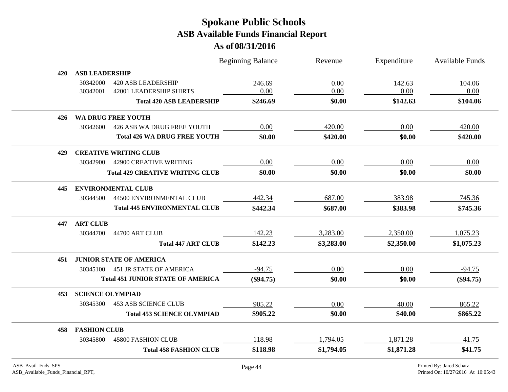#### **As of 08/31/2016**

|     |                                           |                                          | <b>Beginning Balance</b> | Revenue    | Expenditure | Available Funds |
|-----|-------------------------------------------|------------------------------------------|--------------------------|------------|-------------|-----------------|
| 420 | <b>ASB LEADERSHIP</b>                     |                                          |                          |            |             |                 |
|     | 30342000<br><b>420 ASB LEADERSHIP</b>     |                                          | 246.69                   | 0.00       | 142.63      | 104.06          |
|     | 30342001<br>42001 LEADERSHIP SHIRTS       |                                          | 0.00                     | 0.00       | 0.00        | 0.00            |
|     |                                           | <b>Total 420 ASB LEADERSHIP</b>          | \$246.69                 | \$0.00     | \$142.63    | \$104.06        |
| 426 | WA DRUG FREE YOUTH                        |                                          |                          |            |             |                 |
|     | 30342600                                  | 426 ASB WA DRUG FREE YOUTH               | 0.00                     | 420.00     | 0.00        | 420.00          |
|     |                                           | <b>Total 426 WA DRUG FREE YOUTH</b>      | \$0.00                   | \$420.00   | \$0.00      | \$420.00        |
| 429 | <b>CREATIVE WRITING CLUB</b>              |                                          |                          |            |             |                 |
|     | <b>42900 CREATIVE WRITING</b><br>30342900 |                                          | 0.00                     | 0.00       | 0.00        | 0.00            |
|     |                                           | <b>Total 429 CREATIVE WRITING CLUB</b>   | \$0.00                   | \$0.00     | \$0.00      | \$0.00          |
| 445 | <b>ENVIRONMENTAL CLUB</b>                 |                                          |                          |            |             |                 |
|     | 30344500                                  | 44500 ENVIRONMENTAL CLUB                 | 442.34                   | 687.00     | 383.98      | 745.36          |
|     |                                           | <b>Total 445 ENVIRONMENTAL CLUB</b>      | \$442.34                 | \$687.00   | \$383.98    | \$745.36        |
| 447 | <b>ART CLUB</b>                           |                                          |                          |            |             |                 |
|     | 30344700<br>44700 ART CLUB                |                                          | 142.23                   | 3,283.00   | 2,350.00    | 1,075.23        |
|     |                                           | <b>Total 447 ART CLUB</b>                | \$142.23                 | \$3,283.00 | \$2,350.00  | \$1,075.23      |
| 451 | <b>JUNIOR STATE OF AMERICA</b>            |                                          |                          |            |             |                 |
|     | 30345100 451 JR STATE OF AMERICA          |                                          | $-94.75$                 | 0.00       | 0.00        | $-94.75$        |
|     |                                           | <b>Total 451 JUNIOR STATE OF AMERICA</b> | $(\$94.75)$              | \$0.00     | \$0.00      | $(\$94.75)$     |
| 453 | <b>SCIENCE OLYMPIAD</b>                   |                                          |                          |            |             |                 |
|     | <b>453 ASB SCIENCE CLUB</b><br>30345300   |                                          | 905.22                   | 0.00       | 40.00       | 865.22          |
|     |                                           | <b>Total 453 SCIENCE OLYMPIAD</b>        | \$905.22                 | \$0.00     | \$40.00     | \$865.22        |
| 458 | <b>FASHION CLUB</b>                       |                                          |                          |            |             |                 |
|     | 30345800<br><b>45800 FASHION CLUB</b>     |                                          | 118.98                   | 1,794.05   | 1,871.28    | 41.75           |
|     |                                           | <b>Total 458 FASHION CLUB</b>            | \$118.98                 | \$1,794.05 | \$1,871.28  | \$41.75         |

 $\overline{\phantom{a}}$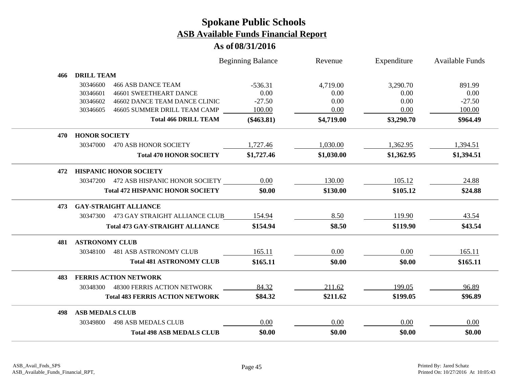|     |                                           |                                  | <b>Beginning Balance</b> | Revenue    | Expenditure | <b>Available Funds</b> |
|-----|-------------------------------------------|----------------------------------|--------------------------|------------|-------------|------------------------|
| 466 | <b>DRILL TEAM</b>                         |                                  |                          |            |             |                        |
|     | 30346600<br><b>466 ASB DANCE TEAM</b>     |                                  | $-536.31$                | 4,719.00   | 3,290.70    | 891.99                 |
|     | <b>46601 SWEETHEART DANCE</b><br>30346601 |                                  | 0.00                     | 0.00       | 0.00        | 0.00                   |
|     | 30346602                                  | 46602 DANCE TEAM DANCE CLINIC    | $-27.50$                 | 0.00       | 0.00        | $-27.50$               |
|     | 30346605                                  | 46605 SUMMER DRILL TEAM CAMP     | 100.00                   | 0.00       | 0.00        | 100.00                 |
|     |                                           | <b>Total 466 DRILL TEAM</b>      | $(\$463.81)$             | \$4,719.00 | \$3,290.70  | \$964.49               |
| 470 | <b>HONOR SOCIETY</b>                      |                                  |                          |            |             |                        |
|     | 30347000<br>470 ASB HONOR SOCIETY         |                                  | 1,727.46                 | 1,030.00   | 1,362.95    | 1,394.51               |
|     |                                           | <b>Total 470 HONOR SOCIETY</b>   | \$1,727.46               | \$1,030.00 | \$1,362.95  | \$1,394.51             |
| 472 | <b>HISPANIC HONOR SOCIETY</b>             |                                  |                          |            |             |                        |
|     | 30347200                                  | 472 ASB HISPANIC HONOR SOCIETY   | 0.00                     | 130.00     | 105.12      | 24.88                  |
|     | <b>Total 472 HISPANIC HONOR SOCIETY</b>   |                                  | \$0.00                   | \$130.00   | \$105.12    | \$24.88                |
| 473 | <b>GAY-STRAIGHT ALLIANCE</b>              |                                  |                          |            |             |                        |
|     | 30347300 473 GAY STRAIGHT ALLIANCE CLUB   |                                  | 154.94                   | 8.50       | 119.90      | 43.54                  |
|     | <b>Total 473 GAY-STRAIGHT ALLIANCE</b>    |                                  | \$154.94                 | \$8.50     | \$119.90    | \$43.54                |
| 481 | <b>ASTRONOMY CLUB</b>                     |                                  |                          |            |             |                        |
|     | <b>481 ASB ASTRONOMY CLUB</b><br>30348100 |                                  | 165.11                   | 0.00       | 0.00        | 165.11                 |
|     |                                           | <b>Total 481 ASTRONOMY CLUB</b>  | \$165.11                 | \$0.00     | \$0.00      | \$165.11               |
| 483 | <b>FERRIS ACTION NETWORK</b>              |                                  |                          |            |             |                        |
|     | 48300 FERRIS ACTION NETWORK<br>30348300   |                                  | 84.32                    | 211.62     | 199.05      | 96.89                  |
|     | <b>Total 483 FERRIS ACTION NETWORK</b>    |                                  | \$84.32                  | \$211.62   | \$199.05    | \$96.89                |
| 498 | <b>ASB MEDALS CLUB</b>                    |                                  |                          |            |             |                        |
|     | <b>498 ASB MEDALS CLUB</b><br>30349800    |                                  | 0.00                     | 0.00       | 0.00        | 0.00                   |
|     |                                           | <b>Total 498 ASB MEDALS CLUB</b> | \$0.00                   | \$0.00     | \$0.00      | \$0.00                 |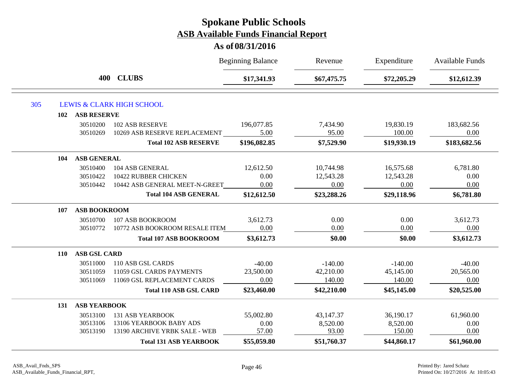| 400 CLUBS<br>\$17,341.93<br>\$67,475.75<br>\$72,205.29<br>305<br><b>LEWIS &amp; CLARK HIGH SCHOOL</b><br><b>ASB RESERVE</b><br>102<br>183,682.56<br>196,077.85<br>7,434.90<br>19,830.19<br>30510200<br>102 ASB RESERVE<br>5.00<br>95.00<br>100.00<br>0.00<br>10269 ASB RESERVE REPLACEMENT<br>30510269<br><b>Total 102 ASB RESERVE</b><br>\$196,082.85<br>\$7,529.90<br>\$19,930.19<br><b>ASB GENERAL</b><br>104<br>12,612.50<br>10,744.98<br>16,575.68<br>6,781.80<br>30510400<br>104 ASB GENERAL<br>0.00<br>0.00<br>30510422<br>10422 RUBBER CHICKEN<br>12,543.28<br>12,543.28<br>10442 ASB GENERAL MEET-N-GREET<br>0.00<br>0.00<br>0.00<br>0.00<br>30510442<br><b>Total 104 ASB GENERAL</b><br>\$23,288.26<br>\$29,118.96<br>\$12,612.50<br><b>ASB BOOKROOM</b><br>107<br>3,612.73<br>0.00<br>0.00<br>3,612.73<br>107 ASB BOOKROOM<br>30510700<br>0.00<br>0.00<br>0.00<br>0.00<br>30510772<br>10772 ASB BOOKROOM RESALE ITEM<br>\$3,612.73<br>\$0.00<br>\$0.00<br><b>Total 107 ASB BOOKROOM</b><br><b>ASB GSL CARD</b><br>110<br>30511000<br>110 ASB GSL CARDS<br>$-40.00$<br>$-40.00$<br>$-140.00$<br>$-140.00$<br>23,500.00<br>42,210.00<br>20,565.00<br>11059 GSL CARDS PAYMENTS<br>45,145.00<br>30511059<br>11069 GSL REPLACEMENT CARDS<br>0.00<br>140.00<br>140.00<br>0.00<br>30511069<br>\$23,460.00<br>\$42,210.00<br>\$45,145.00<br><b>Total 110 ASB GSL CARD</b><br><b>ASB YEARBOOK</b><br>131<br>55,002.80<br>43,147.37<br>36,190.17<br>61,960.00<br><b>131 ASB YEARBOOK</b><br>30513100<br>30513106<br>13106 YEARBOOK BABY ADS<br>0.00<br>8,520.00<br>8,520.00<br>0.00<br>57.00<br>93.00<br>150.00<br>0.00<br>30513190<br>13190 ARCHIVE YRBK SALE - WEB<br>\$61,960.00<br>\$55,059.80<br>\$51,760.37<br>\$44,860.17<br><b>Total 131 ASB YEARBOOK</b> |  |  | <b>Beginning Balance</b> | Revenue | Expenditure | <b>Available Funds</b> |  |
|--------------------------------------------------------------------------------------------------------------------------------------------------------------------------------------------------------------------------------------------------------------------------------------------------------------------------------------------------------------------------------------------------------------------------------------------------------------------------------------------------------------------------------------------------------------------------------------------------------------------------------------------------------------------------------------------------------------------------------------------------------------------------------------------------------------------------------------------------------------------------------------------------------------------------------------------------------------------------------------------------------------------------------------------------------------------------------------------------------------------------------------------------------------------------------------------------------------------------------------------------------------------------------------------------------------------------------------------------------------------------------------------------------------------------------------------------------------------------------------------------------------------------------------------------------------------------------------------------------------------------------------------------------------------------------------------------------------------------------------------------------------------|--|--|--------------------------|---------|-------------|------------------------|--|
|                                                                                                                                                                                                                                                                                                                                                                                                                                                                                                                                                                                                                                                                                                                                                                                                                                                                                                                                                                                                                                                                                                                                                                                                                                                                                                                                                                                                                                                                                                                                                                                                                                                                                                                                                                    |  |  |                          |         |             | \$12,612.39            |  |
|                                                                                                                                                                                                                                                                                                                                                                                                                                                                                                                                                                                                                                                                                                                                                                                                                                                                                                                                                                                                                                                                                                                                                                                                                                                                                                                                                                                                                                                                                                                                                                                                                                                                                                                                                                    |  |  |                          |         |             |                        |  |
|                                                                                                                                                                                                                                                                                                                                                                                                                                                                                                                                                                                                                                                                                                                                                                                                                                                                                                                                                                                                                                                                                                                                                                                                                                                                                                                                                                                                                                                                                                                                                                                                                                                                                                                                                                    |  |  |                          |         |             |                        |  |
|                                                                                                                                                                                                                                                                                                                                                                                                                                                                                                                                                                                                                                                                                                                                                                                                                                                                                                                                                                                                                                                                                                                                                                                                                                                                                                                                                                                                                                                                                                                                                                                                                                                                                                                                                                    |  |  |                          |         |             |                        |  |
|                                                                                                                                                                                                                                                                                                                                                                                                                                                                                                                                                                                                                                                                                                                                                                                                                                                                                                                                                                                                                                                                                                                                                                                                                                                                                                                                                                                                                                                                                                                                                                                                                                                                                                                                                                    |  |  |                          |         |             |                        |  |
|                                                                                                                                                                                                                                                                                                                                                                                                                                                                                                                                                                                                                                                                                                                                                                                                                                                                                                                                                                                                                                                                                                                                                                                                                                                                                                                                                                                                                                                                                                                                                                                                                                                                                                                                                                    |  |  |                          |         |             | \$183,682.56           |  |
|                                                                                                                                                                                                                                                                                                                                                                                                                                                                                                                                                                                                                                                                                                                                                                                                                                                                                                                                                                                                                                                                                                                                                                                                                                                                                                                                                                                                                                                                                                                                                                                                                                                                                                                                                                    |  |  |                          |         |             |                        |  |
|                                                                                                                                                                                                                                                                                                                                                                                                                                                                                                                                                                                                                                                                                                                                                                                                                                                                                                                                                                                                                                                                                                                                                                                                                                                                                                                                                                                                                                                                                                                                                                                                                                                                                                                                                                    |  |  |                          |         |             |                        |  |
|                                                                                                                                                                                                                                                                                                                                                                                                                                                                                                                                                                                                                                                                                                                                                                                                                                                                                                                                                                                                                                                                                                                                                                                                                                                                                                                                                                                                                                                                                                                                                                                                                                                                                                                                                                    |  |  |                          |         |             |                        |  |
|                                                                                                                                                                                                                                                                                                                                                                                                                                                                                                                                                                                                                                                                                                                                                                                                                                                                                                                                                                                                                                                                                                                                                                                                                                                                                                                                                                                                                                                                                                                                                                                                                                                                                                                                                                    |  |  |                          |         |             |                        |  |
|                                                                                                                                                                                                                                                                                                                                                                                                                                                                                                                                                                                                                                                                                                                                                                                                                                                                                                                                                                                                                                                                                                                                                                                                                                                                                                                                                                                                                                                                                                                                                                                                                                                                                                                                                                    |  |  |                          |         |             | \$6,781.80             |  |
|                                                                                                                                                                                                                                                                                                                                                                                                                                                                                                                                                                                                                                                                                                                                                                                                                                                                                                                                                                                                                                                                                                                                                                                                                                                                                                                                                                                                                                                                                                                                                                                                                                                                                                                                                                    |  |  |                          |         |             |                        |  |
|                                                                                                                                                                                                                                                                                                                                                                                                                                                                                                                                                                                                                                                                                                                                                                                                                                                                                                                                                                                                                                                                                                                                                                                                                                                                                                                                                                                                                                                                                                                                                                                                                                                                                                                                                                    |  |  |                          |         |             |                        |  |
|                                                                                                                                                                                                                                                                                                                                                                                                                                                                                                                                                                                                                                                                                                                                                                                                                                                                                                                                                                                                                                                                                                                                                                                                                                                                                                                                                                                                                                                                                                                                                                                                                                                                                                                                                                    |  |  |                          |         |             |                        |  |
|                                                                                                                                                                                                                                                                                                                                                                                                                                                                                                                                                                                                                                                                                                                                                                                                                                                                                                                                                                                                                                                                                                                                                                                                                                                                                                                                                                                                                                                                                                                                                                                                                                                                                                                                                                    |  |  |                          |         |             | \$3,612.73             |  |
|                                                                                                                                                                                                                                                                                                                                                                                                                                                                                                                                                                                                                                                                                                                                                                                                                                                                                                                                                                                                                                                                                                                                                                                                                                                                                                                                                                                                                                                                                                                                                                                                                                                                                                                                                                    |  |  |                          |         |             |                        |  |
|                                                                                                                                                                                                                                                                                                                                                                                                                                                                                                                                                                                                                                                                                                                                                                                                                                                                                                                                                                                                                                                                                                                                                                                                                                                                                                                                                                                                                                                                                                                                                                                                                                                                                                                                                                    |  |  |                          |         |             |                        |  |
|                                                                                                                                                                                                                                                                                                                                                                                                                                                                                                                                                                                                                                                                                                                                                                                                                                                                                                                                                                                                                                                                                                                                                                                                                                                                                                                                                                                                                                                                                                                                                                                                                                                                                                                                                                    |  |  |                          |         |             |                        |  |
|                                                                                                                                                                                                                                                                                                                                                                                                                                                                                                                                                                                                                                                                                                                                                                                                                                                                                                                                                                                                                                                                                                                                                                                                                                                                                                                                                                                                                                                                                                                                                                                                                                                                                                                                                                    |  |  |                          |         |             |                        |  |
|                                                                                                                                                                                                                                                                                                                                                                                                                                                                                                                                                                                                                                                                                                                                                                                                                                                                                                                                                                                                                                                                                                                                                                                                                                                                                                                                                                                                                                                                                                                                                                                                                                                                                                                                                                    |  |  |                          |         |             | \$20,525.00            |  |
|                                                                                                                                                                                                                                                                                                                                                                                                                                                                                                                                                                                                                                                                                                                                                                                                                                                                                                                                                                                                                                                                                                                                                                                                                                                                                                                                                                                                                                                                                                                                                                                                                                                                                                                                                                    |  |  |                          |         |             |                        |  |
|                                                                                                                                                                                                                                                                                                                                                                                                                                                                                                                                                                                                                                                                                                                                                                                                                                                                                                                                                                                                                                                                                                                                                                                                                                                                                                                                                                                                                                                                                                                                                                                                                                                                                                                                                                    |  |  |                          |         |             |                        |  |
|                                                                                                                                                                                                                                                                                                                                                                                                                                                                                                                                                                                                                                                                                                                                                                                                                                                                                                                                                                                                                                                                                                                                                                                                                                                                                                                                                                                                                                                                                                                                                                                                                                                                                                                                                                    |  |  |                          |         |             |                        |  |
|                                                                                                                                                                                                                                                                                                                                                                                                                                                                                                                                                                                                                                                                                                                                                                                                                                                                                                                                                                                                                                                                                                                                                                                                                                                                                                                                                                                                                                                                                                                                                                                                                                                                                                                                                                    |  |  |                          |         |             |                        |  |
|                                                                                                                                                                                                                                                                                                                                                                                                                                                                                                                                                                                                                                                                                                                                                                                                                                                                                                                                                                                                                                                                                                                                                                                                                                                                                                                                                                                                                                                                                                                                                                                                                                                                                                                                                                    |  |  |                          |         |             |                        |  |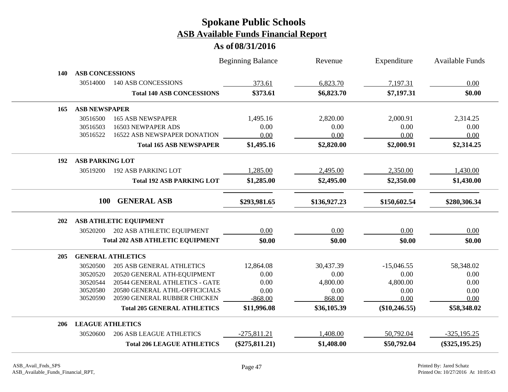|            |                         |                                         | <b>Beginning Balance</b> | Revenue      | Expenditure     | Available Funds   |
|------------|-------------------------|-----------------------------------------|--------------------------|--------------|-----------------|-------------------|
| 140        | <b>ASB CONCESSIONS</b>  |                                         |                          |              |                 |                   |
|            | 30514000                | <b>140 ASB CONCESSIONS</b>              | 373.61                   | 6,823.70     | 7,197.31        | 0.00              |
|            |                         | <b>Total 140 ASB CONCESSIONS</b>        | \$373.61                 | \$6,823.70   | \$7,197.31      | \$0.00            |
| 165        | <b>ASB NEWSPAPER</b>    |                                         |                          |              |                 |                   |
|            | 30516500                | <b>165 ASB NEWSPAPER</b>                | 1,495.16                 | 2,820.00     | 2,000.91        | 2,314.25          |
|            | 30516503                | 16503 NEWPAPER ADS                      | 0.00                     | 0.00         | 0.00            | 0.00              |
|            | 30516522                | 16522 ASB NEWSPAPER DONATION            | 0.00                     | 0.00         | 0.00            | 0.00              |
|            |                         | <b>Total 165 ASB NEWSPAPER</b>          | \$1,495.16               | \$2,820.00   | \$2,000.91      | \$2,314.25        |
| 192        | <b>ASB PARKING LOT</b>  |                                         |                          |              |                 |                   |
|            | 30519200                | <b>192 ASB PARKING LOT</b>              | 1,285.00                 | 2,495.00     | 2,350.00        | 1,430.00          |
|            |                         | <b>Total 192 ASB PARKING LOT</b>        | \$1,285.00               | \$2,495.00   | \$2,350.00      | \$1,430.00        |
|            | 100                     | <b>GENERAL ASB</b>                      | \$293,981.65             | \$136,927.23 | \$150,602.54    | \$280,306.34      |
| 202        |                         | ASB ATHLETIC EQUIPMENT                  |                          |              |                 |                   |
|            | 30520200                | 202 ASB ATHLETIC EQUIPMENT              | 0.00                     | 0.00         | 0.00            | 0.00              |
|            |                         | <b>Total 202 ASB ATHLETIC EQUIPMENT</b> | \$0.00                   | \$0.00       | \$0.00          | \$0.00            |
| <b>205</b> |                         | <b>GENERAL ATHLETICS</b>                |                          |              |                 |                   |
|            | 30520500                | <b>205 ASB GENERAL ATHLETICS</b>        | 12,864.08                | 30,437.39    | $-15,046.55$    | 58,348.02         |
|            | 30520520                | 20520 GENERAL ATH-EQUIPMENT             | 0.00                     | 0.00         | 0.00            | 0.00              |
|            | 30520544                | 20544 GENERAL ATHLETICS - GATE          | 0.00                     | 4,800.00     | 4,800.00        | 0.00              |
|            | 30520580                | 20580 GENERAL ATHL-OFFICICIALS          | 0.00                     | 0.00         | 0.00            | 0.00              |
|            | 30520590                | 20590 GENERAL RUBBER CHICKEN            | $-868.00$                | 868.00       | 0.00            | 0.00              |
|            |                         | <b>Total 205 GENERAL ATHLETICS</b>      | \$11,996.08              | \$36,105.39  | $(\$10,246.55)$ | \$58,348.02       |
| 206        | <b>LEAGUE ATHLETICS</b> |                                         |                          |              |                 |                   |
|            | 30520600                | <b>206 ASB LEAGUE ATHLETICS</b>         | $-275,811.21$            | 1,408.00     | 50,792.04       | $-325,195.25$     |
|            |                         | <b>Total 206 LEAGUE ATHLETICS</b>       | $(\$275,811.21)$         | \$1,408.00   | \$50,792.04     | $(\$325, 195.25)$ |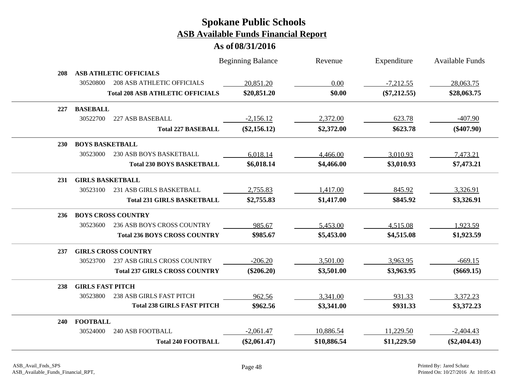|            |                                               | <b>Beginning Balance</b> | Revenue     | Expenditure    | Available Funds |
|------------|-----------------------------------------------|--------------------------|-------------|----------------|-----------------|
| 208        | <b>ASB ATHLETIC OFFICIALS</b>                 |                          |             |                |                 |
|            | <b>208 ASB ATHLETIC OFFICIALS</b><br>30520800 | 20,851.20                | 0.00        | $-7,212.55$    | 28,063.75       |
|            | <b>Total 208 ASB ATHLETIC OFFICIALS</b>       | \$20,851.20              | \$0.00      | $(\$7,212.55)$ | \$28,063.75     |
| 227        | <b>BASEBALL</b>                               |                          |             |                |                 |
|            | 30522700<br>227 ASB BASEBALL                  | $-2,156.12$              | 2,372.00    | 623.78         | $-407.90$       |
|            | <b>Total 227 BASEBALL</b>                     | $(\$2,156.12)$           | \$2,372.00  | \$623.78       | $(\$407.90)$    |
| <b>230</b> | <b>BOYS BASKETBALL</b>                        |                          |             |                |                 |
|            | 30523000<br><b>230 ASB BOYS BASKETBALL</b>    | 6,018.14                 | 4,466.00    | 3,010.93       | 7,473.21        |
|            | <b>Total 230 BOYS BASKETBALL</b>              | \$6,018.14               | \$4,466.00  | \$3,010.93     | \$7,473.21      |
| 231        | <b>GIRLS BASKETBALL</b>                       |                          |             |                |                 |
|            | 231 ASB GIRLS BASKETBALL<br>30523100          | 2,755.83                 | 1,417.00    | 845.92         | 3,326.91        |
|            | <b>Total 231 GIRLS BASKETBALL</b>             | \$2,755.83               | \$1,417.00  | \$845.92       | \$3,326.91      |
| 236        | <b>BOYS CROSS COUNTRY</b>                     |                          |             |                |                 |
|            | 236 ASB BOYS CROSS COUNTRY<br>30523600        | 985.67                   | 5,453.00    | 4,515.08       | 1,923.59        |
|            | <b>Total 236 BOYS CROSS COUNTRY</b>           | \$985.67                 | \$5,453.00  | \$4,515.08     | \$1,923.59      |
| 237        | <b>GIRLS CROSS COUNTRY</b>                    |                          |             |                |                 |
|            | 237 ASB GIRLS CROSS COUNTRY<br>30523700       | $-206.20$                | 3,501.00    | 3,963.95       | $-669.15$       |
|            | <b>Total 237 GIRLS CROSS COUNTRY</b>          | $(\$206.20)$             | \$3,501.00  | \$3,963.95     | $(\$669.15)$    |
| 238        | <b>GIRLS FAST PITCH</b>                       |                          |             |                |                 |
|            | <b>238 ASB GIRLS FAST PITCH</b><br>30523800   | 962.56                   | 3,341.00    | 931.33         | 3,372.23        |
|            | <b>Total 238 GIRLS FAST PITCH</b>             | \$962.56                 | \$3,341.00  | \$931.33       | \$3,372.23      |
| 240        | <b>FOOTBALL</b>                               |                          |             |                |                 |
|            | <b>240 ASB FOOTBALL</b><br>30524000           | $-2,061.47$              | 10,886.54   | 11,229.50      | $-2,404.43$     |
|            | <b>Total 240 FOOTBALL</b>                     | $(\$2,061.47)$           | \$10,886.54 | \$11,229.50    | $(\$2,404.43)$  |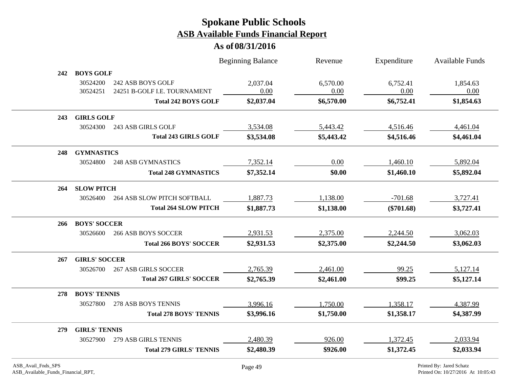|     |                      |                                                   | <b>Beginning Balance</b> | Revenue          | Expenditure      | <b>Available Funds</b> |
|-----|----------------------|---------------------------------------------------|--------------------------|------------------|------------------|------------------------|
| 242 | <b>BOYS GOLF</b>     |                                                   |                          |                  |                  |                        |
|     | 30524200<br>30524251 | 242 ASB BOYS GOLF<br>24251 B-GOLF I.E. TOURNAMENT | 2,037.04<br>0.00         | 6,570.00<br>0.00 | 6,752.41<br>0.00 | 1,854.63<br>0.00       |
|     |                      | <b>Total 242 BOYS GOLF</b>                        | \$2,037.04               | \$6,570.00       | \$6,752.41       | \$1,854.63             |
| 243 | <b>GIRLS GOLF</b>    |                                                   |                          |                  |                  |                        |
|     | 30524300             | 243 ASB GIRLS GOLF                                | 3,534.08                 | 5,443.42         | 4,516.46         | 4,461.04               |
|     |                      | <b>Total 243 GIRLS GOLF</b>                       | \$3,534.08               | \$5,443.42       | \$4,516.46       | \$4,461.04             |
| 248 | <b>GYMNASTICS</b>    |                                                   |                          |                  |                  |                        |
|     | 30524800             | <b>248 ASB GYMNASTICS</b>                         | 7,352.14                 | 0.00             | 1,460.10         | 5,892.04               |
|     |                      | <b>Total 248 GYMNASTICS</b>                       | \$7,352.14               | \$0.00           | \$1,460.10       | \$5,892.04             |
| 264 | <b>SLOW PITCH</b>    |                                                   |                          |                  |                  |                        |
|     | 30526400             | <b>264 ASB SLOW PITCH SOFTBALL</b>                | 1,887.73                 | 1,138.00         | $-701.68$        | 3,727.41               |
|     |                      | <b>Total 264 SLOW PITCH</b>                       | \$1,887.73               | \$1,138.00       | $(\$701.68)$     | \$3,727.41             |
| 266 | <b>BOYS' SOCCER</b>  |                                                   |                          |                  |                  |                        |
|     | 30526600             | <b>266 ASB BOYS SOCCER</b>                        | 2,931.53                 | 2,375.00         | 2,244.50         | 3,062.03               |
|     |                      | <b>Total 266 BOYS' SOCCER</b>                     | \$2,931.53               | \$2,375.00       | \$2,244.50       | \$3,062.03             |
| 267 | <b>GIRLS' SOCCER</b> |                                                   |                          |                  |                  |                        |
|     | 30526700             | <b>267 ASB GIRLS SOCCER</b>                       | 2,765.39                 | 2,461.00         | 99.25            | 5,127.14               |
|     |                      | <b>Total 267 GIRLS' SOCCER</b>                    | \$2,765.39               | \$2,461.00       | \$99.25          | \$5,127.14             |
| 278 | <b>BOYS' TENNIS</b>  |                                                   |                          |                  |                  |                        |
|     | 30527800             | 278 ASB BOYS TENNIS                               | 3,996.16                 | 1,750.00         | 1,358.17         | 4,387.99               |
|     |                      | <b>Total 278 BOYS' TENNIS</b>                     | \$3,996.16               | \$1,750.00       | \$1,358.17       | \$4,387.99             |
| 279 | <b>GIRLS' TENNIS</b> |                                                   |                          |                  |                  |                        |
|     | 30527900             | 279 ASB GIRLS TENNIS                              | 2,480.39                 | 926.00           | 1,372.45         | 2,033.94               |
|     |                      | <b>Total 279 GIRLS' TENNIS</b>                    | \$2,480.39               | \$926.00         | \$1,372.45       | \$2,033.94             |
|     |                      |                                                   |                          |                  |                  |                        |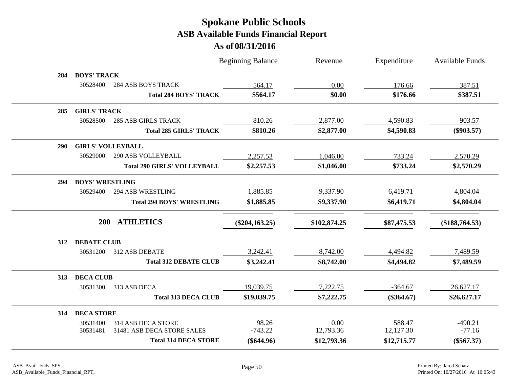|            |                          |                                    | <b>Beginning Balance</b> | Revenue      | Expenditure  | <b>Available Funds</b> |
|------------|--------------------------|------------------------------------|--------------------------|--------------|--------------|------------------------|
| 284        | <b>BOYS' TRACK</b>       |                                    |                          |              |              |                        |
|            | 30528400                 | <b>284 ASB BOYS TRACK</b>          | 564.17                   | 0.00         | 176.66       | 387.51                 |
|            |                          | <b>Total 284 BOYS' TRACK</b>       | \$564.17                 | \$0.00       | \$176.66     | \$387.51               |
| 285        | <b>GIRLS' TRACK</b>      |                                    |                          |              |              |                        |
|            | 30528500                 | <b>285 ASB GIRLS TRACK</b>         | 810.26                   | 2,877.00     | 4,590.83     | $-903.57$              |
|            |                          | <b>Total 285 GIRLS' TRACK</b>      | \$810.26                 | \$2,877.00   | \$4,590.83   | $(\$903.57)$           |
| <b>290</b> | <b>GIRLS' VOLLEYBALL</b> |                                    |                          |              |              |                        |
|            | 30529000                 | <b>290 ASB VOLLEYBALL</b>          | 2,257.53                 | 1,046.00     | 733.24       | 2,570.29               |
|            |                          | <b>Total 290 GIRLS' VOLLEYBALL</b> | \$2,257.53               | \$1,046.00   | \$733.24     | \$2,570.29             |
| 294        | <b>BOYS' WRESTLING</b>   |                                    |                          |              |              |                        |
|            | 30529400                 | <b>294 ASB WRESTLING</b>           | 1,885.85                 | 9,337.90     | 6,419.71     | 4,804.04               |
|            |                          | <b>Total 294 BOYS' WRESTLING</b>   | \$1,885.85               | \$9,337.90   | \$6,419.71   | \$4,804.04             |
|            | <b>200</b>               | <b>ATHLETICS</b>                   | $(\$204,163.25)$         | \$102,874.25 | \$87,475.53  | $(\$188,764.53)$       |
| 312        | <b>DEBATE CLUB</b>       |                                    |                          |              |              |                        |
|            | 30531200                 | 312 ASB DEBATE                     | 3,242.41                 | 8,742.00     | 4,494.82     | 7,489.59               |
|            |                          | <b>Total 312 DEBATE CLUB</b>       | \$3,242.41               | \$8,742.00   | \$4,494.82   | \$7,489.59             |
| 313        | <b>DECA CLUB</b>         |                                    |                          |              |              |                        |
|            | 30531300                 | 313 ASB DECA                       | 19,039.75                | 7,222.75     | $-364.67$    | 26,627.17              |
|            |                          | <b>Total 313 DECA CLUB</b>         | \$19,039.75              | \$7,222.75   | $(\$364.67)$ | \$26,627.17            |
| 314        | <b>DECA STORE</b>        |                                    |                          |              |              |                        |
|            | 30531400                 | 314 ASB DECA STORE                 | 98.26                    | 0.00         | 588.47       | $-490.21$              |
|            | 30531481                 | 31481 ASB DECA STORE SALES         | $-743.22$                | 12,793.36    | 12,127.30    | $-77.16$               |
|            |                          | <b>Total 314 DECA STORE</b>        | $(\$644.96)$             | \$12,793.36  | \$12,715.77  | $(\$567.37)$           |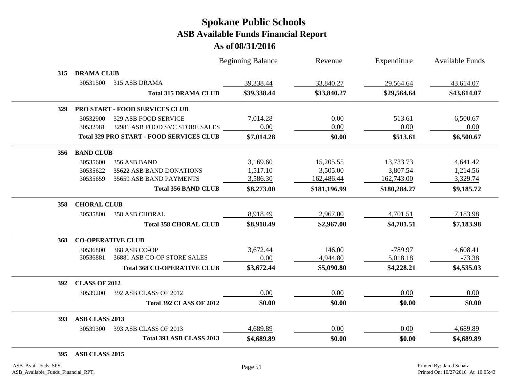#### **As of 08/31/2016**

|     |                      |                                                 | <b>Beginning Balance</b> | Revenue      | Expenditure  | <b>Available Funds</b> |
|-----|----------------------|-------------------------------------------------|--------------------------|--------------|--------------|------------------------|
| 315 | <b>DRAMA CLUB</b>    |                                                 |                          |              |              |                        |
|     | 30531500             | 315 ASB DRAMA                                   | 39,338.44                | 33,840.27    | 29,564.64    | 43,614.07              |
|     |                      | <b>Total 315 DRAMA CLUB</b>                     | \$39,338.44              | \$33,840.27  | \$29,564.64  | \$43,614.07            |
| 329 |                      | PRO START - FOOD SERVICES CLUB                  |                          |              |              |                        |
|     | 30532900             | 329 ASB FOOD SERVICE                            | 7,014.28                 | 0.00         | 513.61       | 6,500.67               |
|     | 30532981             | 32981 ASB FOOD SVC STORE SALES                  | 0.00                     | 0.00         | 0.00         | 0.00                   |
|     |                      | <b>Total 329 PRO START - FOOD SERVICES CLUB</b> | \$7,014.28               | \$0.00       | \$513.61     | \$6,500.67             |
| 356 | <b>BAND CLUB</b>     |                                                 |                          |              |              |                        |
|     | 30535600             | 356 ASB BAND                                    | 3,169.60                 | 15,205.55    | 13,733.73    | 4,641.42               |
|     | 30535622             | 35622 ASB BAND DONATIONS                        | 1,517.10                 | 3,505.00     | 3,807.54     | 1,214.56               |
|     | 30535659             | 35659 ASB BAND PAYMENTS                         | 3,586.30                 | 162,486.44   | 162,743.00   | 3,329.74               |
|     |                      | <b>Total 356 BAND CLUB</b>                      | \$8,273.00               | \$181,196.99 | \$180,284.27 | \$9,185.72             |
| 358 | <b>CHORAL CLUB</b>   |                                                 |                          |              |              |                        |
|     | 30535800             | <b>358 ASB CHORAL</b>                           | 8,918.49                 | 2,967.00     | 4,701.51     | 7,183.98               |
|     |                      | <b>Total 358 CHORAL CLUB</b>                    | \$8,918.49               | \$2,967.00   | \$4,701.51   | \$7,183.98             |
| 368 |                      | <b>CO-OPERATIVE CLUB</b>                        |                          |              |              |                        |
|     | 30536800             | 368 ASB CO-OP                                   | 3,672.44                 | 146.00       | $-789.97$    | 4,608.41               |
|     | 30536881             | 36881 ASB CO-OP STORE SALES                     | 0.00                     | 4,944.80     | 5,018.18     | $-73.38$               |
|     |                      | <b>Total 368 CO-OPERATIVE CLUB</b>              | \$3,672.44               | \$5,090.80   | \$4,228.21   | \$4,535.03             |
| 392 | <b>CLASS OF 2012</b> |                                                 |                          |              |              |                        |
|     | 30539200             | 392 ASB CLASS OF 2012                           | 0.00                     | 0.00         | 0.00         | 0.00                   |
|     |                      | <b>Total 392 CLASS OF 2012</b>                  | \$0.00                   | \$0.00       | \$0.00       | \$0.00                 |
| 393 | ASB CLASS 2013       |                                                 |                          |              |              |                        |
|     | 30539300             | 393 ASB CLASS OF 2013                           | 4,689.89                 | 0.00         | 0.00         | 4,689.89               |
|     |                      | Total 393 ASB CLASS 2013                        | \$4,689.89               | \$0.00       | \$0.00       | \$4,689.89             |
|     |                      |                                                 |                          |              |              |                        |

**395 ASB CLASS 2015**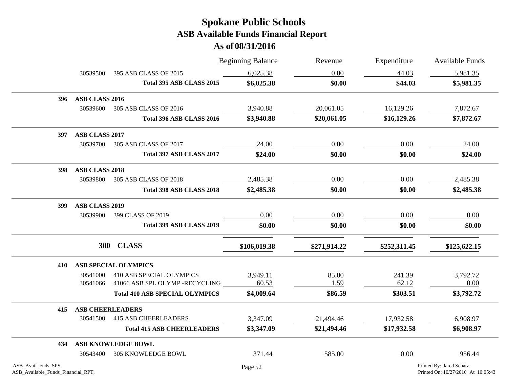|                                                          |                         |                                       | <b>Beginning Balance</b> | Revenue      | Expenditure  | <b>Available Funds</b>                                         |
|----------------------------------------------------------|-------------------------|---------------------------------------|--------------------------|--------------|--------------|----------------------------------------------------------------|
|                                                          | 30539500                | 395 ASB CLASS OF 2015                 | 6,025.38                 | 0.00         | 44.03        | 5,981.35                                                       |
|                                                          |                         | Total 395 ASB CLASS 2015              | \$6,025.38               | \$0.00       | \$44.03      | \$5,981.35                                                     |
| 396                                                      | ASB CLASS 2016          |                                       |                          |              |              |                                                                |
|                                                          | 30539600                | 305 ASB CLASS OF 2016                 | 3,940.88                 | 20,061.05    | 16,129.26    | 7,872.67                                                       |
|                                                          |                         | Total 396 ASB CLASS 2016              | \$3,940.88               | \$20,061.05  | \$16,129.26  | \$7,872.67                                                     |
| 397                                                      | ASB CLASS 2017          |                                       |                          |              |              |                                                                |
|                                                          | 30539700                | 305 ASB CLASS OF 2017                 | 24.00                    | 0.00         | 0.00         | 24.00                                                          |
|                                                          |                         | Total 397 ASB CLASS 2017              | \$24.00                  | \$0.00       | \$0.00       | \$24.00                                                        |
| 398                                                      | ASB CLASS 2018          |                                       |                          |              |              |                                                                |
|                                                          | 30539800                | 305 ASB CLASS OF 2018                 | 2,485.38                 | 0.00         | 0.00         | 2,485.38                                                       |
|                                                          |                         | Total 398 ASB CLASS 2018              | \$2,485.38               | \$0.00       | \$0.00       | \$2,485.38                                                     |
| 399                                                      | <b>ASB CLASS 2019</b>   |                                       |                          |              |              |                                                                |
|                                                          | 30539900                | 399 CLASS OF 2019                     | 0.00                     | 0.00         | 0.00         | 0.00                                                           |
|                                                          |                         | Total 399 ASB CLASS 2019              | \$0.00                   | \$0.00       | \$0.00       | \$0.00                                                         |
|                                                          |                         | 300 CLASS                             | \$106,019.38             | \$271,914.22 | \$252,311.45 | \$125,622.15                                                   |
| 410                                                      |                         | <b>ASB SPECIAL OLYMPICS</b>           |                          |              |              |                                                                |
|                                                          | 30541000                | 410 ASB SPECIAL OLYMPICS              | 3,949.11                 | 85.00        | 241.39       | 3,792.72                                                       |
|                                                          | 30541066                | 41066 ASB SPL OLYMP -RECYCLING        | 60.53                    | 1.59         | 62.12        | 0.00                                                           |
|                                                          |                         | <b>Total 410 ASB SPECIAL OLYMPICS</b> | \$4,009.64               | \$86.59      | \$303.51     | \$3,792.72                                                     |
| 415                                                      | <b>ASB CHEERLEADERS</b> |                                       |                          |              |              |                                                                |
|                                                          | 30541500                | <b>415 ASB CHEERLEADERS</b>           | 3,347.09                 | 21,494.46    | 17,932.58    | 6,908.97                                                       |
|                                                          |                         | <b>Total 415 ASB CHEERLEADERS</b>     | \$3,347.09               | \$21,494.46  | \$17,932.58  | \$6,908.97                                                     |
| 434                                                      |                         | ASB KNOWLEDGE BOWL                    |                          |              |              |                                                                |
|                                                          | 30543400                | <b>305 KNOWLEDGE BOWL</b>             | 371.44                   | 585.00       | 0.00         | 956.44                                                         |
| ASB_Avail_Fnds_SPS<br>ASB_Available_Funds_Financial_RPT, |                         |                                       | Page 52                  |              |              | Printed By: Jared Schatz<br>Printed On: 10/27/2016 At 10:05:43 |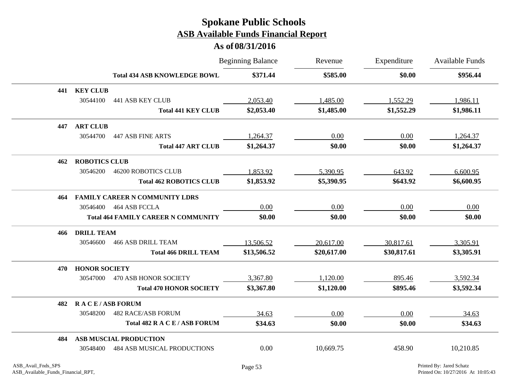|     |                       |                                            | <b>Beginning Balance</b> | Revenue     | Expenditure | <b>Available Funds</b> |
|-----|-----------------------|--------------------------------------------|--------------------------|-------------|-------------|------------------------|
|     |                       | <b>Total 434 ASB KNOWLEDGE BOWL</b>        | \$371.44                 | \$585.00    | \$0.00      | \$956.44               |
| 441 | <b>KEY CLUB</b>       |                                            |                          |             |             |                        |
|     | 30544100              | <b>441 ASB KEY CLUB</b>                    | 2,053.40                 | 1,485.00    | 1,552.29    | 1,986.11               |
|     |                       | <b>Total 441 KEY CLUB</b>                  | \$2,053.40               | \$1,485.00  | \$1,552.29  | \$1,986.11             |
| 447 | <b>ART CLUB</b>       |                                            |                          |             |             |                        |
|     | 30544700              | <b>447 ASB FINE ARTS</b>                   | 1,264.37                 | 0.00        | 0.00        | 1,264.37               |
|     |                       | <b>Total 447 ART CLUB</b>                  | \$1,264.37               | \$0.00      | \$0.00      | \$1,264.37             |
| 462 | <b>ROBOTICS CLUB</b>  |                                            |                          |             |             |                        |
|     | 30546200              | <b>46200 ROBOTICS CLUB</b>                 | 1,853.92                 | 5,390.95    | 643.92      | 6,600.95               |
|     |                       | <b>Total 462 ROBOTICS CLUB</b>             | \$1,853.92               | \$5,390.95  | \$643.92    | \$6,600.95             |
| 464 |                       | <b>FAMILY CAREER N COMMUNITY LDRS</b>      |                          |             |             |                        |
|     |                       | 30546400  464 ASB FCCLA                    | 0.00                     | 0.00        | 0.00        | 0.00                   |
|     |                       | <b>Total 464 FAMILY CAREER N COMMUNITY</b> | \$0.00                   | \$0.00      | \$0.00      | \$0.00                 |
| 466 | <b>DRILL TEAM</b>     |                                            |                          |             |             |                        |
|     | 30546600              | <b>466 ASB DRILL TEAM</b>                  | 13,506.52                | 20,617.00   | 30,817.61   | 3,305.91               |
|     |                       | <b>Total 466 DRILL TEAM</b>                | \$13,506.52              | \$20,617.00 | \$30,817.61 | \$3,305.91             |
| 470 | <b>HONOR SOCIETY</b>  |                                            |                          |             |             |                        |
|     | 30547000              | 470 ASB HONOR SOCIETY                      | 3,367.80                 | 1,120.00    | 895.46      | 3,592.34               |
|     |                       | <b>Total 470 HONOR SOCIETY</b>             | \$3,367.80               | \$1,120.00  | \$895.46    | \$3,592.34             |
| 482 | <b>RACE/ASB FORUM</b> |                                            |                          |             |             |                        |
|     | 30548200              | <b>482 RACE/ASB FORUM</b>                  | 34.63                    | 0.00        | 0.00        | 34.63                  |
|     |                       | Total 482 R A C E / ASB FORUM              | \$34.63                  | \$0.00      | \$0.00      | \$34.63                |
| 484 |                       | <b>ASB MUSCIAL PRODUCTION</b>              |                          |             |             |                        |
|     | 30548400              | <b>484 ASB MUSICAL PRODUCTIONS</b>         | 0.00                     | 10,669.75   | 458.90      | 10,210.85              |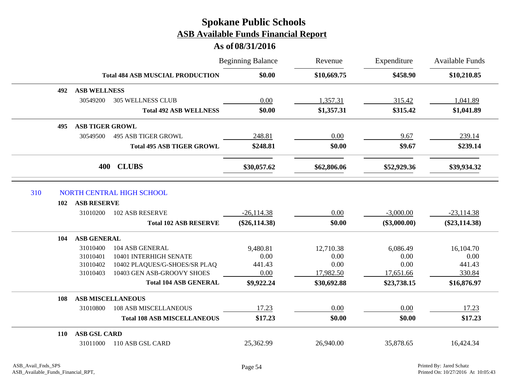|     |     |                        |                                         | <b>Beginning Balance</b> | Revenue     | Expenditure    | <b>Available Funds</b> |
|-----|-----|------------------------|-----------------------------------------|--------------------------|-------------|----------------|------------------------|
|     |     |                        | <b>Total 484 ASB MUSCIAL PRODUCTION</b> | \$0.00                   | \$10,669.75 | \$458.90       | \$10,210.85            |
|     | 492 | <b>ASB WELLNESS</b>    |                                         |                          |             |                |                        |
|     |     | 30549200               | <b>305 WELLNESS CLUB</b>                | 0.00                     | 1,357.31    | 315.42         | 1,041.89               |
|     |     |                        | <b>Total 492 ASB WELLNESS</b>           | \$0.00                   | \$1,357.31  | \$315.42       | \$1,041.89             |
|     | 495 | <b>ASB TIGER GROWL</b> |                                         |                          |             |                |                        |
|     |     | 30549500               | <b>495 ASB TIGER GROWL</b>              | 248.81                   | 0.00        | 9.67           | 239.14                 |
|     |     |                        | <b>Total 495 ASB TIGER GROWL</b>        | \$248.81                 | \$0.00      | \$9.67         | \$239.14               |
|     |     | 400                    | <b>CLUBS</b>                            | \$30,057.62              | \$62,806.06 | \$52,929.36    | \$39,934.32            |
| 310 |     |                        | NORTH CENTRAL HIGH SCHOOL               |                          |             |                |                        |
|     | 102 | <b>ASB RESERVE</b>     |                                         |                          |             |                |                        |
|     |     | 31010200               | <b>102 ASB RESERVE</b>                  | $-26,114.38$             | 0.00        | $-3,000.00$    | $-23,114.38$           |
|     |     |                        | <b>Total 102 ASB RESERVE</b>            | $(\$26,114.38)$          | \$0.00      | $(\$3,000.00)$ | $(\$23,114.38)$        |
|     | 104 | <b>ASB GENERAL</b>     |                                         |                          |             |                |                        |
|     |     | 31010400               | 104 ASB GENERAL                         | 9,480.81                 | 12,710.38   | 6,086.49       | 16,104.70              |
|     |     | 31010401               | 10401 INTERHIGH SENATE                  | 0.00                     | 0.00        | 0.00           | 0.00                   |
|     |     | 31010402               | 10402 PLAQUES/G-SHOES/SR PLAQ           | 441.43                   | 0.00        | 0.00           | 441.43                 |
|     |     | 31010403               | 10403 GEN ASB-GROOVY SHOES              | 0.00                     | 17,982.50   | 17,651.66      | 330.84                 |
|     |     |                        | <b>Total 104 ASB GENERAL</b>            | \$9,922.24               | \$30,692.88 | \$23,738.15    | \$16,876.97            |
|     | 108 |                        | <b>ASB MISCELLANEOUS</b>                |                          |             |                |                        |
|     |     | 31010800               | <b>108 ASB MISCELLANEOUS</b>            | 17.23                    | 0.00        | 0.00           | 17.23                  |
|     |     |                        | <b>Total 108 ASB MISCELLANEOUS</b>      | \$17.23                  | \$0.00      | \$0.00         | \$17.23                |
|     | 110 | <b>ASB GSL CARD</b>    |                                         |                          |             |                |                        |
|     |     | 31011000               | 110 ASB GSL CARD                        | 25,362.99                | 26,940.00   | 35,878.65      | 16,424.34              |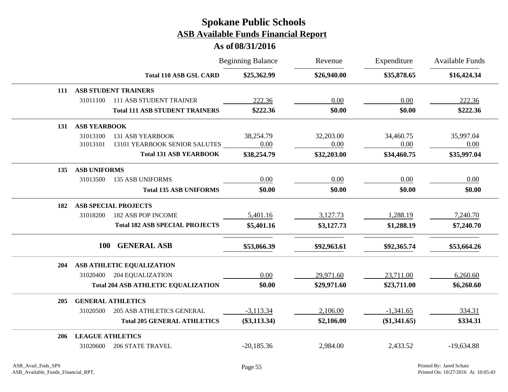|            |                                              | <b>Beginning Balance</b> | Revenue     | Expenditure  | Available Funds |
|------------|----------------------------------------------|--------------------------|-------------|--------------|-----------------|
|            | <b>Total 110 ASB GSL CARD</b>                | \$25,362.99              | \$26,940.00 | \$35,878.65  | \$16,424.34     |
| 111        | <b>ASB STUDENT TRAINERS</b>                  |                          |             |              |                 |
|            | 31011100<br><b>111 ASB STUDENT TRAINER</b>   | 222.36                   | 0.00        | 0.00         | 222.36          |
|            | <b>Total 111 ASB STUDENT TRAINERS</b>        | \$222.36                 | \$0.00      | \$0.00       | \$222.36        |
| 131        | <b>ASB YEARBOOK</b>                          |                          |             |              |                 |
|            | 31013100<br><b>131 ASB YEARBOOK</b>          | 38,254.79                | 32,203.00   | 34,460.75    | 35,997.04       |
|            | 13101 YEARBOOK SENIOR SALUTES<br>31013101    | 0.00                     | 0.00        | 0.00         | 0.00            |
|            | <b>Total 131 ASB YEARBOOK</b>                | \$38,254.79              | \$32,203.00 | \$34,460.75  | \$35,997.04     |
| 135        | <b>ASB UNIFORMS</b>                          |                          |             |              |                 |
|            | 31013500<br><b>135 ASB UNIFORMS</b>          | $0.00\,$                 | 0.00        | 0.00         | 0.00            |
|            | <b>Total 135 ASB UNIFORMS</b>                | \$0.00                   | \$0.00      | \$0.00       | \$0.00          |
| 182        | <b>ASB SPECIAL PROJECTS</b>                  |                          |             |              |                 |
|            | 31018200<br>182 ASB POP INCOME               | 5,401.16                 | 3,127.73    | 1,288.19     | 7,240.70        |
|            | <b>Total 182 ASB SPECIAL PROJECTS</b>        | \$5,401.16               | \$3,127.73  | \$1,288.19   | \$7,240.70      |
|            | <b>GENERAL ASB</b><br>100                    | \$53,066.39              | \$92,963.61 | \$92,365.74  | \$53,664.26     |
|            |                                              |                          |             |              |                 |
| 204        | ASB ATHLETIC EQUALIZATION                    |                          |             |              |                 |
|            | 31020400<br><b>204 EQUALIZATION</b>          | 0.00                     | 29,971.60   | 23,711.00    | 6,260.60        |
|            | <b>Total 204 ASB ATHLETIC EQUALIZATION</b>   | \$0.00                   | \$29,971.60 | \$23,711.00  | \$6,260.60      |
| <b>205</b> | <b>GENERAL ATHLETICS</b>                     |                          |             |              |                 |
|            | <b>205 ASB ATHLETICS GENERAL</b><br>31020500 | $-3,113.34$              | 2,106.00    | $-1,341.65$  | 334.31          |
|            | <b>Total 205 GENERAL ATHLETICS</b>           | $(\$3,113.34)$           | \$2,106.00  | (\$1,341.65) | \$334.31        |
| 206        | <b>LEAGUE ATHLETICS</b>                      |                          |             |              |                 |
|            | <b>206 STATE TRAVEL</b><br>31020600          | $-20,185.36$             | 2,984.00    | 2,433.52     | $-19,634.88$    |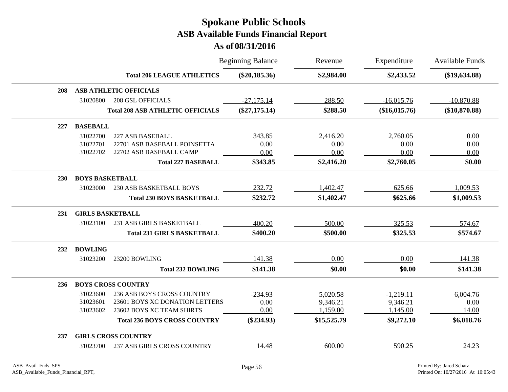|     |                         |                                         | <b>Beginning Balance</b> | Revenue     | Expenditure   | <b>Available Funds</b> |
|-----|-------------------------|-----------------------------------------|--------------------------|-------------|---------------|------------------------|
|     |                         | <b>Total 206 LEAGUE ATHLETICS</b>       | $(\$20,185.36)$          | \$2,984.00  | \$2,433.52    | $(\$19,634.88)$        |
| 208 |                         | <b>ASB ATHLETIC OFFICIALS</b>           |                          |             |               |                        |
|     | 31020800                | <b>208 GSL OFFICIALS</b>                | $-27,175.14$             | 288.50      | $-16,015.76$  | $-10,870.88$           |
|     |                         | <b>Total 208 ASB ATHLETIC OFFICIALS</b> | $(\$27,175.14)$          | \$288.50    | (\$16,015.76) | $(\$10,870.88)$        |
| 227 | <b>BASEBALL</b>         |                                         |                          |             |               |                        |
|     | 31022700                | 227 ASB BASEBALL                        | 343.85                   | 2,416.20    | 2,760.05      | 0.00                   |
|     | 31022701                | 22701 ASB BASEBALL POINSETTA            | 0.00                     | 0.00        | 0.00          | 0.00                   |
|     | 31022702                | 22702 ASB BASEBALL CAMP                 | 0.00                     | 0.00        | 0.00          | 0.00                   |
|     |                         | <b>Total 227 BASEBALL</b>               | \$343.85                 | \$2,416.20  | \$2,760.05    | \$0.00                 |
| 230 | <b>BOYS BASKETBALL</b>  |                                         |                          |             |               |                        |
|     | 31023000                | <b>230 ASB BASKETBALL BOYS</b>          | 232.72                   | 1,402.47    | 625.66        | 1,009.53               |
|     |                         | <b>Total 230 BOYS BASKETBALL</b>        | \$232.72                 | \$1,402.47  | \$625.66      | \$1,009.53             |
| 231 | <b>GIRLS BASKETBALL</b> |                                         |                          |             |               |                        |
|     | 31023100                | 231 ASB GIRLS BASKETBALL                | 400.20                   | 500.00      | 325.53        | 574.67                 |
|     |                         | <b>Total 231 GIRLS BASKETBALL</b>       | \$400.20                 | \$500.00    | \$325.53      | \$574.67               |
| 232 | <b>BOWLING</b>          |                                         |                          |             |               |                        |
|     | 31023200                | 23200 BOWLING                           | 141.38                   | 0.00        | 0.00          | 141.38                 |
|     |                         | <b>Total 232 BOWLING</b>                | \$141.38                 | \$0.00      | \$0.00        | \$141.38               |
| 236 |                         | <b>BOYS CROSS COUNTRY</b>               |                          |             |               |                        |
|     | 31023600                | 236 ASB BOYS CROSS COUNTRY              | $-234.93$                | 5,020.58    | $-1,219.11$   | 6,004.76               |
|     | 31023601                | 23601 BOYS XC DONATION LETTERS          | 0.00                     | 9,346.21    | 9,346.21      | 0.00                   |
|     | 31023602                | 23602 BOYS XC TEAM SHIRTS               | 0.00                     | 1,159.00    | 1,145.00      | 14.00                  |
|     |                         | <b>Total 236 BOYS CROSS COUNTRY</b>     | $(\$234.93)$             | \$15,525.79 | \$9,272.10    | \$6,018.76             |
| 237 |                         | <b>GIRLS CROSS COUNTRY</b>              |                          |             |               |                        |
|     | 31023700                | <b>237 ASB GIRLS CROSS COUNTRY</b>      | 14.48                    | 600.00      | 590.25        | 24.23                  |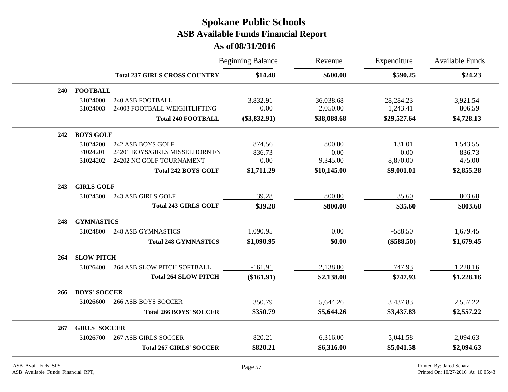|     |                      |                                      | <b>Beginning Balance</b> | Revenue     | Expenditure  | <b>Available Funds</b> |
|-----|----------------------|--------------------------------------|--------------------------|-------------|--------------|------------------------|
|     |                      | <b>Total 237 GIRLS CROSS COUNTRY</b> | \$14.48                  | \$600.00    | \$590.25     | \$24.23                |
| 240 | <b>FOOTBALL</b>      |                                      |                          |             |              |                        |
|     | 31024000             | <b>240 ASB FOOTBALL</b>              | $-3,832.91$              | 36,038.68   | 28, 284. 23  | 3,921.54               |
|     | 31024003             | 24003 FOOTBALL WEIGHTLIFTING         | 0.00                     | 2,050.00    | 1,243.41     | 806.59                 |
|     |                      | <b>Total 240 FOOTBALL</b>            | $(\$3,832.91)$           | \$38,088.68 | \$29,527.64  | \$4,728.13             |
| 242 | <b>BOYS GOLF</b>     |                                      |                          |             |              |                        |
|     | 31024200             | 242 ASB BOYS GOLF                    | 874.56                   | 800.00      | 131.01       | 1,543.55               |
|     | 31024201             | 24201 BOYS/GIRLS MISSELHORN FN       | 836.73                   | 0.00        | 0.00         | 836.73                 |
|     | 31024202             | 24202 NC GOLF TOURNAMENT             | 0.00                     | 9,345.00    | 8,870.00     | 475.00                 |
|     |                      | <b>Total 242 BOYS GOLF</b>           | \$1,711.29               | \$10,145.00 | \$9,001.01   | \$2,855.28             |
| 243 | <b>GIRLS GOLF</b>    |                                      |                          |             |              |                        |
|     | 31024300             | 243 ASB GIRLS GOLF                   | 39.28                    | 800.00      | 35.60        | 803.68                 |
|     |                      | <b>Total 243 GIRLS GOLF</b>          | \$39.28                  | \$800.00    | \$35.60      | \$803.68               |
| 248 | <b>GYMNASTICS</b>    |                                      |                          |             |              |                        |
|     | 31024800             | <b>248 ASB GYMNASTICS</b>            | 1,090.95                 | 0.00        | $-588.50$    | 1,679.45               |
|     |                      | <b>Total 248 GYMNASTICS</b>          | \$1,090.95               | \$0.00      | $(\$588.50)$ | \$1,679.45             |
| 264 | <b>SLOW PITCH</b>    |                                      |                          |             |              |                        |
|     | 31026400             | <b>264 ASB SLOW PITCH SOFTBALL</b>   | $-161.91$                | 2,138.00    | 747.93       | 1,228.16               |
|     |                      | <b>Total 264 SLOW PITCH</b>          | $(\$161.91)$             | \$2,138.00  | \$747.93     | \$1,228.16             |
| 266 | <b>BOYS' SOCCER</b>  |                                      |                          |             |              |                        |
|     | 31026600             | <b>266 ASB BOYS SOCCER</b>           | 350.79                   | 5,644.26    | 3,437.83     | 2,557.22               |
|     |                      | <b>Total 266 BOYS' SOCCER</b>        | \$350.79                 | \$5,644.26  | \$3,437.83   | \$2,557.22             |
| 267 | <b>GIRLS' SOCCER</b> |                                      |                          |             |              |                        |
|     | 31026700             | <b>267 ASB GIRLS SOCCER</b>          | 820.21                   | 6,316.00    | 5,041.58     | 2,094.63               |
|     |                      | <b>Total 267 GIRLS' SOCCER</b>       | \$820.21                 | \$6,316.00  | \$5,041.58   | \$2,094.63             |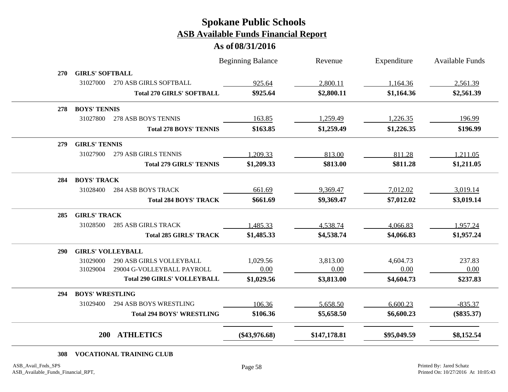#### **As of 08/31/2016**

|     |                          |                                    | <b>Beginning Balance</b> | Revenue      | Expenditure | <b>Available Funds</b> |
|-----|--------------------------|------------------------------------|--------------------------|--------------|-------------|------------------------|
| 270 | <b>GIRLS' SOFTBALL</b>   |                                    |                          |              |             |                        |
|     | 31027000                 | 270 ASB GIRLS SOFTBALL             | 925.64                   | 2,800.11     | 1,164.36    | 2,561.39               |
|     |                          | <b>Total 270 GIRLS' SOFTBALL</b>   | \$925.64                 | \$2,800.11   | \$1,164.36  | \$2,561.39             |
| 278 | <b>BOYS' TENNIS</b>      |                                    |                          |              |             |                        |
|     | 31027800                 | 278 ASB BOYS TENNIS                | 163.85                   | 1,259.49     | 1,226.35    | 196.99                 |
|     |                          | <b>Total 278 BOYS' TENNIS</b>      | \$163.85                 | \$1,259.49   | \$1,226.35  | \$196.99               |
| 279 | <b>GIRLS' TENNIS</b>     |                                    |                          |              |             |                        |
|     | 31027900                 | 279 ASB GIRLS TENNIS               | 1,209.33                 | 813.00       | 811.28      | 1,211.05               |
|     |                          | <b>Total 279 GIRLS' TENNIS</b>     | \$1,209.33               | \$813.00     | \$811.28    | \$1,211.05             |
| 284 | <b>BOYS' TRACK</b>       |                                    |                          |              |             |                        |
|     | 31028400                 | <b>284 ASB BOYS TRACK</b>          | 661.69                   | 9,369.47     | 7,012.02    | 3,019.14               |
|     |                          | <b>Total 284 BOYS' TRACK</b>       | \$661.69                 | \$9,369.47   | \$7,012.02  | \$3,019.14             |
| 285 | <b>GIRLS' TRACK</b>      |                                    |                          |              |             |                        |
|     | 31028500                 | <b>285 ASB GIRLS TRACK</b>         | 1,485.33                 | 4,538.74     | 4,066.83    | 1,957.24               |
|     |                          | <b>Total 285 GIRLS' TRACK</b>      | \$1,485.33               | \$4,538.74   | \$4,066.83  | \$1,957.24             |
| 290 | <b>GIRLS' VOLLEYBALL</b> |                                    |                          |              |             |                        |
|     | 31029000                 | <b>290 ASB GIRLS VOLLEYBALL</b>    | 1,029.56                 | 3,813.00     | 4,604.73    | 237.83                 |
|     | 31029004                 | 29004 G-VOLLEYBALL PAYROLL         | 0.00                     | 0.00         | 0.00        | 0.00                   |
|     |                          | <b>Total 290 GIRLS' VOLLEYBALL</b> | \$1,029.56               | \$3,813.00   | \$4,604.73  | \$237.83               |
| 294 | <b>BOYS' WRESTLING</b>   |                                    |                          |              |             |                        |
|     | 31029400                 | <b>294 ASB BOYS WRESTLING</b>      | 106.36                   | 5,658.50     | 6,600.23    | $-835.37$              |
|     |                          | <b>Total 294 BOYS' WRESTLING</b>   | \$106.36                 | \$5,658.50   | \$6,600.23  | $(\$835.37)$           |
|     | <b>200</b>               | <b>ATHLETICS</b>                   | $(\$43,976.68)$          | \$147,178.81 | \$95,049.59 | \$8,152.54             |

#### **308 VOCATIONAL TRAINING CLUB**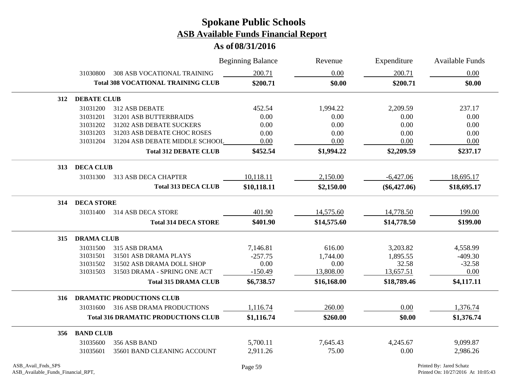**As of 08/31/2016**

|                    |                                           |                                            | <b>Beginning Balance</b> | Revenue     | Expenditure    | <b>Available Funds</b>   |  |  |  |
|--------------------|-------------------------------------------|--------------------------------------------|--------------------------|-------------|----------------|--------------------------|--|--|--|
|                    | 31030800                                  | 308 ASB VOCATIONAL TRAINING                | 200.71                   | 0.00        | 200.71         | 0.00                     |  |  |  |
|                    | <b>Total 308 VOCATIONAL TRAINING CLUB</b> |                                            | \$200.71                 | \$0.00      | \$200.71       | \$0.00                   |  |  |  |
| 312                | <b>DEBATE CLUB</b>                        |                                            |                          |             |                |                          |  |  |  |
|                    | 31031200                                  | 312 ASB DEBATE                             | 452.54                   | 1,994.22    | 2,209.59       | 237.17                   |  |  |  |
|                    | 31031201                                  | 31201 ASB BUTTERBRAIDS                     | 0.00                     | 0.00        | 0.00           | 0.00                     |  |  |  |
|                    | 31031202                                  | 31202 ASB DEBATE SUCKERS                   | 0.00                     | 0.00        | 0.00           | 0.00                     |  |  |  |
|                    | 31031203                                  | 31203 ASB DEBATE CHOC ROSES                | 0.00                     | $0.00\,$    | 0.00           | 0.00                     |  |  |  |
|                    | 31031204                                  | 31204 ASB DEBATE MIDDLE SCHOOL             | 0.00                     | 0.00        | 0.00           | 0.00                     |  |  |  |
|                    |                                           | <b>Total 312 DEBATE CLUB</b>               | \$452.54                 | \$1,994.22  | \$2,209.59     | \$237.17                 |  |  |  |
| 313                | <b>DECA CLUB</b>                          |                                            |                          |             |                |                          |  |  |  |
|                    | 31031300                                  | 313 ASB DECA CHAPTER                       | 10,118.11                | 2,150.00    | $-6,427.06$    | 18,695.17                |  |  |  |
|                    |                                           | <b>Total 313 DECA CLUB</b>                 | \$10,118.11              | \$2,150.00  | $(\$6,427.06)$ | \$18,695.17              |  |  |  |
| 314                | <b>DECA STORE</b>                         |                                            |                          |             |                |                          |  |  |  |
|                    | 31031400                                  | 314 ASB DECA STORE                         | 401.90                   | 14,575.60   | 14,778.50      | 199.00                   |  |  |  |
|                    |                                           | <b>Total 314 DECA STORE</b>                | \$401.90                 | \$14,575.60 | \$14,778.50    | \$199.00                 |  |  |  |
| 315                |                                           | <b>DRAMA CLUB</b>                          |                          |             |                |                          |  |  |  |
|                    | 31031500                                  | 315 ASB DRAMA                              | 7,146.81                 | 616.00      | 3,203.82       | 4,558.99                 |  |  |  |
|                    | 31031501                                  | 31501 ASB DRAMA PLAYS                      | $-257.75$                | 1,744.00    | 1,895.55       | $-409.30$                |  |  |  |
|                    | 31031502                                  | 31502 ASB DRAMA DOLL SHOP                  | 0.00                     | 0.00        | 32.58          | $-32.58$                 |  |  |  |
|                    | 31031503                                  | 31503 DRAMA - SPRING ONE ACT               | $-150.49$                | 13,808.00   | 13,657.51      | 0.00                     |  |  |  |
|                    |                                           | <b>Total 315 DRAMA CLUB</b>                | \$6,738.57               | \$16,168.00 | \$18,789.46    | \$4,117.11               |  |  |  |
| 316                |                                           | <b>DRAMATIC PRODUCTIONS CLUB</b>           |                          |             |                |                          |  |  |  |
|                    |                                           | 31031600 316 ASB DRAMA PRODUCTIONS         | 1,116.74                 | 260.00      | 0.00           | 1,376.74                 |  |  |  |
|                    |                                           | <b>Total 316 DRAMATIC PRODUCTIONS CLUB</b> | \$1,116.74               | \$260.00    | \$0.00         | \$1,376.74               |  |  |  |
| 356                | <b>BAND CLUB</b>                          |                                            |                          |             |                |                          |  |  |  |
|                    | 31035600                                  | 356 ASB BAND                               | 5,700.11                 | 7,645.43    | 4,245.67       | 9,099.87                 |  |  |  |
|                    | 31035601                                  | 35601 BAND CLEANING ACCOUNT                | 2,911.26                 | 75.00       | 0.00           | 2,986.26                 |  |  |  |
| ASB_Avail_Fnds_SPS |                                           |                                            | Page 59                  |             |                | Printed By: Jared Schatz |  |  |  |

 $\overline{\phantom{a}}$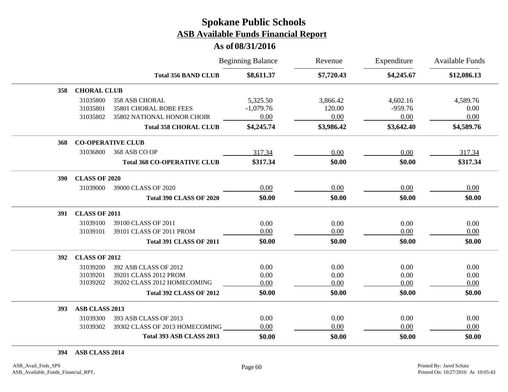#### **As of 08/31/2016**

|     |                      |                                    | <b>Beginning Balance</b> | Revenue    | Expenditure | <b>Available Funds</b> |
|-----|----------------------|------------------------------------|--------------------------|------------|-------------|------------------------|
|     |                      | <b>Total 356 BAND CLUB</b>         | \$8,611.37               | \$7,720.43 | \$4,245.67  | \$12,086.13            |
| 358 | <b>CHORAL CLUB</b>   |                                    |                          |            |             |                        |
|     | 31035800             | <b>358 ASB CHORAL</b>              | 5,325.50                 | 3,866.42   | 4,602.16    | 4,589.76               |
|     | 31035801             | 35801 CHORAL ROBE FEES             | $-1,079.76$              | 120.00     | $-959.76$   | 0.00                   |
|     | 31035802             | 35802 NATIONAL HONOR CHOIR         | 0.00                     | 0.00       | 0.00        | 0.00                   |
|     |                      | <b>Total 358 CHORAL CLUB</b>       | \$4,245.74               | \$3,986.42 | \$3,642.40  | \$4,589.76             |
| 368 |                      | <b>CO-OPERATIVE CLUB</b>           |                          |            |             |                        |
|     | 31036800             | 368 ASB CO OP                      | 317.34                   | 0.00       | 0.00        | 317.34                 |
|     |                      | <b>Total 368 CO-OPERATIVE CLUB</b> | \$317.34                 | \$0.00     | \$0.00      | \$317.34               |
| 390 | <b>CLASS OF 2020</b> |                                    |                          |            |             |                        |
|     | 31039000             | 39000 CLASS OF 2020                | 0.00                     | 0.00       | 0.00        | 0.00                   |
|     |                      | <b>Total 390 CLASS OF 2020</b>     | \$0.00                   | \$0.00     | \$0.00      | \$0.00                 |
| 391 | <b>CLASS OF 2011</b> |                                    |                          |            |             |                        |
|     | 31039100             | 39100 CLASS OF 2011                | 0.00                     | 0.00       | 0.00        | 0.00                   |
|     | 31039101             | 39101 CLASS OF 2011 PROM           | 0.00                     | 0.00       | 0.00        | 0.00                   |
|     |                      | <b>Total 391 CLASS OF 2011</b>     | \$0.00                   | \$0.00     | \$0.00      | \$0.00                 |
| 392 | <b>CLASS OF 2012</b> |                                    |                          |            |             |                        |
|     | 31039200             | 392 ASB CLASS OF 2012              | 0.00                     | 0.00       | 0.00        | 0.00                   |
|     | 31039201             | 39201 CLASS 2012 PROM              | 0.00                     | 0.00       | 0.00        | 0.00                   |
|     | 31039202             | 39202 CLASS 2012 HOMECOMING        | 0.00                     | 0.00       | 0.00        | 0.00                   |
|     |                      | <b>Total 392 CLASS OF 2012</b>     | \$0.00                   | \$0.00     | \$0.00      | \$0.00                 |
| 393 | ASB CLASS 2013       |                                    |                          |            |             |                        |
|     | 31039300             | 393 ASB CLASS OF 2013              | 0.00                     | 0.00       | 0.00        | 0.00                   |
|     | 31039302             | 39302 CLASS OF 2013 HOMECOMING     | 0.00                     | 0.00       | 0.00        | 0.00                   |
|     |                      | Total 393 ASB CLASS 2013           | \$0.00                   | \$0.00     | \$0.00      | \$0.00                 |

**394 ASB CLASS 2014**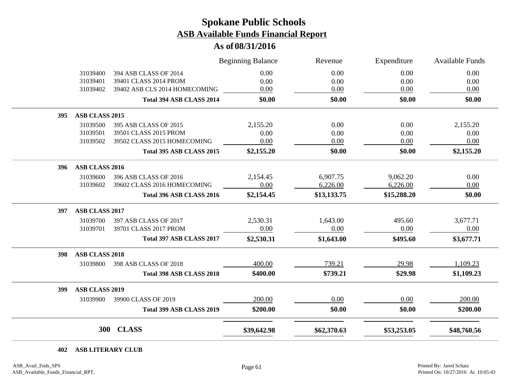#### **As of 08/31/2016**

|     |                       |                               | <b>Beginning Balance</b> | Revenue     | Expenditure | <b>Available Funds</b> |
|-----|-----------------------|-------------------------------|--------------------------|-------------|-------------|------------------------|
|     | 31039400              | 394 ASB CLASS OF 2014         | 0.00                     | 0.00        | 0.00        | 0.00                   |
|     | 31039401              | 39401 CLASS 2014 PROM         | 0.00                     | 0.00        | 0.00        | 0.00                   |
|     | 31039402              | 39402 ASB CLS 2014 HOMECOMING | 0.00                     | 0.00        | 0.00        | 0.00                   |
|     |                       | Total 394 ASB CLASS 2014      | \$0.00                   | \$0.00      | \$0.00      | \$0.00                 |
| 395 | ASB CLASS 2015        |                               |                          |             |             |                        |
|     | 31039500              | 395 ASB CLASS OF 2015         | 2,155.20                 | 0.00        | 0.00        | 2,155.20               |
|     | 31039501              | 39501 CLASS 2015 PROM         | 0.00                     | 0.00        | 0.00        | 0.00                   |
|     | 31039502              | 39502 CLASS 2015 HOMECOMING   | 0.00                     | 0.00        | 0.00        | 0.00                   |
|     |                       | Total 395 ASB CLASS 2015      | \$2,155.20               | \$0.00      | \$0.00      | \$2,155.20             |
| 396 | ASB CLASS 2016        |                               |                          |             |             |                        |
|     | 31039600              | 396 ASB CLASS OF 2016         | 2,154.45                 | 6,907.75    | 9,062.20    | 0.00                   |
|     | 31039602              | 39602 CLASS 2016 HOMECOMING   | 0.00                     | 6,226.00    | 6,226.00    | 0.00                   |
|     |                       | Total 396 ASB CLASS 2016      | \$2,154.45               | \$13,133.75 | \$15,288.20 | \$0.00                 |
| 397 | ASB CLASS 2017        |                               |                          |             |             |                        |
|     | 31039700              | 397 ASB CLASS OF 2017         | 2,530.31                 | 1,643.00    | 495.60      | 3,677.71               |
|     | 31039701              | 39701 CLASS 2017 PROM         | 0.00                     | 0.00        | 0.00        | 0.00                   |
|     |                       | Total 397 ASB CLASS 2017      | \$2,530.31               | \$1,643.00  | \$495.60    | \$3,677.71             |
| 398 | <b>ASB CLASS 2018</b> |                               |                          |             |             |                        |
|     | 31039800              | 398 ASB CLASS OF 2018         | 400.00                   | 739.21      | 29.98       | 1,109.23               |
|     |                       | Total 398 ASB CLASS 2018      | \$400.00                 | \$739.21    | \$29.98     | \$1,109.23             |
| 399 | <b>ASB CLASS 2019</b> |                               |                          |             |             |                        |
|     | 31039900              | 39900 CLASS OF 2019           | 200.00                   | 0.00        | 0.00        | 200.00                 |
|     |                       | Total 399 ASB CLASS 2019      | \$200.00                 | \$0.00      | \$0.00      | \$200.00               |
|     | <b>300</b>            | <b>CLASS</b>                  | \$39,642.98              | \$62,370.63 | \$53,253.05 | \$48,760.56            |

**402 ASB LITERARY CLUB**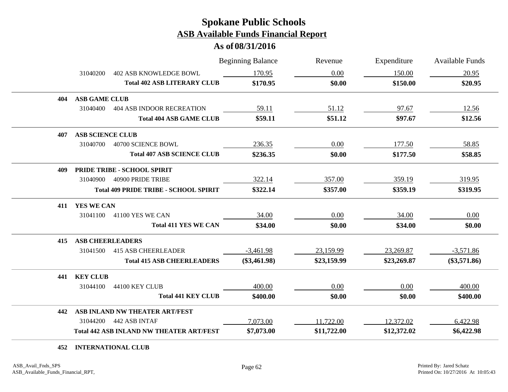#### **As of 08/31/2016**

|     |                         |                                                 | <b>Beginning Balance</b> | Revenue     | Expenditure | <b>Available Funds</b> |
|-----|-------------------------|-------------------------------------------------|--------------------------|-------------|-------------|------------------------|
|     | 31040200                | <b>402 ASB KNOWLEDGE BOWL</b>                   | 170.95                   | 0.00        | 150.00      | 20.95                  |
|     |                         | <b>Total 402 ASB LITERARY CLUB</b>              | \$170.95                 | \$0.00      | \$150.00    | \$20.95                |
| 404 | <b>ASB GAME CLUB</b>    |                                                 |                          |             |             |                        |
|     | 31040400                | <b>404 ASB INDOOR RECREATION</b>                | 59.11                    | 51.12       | 97.67       | 12.56                  |
|     |                         | <b>Total 404 ASB GAME CLUB</b>                  | \$59.11                  | \$51.12     | \$97.67     | \$12.56                |
| 407 | <b>ASB SCIENCE CLUB</b> |                                                 |                          |             |             |                        |
|     | 31040700                | 40700 SCIENCE BOWL                              | 236.35                   | 0.00        | 177.50      | 58.85                  |
|     |                         | <b>Total 407 ASB SCIENCE CLUB</b>               | \$236.35                 | \$0.00      | \$177.50    | \$58.85                |
| 409 |                         | PRIDE TRIBE - SCHOOL SPIRIT                     |                          |             |             |                        |
|     | 31040900                | 40900 PRIDE TRIBE                               | 322.14                   | 357.00      | 359.19      | 319.95                 |
|     |                         | <b>Total 409 PRIDE TRIBE - SCHOOL SPIRIT</b>    | \$322.14                 | \$357.00    | \$359.19    | \$319.95               |
| 411 | YES WE CAN              |                                                 |                          |             |             |                        |
|     | 31041100                | 41100 YES WE CAN                                | 34.00                    | 0.00        | 34.00       | 0.00                   |
|     |                         | <b>Total 411 YES WE CAN</b>                     | \$34.00                  | \$0.00      | \$34.00     | \$0.00                 |
| 415 | <b>ASB CHEERLEADERS</b> |                                                 |                          |             |             |                        |
|     | 31041500                | <b>415 ASB CHEERLEADER</b>                      | $-3,461.98$              | 23,159.99   | 23,269.87   | $-3,571.86$            |
|     |                         | <b>Total 415 ASB CHEERLEADERS</b>               | $(\$3,461.98)$           | \$23,159.99 | \$23,269.87 | $(\$3,571.86)$         |
| 441 | <b>KEY CLUB</b>         |                                                 |                          |             |             |                        |
|     | 31044100                | 44100 KEY CLUB                                  | 400.00                   | 0.00        | 0.00        | 400.00                 |
|     |                         | <b>Total 441 KEY CLUB</b>                       | \$400.00                 | \$0.00      | \$0.00      | \$400.00               |
| 442 |                         | ASB INLAND NW THEATER ART/FEST                  |                          |             |             |                        |
|     | 31044200                | 442 ASB INTAF                                   | 7,073.00                 | 11,722.00   | 12,372.02   | 6,422.98               |
|     |                         | <b>Total 442 ASB INLAND NW THEATER ART/FEST</b> | \$7,073.00               | \$11,722.00 | \$12,372.02 | \$6,422.98             |

**452 INTERNATIONAL CLUB**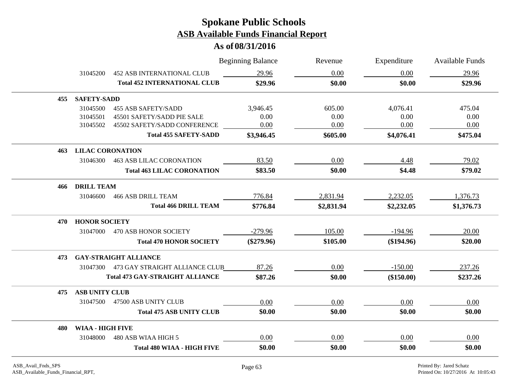|     |                         |                                         | <b>Beginning Balance</b> | Revenue    | Expenditure  | Available Funds |
|-----|-------------------------|-----------------------------------------|--------------------------|------------|--------------|-----------------|
|     | 31045200                | <b>452 ASB INTERNATIONAL CLUB</b>       | 29.96                    | 0.00       | 0.00         | 29.96           |
|     |                         | <b>Total 452 INTERNATIONAL CLUB</b>     | \$29.96                  | \$0.00     | \$0.00       | \$29.96         |
| 455 | <b>SAFETY-SADD</b>      |                                         |                          |            |              |                 |
|     | 31045500                | <b>455 ASB SAFETY/SADD</b>              | 3,946.45                 | 605.00     | 4,076.41     | 475.04          |
|     | 31045501                | 45501 SAFETY/SADD PIE SALE              | 0.00                     | 0.00       | 0.00         | 0.00            |
|     | 31045502                | 45502 SAFETY/SADD CONFERENCE            | 0.00                     | 0.00       | 0.00         | 0.00            |
|     |                         | <b>Total 455 SAFETY-SADD</b>            | \$3,946.45               | \$605.00   | \$4,076.41   | \$475.04        |
| 463 | <b>LILAC CORONATION</b> |                                         |                          |            |              |                 |
|     | 31046300                | <b>463 ASB LILAC CORONATION</b>         | 83.50                    | 0.00       | 4.48         | 79.02           |
|     |                         | <b>Total 463 LILAC CORONATION</b>       | \$83.50                  | \$0.00     | \$4.48       | \$79.02         |
| 466 | <b>DRILL TEAM</b>       |                                         |                          |            |              |                 |
|     | 31046600                | <b>466 ASB DRILL TEAM</b>               | 776.84                   | 2,831.94   | 2,232.05     | 1,376.73        |
|     |                         | <b>Total 466 DRILL TEAM</b>             | \$776.84                 | \$2,831.94 | \$2,232.05   | \$1,376.73      |
| 470 | <b>HONOR SOCIETY</b>    |                                         |                          |            |              |                 |
|     | 31047000                | 470 ASB HONOR SOCIETY                   | $-279.96$                | 105.00     | $-194.96$    | 20.00           |
|     |                         | <b>Total 470 HONOR SOCIETY</b>          | $(\$279.96)$             | \$105.00   | $(\$194.96)$ | \$20.00         |
| 473 |                         | <b>GAY-STRAIGHT ALLIANCE</b>            |                          |            |              |                 |
|     |                         | 31047300 473 GAY STRAIGHT ALLIANCE CLUB | 87.26                    | 0.00       | $-150.00$    | 237.26          |
|     |                         | <b>Total 473 GAY-STRAIGHT ALLIANCE</b>  | \$87.26                  | \$0.00     | $(\$150.00)$ | \$237.26        |
| 475 | <b>ASB UNITY CLUB</b>   |                                         |                          |            |              |                 |
|     |                         | 31047500 47500 ASB UNITY CLUB           | 0.00                     | 0.00       | 0.00         | 0.00            |
|     |                         | <b>Total 475 ASB UNITY CLUB</b>         | \$0.00                   | \$0.00     | \$0.00       | \$0.00          |
| 480 | <b>WIAA - HIGH FIVE</b> |                                         |                          |            |              |                 |
|     | 31048000                | 480 ASB WIAA HIGH 5                     | 0.00                     | 0.00       | 0.00         | 0.00            |
|     |                         | <b>Total 480 WIAA - HIGH FIVE</b>       | \$0.00                   | \$0.00     | \$0.00       | \$0.00          |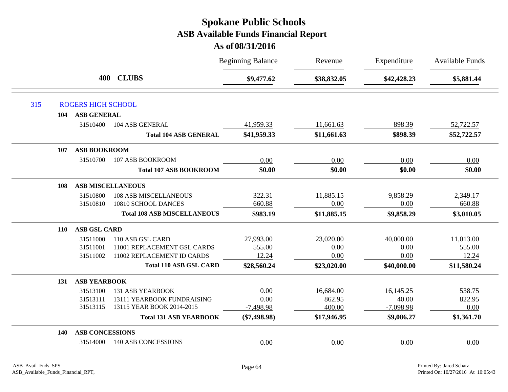|            |                           |                                    | <b>Beginning Balance</b> | Revenue     | Expenditure | <b>Available Funds</b> |
|------------|---------------------------|------------------------------------|--------------------------|-------------|-------------|------------------------|
|            | 400                       | <b>CLUBS</b>                       | \$9,477.62               | \$38,832.05 | \$42,428.23 | \$5,881.44             |
| 315        | <b>ROGERS HIGH SCHOOL</b> |                                    |                          |             |             |                        |
| 104        | ASB GENERAL               |                                    |                          |             |             |                        |
|            | 31510400                  | 104 ASB GENERAL                    | 41,959.33                | 11,661.63   | 898.39      | 52,722.57              |
|            |                           | <b>Total 104 ASB GENERAL</b>       | \$41,959.33              | \$11,661.63 | \$898.39    | \$52,722.57            |
| 107        | <b>ASB BOOKROOM</b>       |                                    |                          |             |             |                        |
|            | 31510700                  | 107 ASB BOOKROOM                   | 0.00                     | 0.00        | 0.00        | 0.00                   |
|            |                           | <b>Total 107 ASB BOOKROOM</b>      | \$0.00                   | \$0.00      | \$0.00      | \$0.00                 |
| 108        |                           | <b>ASB MISCELLANEOUS</b>           |                          |             |             |                        |
|            | 31510800                  | <b>108 ASB MISCELLANEOUS</b>       | 322.31                   | 11,885.15   | 9,858.29    | 2,349.17               |
|            | 31510810                  | 10810 SCHOOL DANCES                | 660.88                   | 0.00        | 0.00        | 660.88                 |
|            |                           | <b>Total 108 ASB MISCELLANEOUS</b> | \$983.19                 | \$11,885.15 | \$9,858.29  | \$3,010.05             |
| <b>110</b> | <b>ASB GSL CARD</b>       |                                    |                          |             |             |                        |
|            | 31511000                  | 110 ASB GSL CARD                   | 27,993.00                | 23,020.00   | 40,000.00   | 11,013.00              |
|            | 31511001                  | 11001 REPLACEMENT GSL CARDS        | 555.00                   | 0.00        | 0.00        | 555.00                 |
|            | 31511002                  | 11002 REPLACEMENT ID CARDS         | 12.24                    | 0.00        | 0.00        | 12.24                  |
|            |                           | <b>Total 110 ASB GSL CARD</b>      | \$28,560.24              | \$23,020.00 | \$40,000.00 | \$11,580.24            |
| 131        | <b>ASB YEARBOOK</b>       |                                    |                          |             |             |                        |
|            | 31513100                  | <b>131 ASB YEARBOOK</b>            | 0.00                     | 16,684.00   | 16,145.25   | 538.75                 |
|            | 31513111                  | 13111 YEARBOOK FUNDRAISING         | 0.00                     | 862.95      | 40.00       | 822.95                 |
|            | 31513115                  | 13115 YEAR BOOK 2014-2015          | $-7,498.98$              | 400.00      | $-7,098.98$ | 0.00                   |
|            |                           | <b>Total 131 ASB YEARBOOK</b>      | $(\$7,498.98)$           | \$17,946.95 | \$9,086.27  | \$1,361.70             |
| 140        | <b>ASB CONCESSIONS</b>    |                                    |                          |             |             |                        |
|            | 31514000                  | <b>140 ASB CONCESSIONS</b>         | 0.00                     | 0.00        | 0.00        | 0.00                   |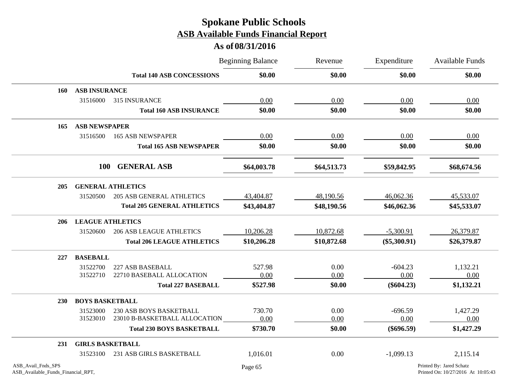|                                                          |                         |                                    | <b>Beginning Balance</b> | Revenue     | Expenditure    | <b>Available Funds</b>                                         |
|----------------------------------------------------------|-------------------------|------------------------------------|--------------------------|-------------|----------------|----------------------------------------------------------------|
|                                                          |                         | <b>Total 140 ASB CONCESSIONS</b>   | \$0.00                   | \$0.00      | \$0.00         | \$0.00                                                         |
| 160                                                      | <b>ASB INSURANCE</b>    |                                    |                          |             |                |                                                                |
|                                                          | 31516000                | 315 INSURANCE                      | 0.00                     | 0.00        | 0.00           | 0.00                                                           |
|                                                          |                         | <b>Total 160 ASB INSURANCE</b>     | \$0.00                   | \$0.00      | \$0.00         | \$0.00                                                         |
| 165                                                      | <b>ASB NEWSPAPER</b>    |                                    |                          |             |                |                                                                |
|                                                          | 31516500                | <b>165 ASB NEWSPAPER</b>           | 0.00                     | 0.00        | 0.00           | 0.00                                                           |
|                                                          |                         | <b>Total 165 ASB NEWSPAPER</b>     | \$0.00                   | \$0.00      | \$0.00         | \$0.00                                                         |
|                                                          | <b>100</b>              | <b>GENERAL ASB</b>                 | \$64,003.78              | \$64,513.73 | \$59,842.95    | \$68,674.56                                                    |
|                                                          |                         |                                    |                          |             |                |                                                                |
| 205                                                      |                         | <b>GENERAL ATHLETICS</b>           |                          |             |                |                                                                |
|                                                          | 31520500                | <b>205 ASB GENERAL ATHLETICS</b>   | 43,404.87                | 48,190.56   | 46,062.36      | 45,533.07                                                      |
|                                                          |                         | <b>Total 205 GENERAL ATHLETICS</b> | \$43,404.87              | \$48,190.56 | \$46,062.36    | \$45,533.07                                                    |
| 206                                                      | <b>LEAGUE ATHLETICS</b> |                                    |                          |             |                |                                                                |
|                                                          | 31520600                | <b>206 ASB LEAGUE ATHLETICS</b>    | 10,206.28                | 10,872.68   | $-5,300.91$    | 26,379.87                                                      |
|                                                          |                         | <b>Total 206 LEAGUE ATHLETICS</b>  | \$10,206.28              | \$10,872.68 | $(\$5,300.91)$ | \$26,379.87                                                    |
| 227                                                      | <b>BASEBALL</b>         |                                    |                          |             |                |                                                                |
|                                                          | 31522700                | 227 ASB BASEBALL                   | 527.98                   | 0.00        | $-604.23$      | 1,132.21                                                       |
|                                                          | 31522710                | 22710 BASEBALL ALLOCATION          | 0.00                     | 0.00        | 0.00           | 0.00                                                           |
|                                                          |                         | <b>Total 227 BASEBALL</b>          | \$527.98                 | \$0.00      | $(\$604.23)$   | \$1,132.21                                                     |
| <b>230</b>                                               | <b>BOYS BASKETBALL</b>  |                                    |                          |             |                |                                                                |
|                                                          | 31523000                | 230 ASB BOYS BASKETBALL            | 730.70                   | 0.00        | $-696.59$      | 1,427.29                                                       |
|                                                          | 31523010                | 23010 B-BASKETBALL ALLOCATION      | 0.00                     | 0.00        | 0.00           | 0.00                                                           |
|                                                          |                         | <b>Total 230 BOYS BASKETBALL</b>   | \$730.70                 | \$0.00      | $(\$696.59)$   | \$1,427.29                                                     |
| 231                                                      | <b>GIRLS BASKETBALL</b> |                                    |                          |             |                |                                                                |
|                                                          | 31523100                | 231 ASB GIRLS BASKETBALL           | 1,016.01                 | 0.00        | $-1,099.13$    | 2,115.14                                                       |
| ASB_Avail_Fnds_SPS<br>ASB_Available_Funds_Financial_RPT, |                         |                                    | Page 65                  |             |                | Printed By: Jared Schatz<br>Printed On: 10/27/2016 At 10:05:43 |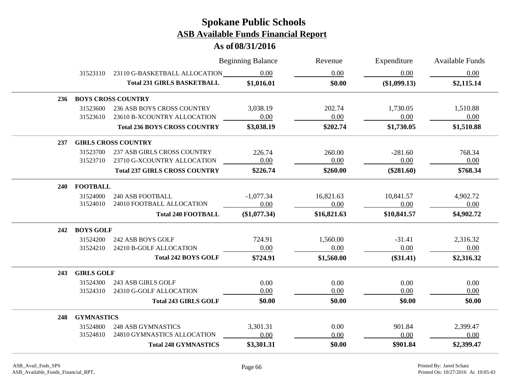|            |                   |                                        | <b>Beginning Balance</b> | Revenue     | Expenditure  | <b>Available Funds</b> |
|------------|-------------------|----------------------------------------|--------------------------|-------------|--------------|------------------------|
|            |                   | 31523110 23110 G-BASKETBALL ALLOCATION | 0.00                     | 0.00        | 0.00         | 0.00                   |
|            |                   | <b>Total 231 GIRLS BASKETBALL</b>      | \$1,016.01               | \$0.00      | (\$1,099.13) | \$2,115.14             |
|            |                   | 236 BOYS CROSS COUNTRY                 |                          |             |              |                        |
|            | 31523600          | 236 ASB BOYS CROSS COUNTRY             | 3,038.19                 | 202.74      | 1,730.05     | 1,510.88               |
|            | 31523610          | 23610 B-XCOUNTRY ALLOCATION            | 0.00                     | 0.00        | 0.00         | 0.00                   |
|            |                   | <b>Total 236 BOYS CROSS COUNTRY</b>    | \$3,038.19               | \$202.74    | \$1,730.05   | \$1,510.88             |
| 237        |                   | <b>GIRLS CROSS COUNTRY</b>             |                          |             |              |                        |
|            | 31523700          | 237 ASB GIRLS CROSS COUNTRY            | 226.74                   | 260.00      | $-281.60$    | 768.34                 |
|            | 31523710          | 23710 G-XCOUNTRY ALLOCATION            | 0.00                     | 0.00        | 0.00         | 0.00                   |
|            |                   | <b>Total 237 GIRLS CROSS COUNTRY</b>   | \$226.74                 | \$260.00    | $(\$281.60)$ | \$768.34               |
| <b>240</b> | <b>FOOTBALL</b>   |                                        |                          |             |              |                        |
|            | 31524000          | <b>240 ASB FOOTBALL</b>                | $-1,077.34$              | 16,821.63   | 10,841.57    | 4,902.72               |
|            | 31524010          | 24010 FOOTBALL ALLOCATION              | 0.00                     | 0.00        | 0.00         | 0.00                   |
|            |                   | <b>Total 240 FOOTBALL</b>              | (\$1,077.34)             | \$16,821.63 | \$10,841.57  | \$4,902.72             |
| 242        | <b>BOYS GOLF</b>  |                                        |                          |             |              |                        |
|            | 31524200          | 242 ASB BOYS GOLF                      | 724.91                   | 1,560.00    | $-31.41$     | 2,316.32               |
|            | 31524210          | 24210 B-GOLF ALLOCATION                | 0.00                     | 0.00        | 0.00         | 0.00                   |
|            |                   | <b>Total 242 BOYS GOLF</b>             | \$724.91                 | \$1,560.00  | $(\$31.41)$  | \$2,316.32             |
| 243        | <b>GIRLS GOLF</b> |                                        |                          |             |              |                        |
|            | 31524300          | 243 ASB GIRLS GOLF                     | 0.00                     | 0.00        | 0.00         | 0.00                   |
|            | 31524310          | 24310 G-GOLF ALLOCATION                | 0.00                     | 0.00        | 0.00         | 0.00                   |
|            |                   | <b>Total 243 GIRLS GOLF</b>            | \$0.00                   | \$0.00      | \$0.00       | \$0.00                 |
| 248        | <b>GYMNASTICS</b> |                                        |                          |             |              |                        |
|            | 31524800          | <b>248 ASB GYMNASTICS</b>              | 3,301.31                 | 0.00        | 901.84       | 2,399.47               |
|            | 31524810          | 24810 GYMNASTICS ALLOCATION            | 0.00                     | 0.00        | 0.00         | 0.00                   |
|            |                   | <b>Total 248 GYMNASTICS</b>            | \$3,301.31               | \$0.00      | \$901.84     | \$2,399.47             |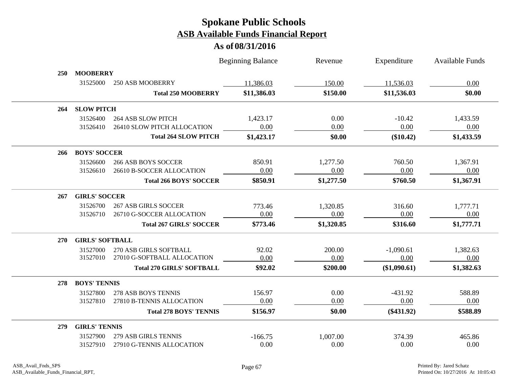|     |                        |                                  | <b>Beginning Balance</b> | Revenue    | Expenditure  | <b>Available Funds</b> |
|-----|------------------------|----------------------------------|--------------------------|------------|--------------|------------------------|
| 250 | <b>MOOBERRY</b>        |                                  |                          |            |              |                        |
|     | 31525000               | 250 ASB MOOBERRY                 | 11,386.03                | 150.00     | 11,536.03    | 0.00                   |
|     |                        | <b>Total 250 MOOBERRY</b>        | \$11,386.03              | \$150.00   | \$11,536.03  | \$0.00                 |
| 264 | <b>SLOW PITCH</b>      |                                  |                          |            |              |                        |
|     | 31526400               | <b>264 ASB SLOW PITCH</b>        | 1,423.17                 | 0.00       | $-10.42$     | 1,433.59               |
|     | 31526410               | 26410 SLOW PITCH ALLOCATION      | 0.00                     | 0.00       | 0.00         | 0.00                   |
|     |                        | <b>Total 264 SLOW PITCH</b>      | \$1,423.17               | \$0.00     | $(\$10.42)$  | \$1,433.59             |
| 266 | <b>BOYS' SOCCER</b>    |                                  |                          |            |              |                        |
|     | 31526600               | <b>266 ASB BOYS SOCCER</b>       | 850.91                   | 1,277.50   | 760.50       | 1,367.91               |
|     | 31526610               | 26610 B-SOCCER ALLOCATION        | 0.00                     | 0.00       | 0.00         | 0.00                   |
|     |                        | <b>Total 266 BOYS' SOCCER</b>    | \$850.91                 | \$1,277.50 | \$760.50     | \$1,367.91             |
| 267 | <b>GIRLS' SOCCER</b>   |                                  |                          |            |              |                        |
|     | 31526700               | <b>267 ASB GIRLS SOCCER</b>      | 773.46                   | 1,320.85   | 316.60       | 1,777.71               |
|     | 31526710               | 26710 G-SOCCER ALLOCATION        | 0.00                     | 0.00       | 0.00         | 0.00                   |
|     |                        | <b>Total 267 GIRLS' SOCCER</b>   | \$773.46                 | \$1,320.85 | \$316.60     | \$1,777.71             |
| 270 | <b>GIRLS' SOFTBALL</b> |                                  |                          |            |              |                        |
|     | 31527000               | 270 ASB GIRLS SOFTBALL           | 92.02                    | 200.00     | $-1,090.61$  | 1,382.63               |
|     | 31527010               | 27010 G-SOFTBALL ALLOCATION      | 0.00                     | 0.00       | 0.00         | 0.00                   |
|     |                        | <b>Total 270 GIRLS' SOFTBALL</b> | \$92.02                  | \$200.00   | (\$1,090.61) | \$1,382.63             |
| 278 | <b>BOYS' TENNIS</b>    |                                  |                          |            |              |                        |
|     | 31527800               | 278 ASB BOYS TENNIS              | 156.97                   | 0.00       | $-431.92$    | 588.89                 |
|     | 31527810               | 27810 B-TENNIS ALLOCATION        | 0.00                     | 0.00       | 0.00         | 0.00                   |
|     |                        | <b>Total 278 BOYS' TENNIS</b>    | \$156.97                 | \$0.00     | $(\$431.92)$ | \$588.89               |
| 279 | <b>GIRLS' TENNIS</b>   |                                  |                          |            |              |                        |
|     | 31527900               | 279 ASB GIRLS TENNIS             | $-166.75$                | 1,007.00   | 374.39       | 465.86                 |
|     | 31527910               | 27910 G-TENNIS ALLOCATION        | 0.00                     | 0.00       | 0.00         | 0.00                   |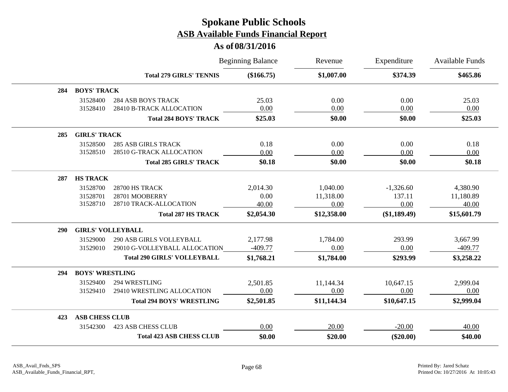|     |                          |                                                        | <b>Beginning Balance</b> | Revenue      | Expenditure  | Available Funds |
|-----|--------------------------|--------------------------------------------------------|--------------------------|--------------|--------------|-----------------|
|     |                          | <b>Total 279 GIRLS' TENNIS</b>                         | $(\$166.75)$             | \$1,007.00   | \$374.39     | \$465.86        |
| 284 | <b>BOYS' TRACK</b>       |                                                        |                          |              |              |                 |
|     | 31528400<br>31528410     | <b>284 ASB BOYS TRACK</b><br>28410 B-TRACK ALLOCATION  | 25.03<br>0.00            | 0.00<br>0.00 | 0.00<br>0.00 | 25.03<br>0.00   |
|     |                          | <b>Total 284 BOYS' TRACK</b>                           | \$25.03                  | \$0.00       | \$0.00       | \$25.03         |
| 285 | <b>GIRLS' TRACK</b>      |                                                        |                          |              |              |                 |
|     | 31528500<br>31528510     | <b>285 ASB GIRLS TRACK</b><br>28510 G-TRACK ALLOCATION | 0.18<br>0.00             | 0.00<br>0.00 | 0.00<br>0.00 | 0.18<br>0.00    |
|     |                          | <b>Total 285 GIRLS' TRACK</b>                          | \$0.18                   | \$0.00       | \$0.00       | \$0.18          |
| 287 | <b>HS TRACK</b>          |                                                        |                          |              |              |                 |
|     | 31528700                 | 28700 HS TRACK                                         | 2,014.30                 | 1,040.00     | $-1,326.60$  | 4,380.90        |
|     | 31528701                 | 28701 MOOBERRY                                         | 0.00                     | 11,318.00    | 137.11       | 11,180.89       |
|     | 31528710                 | 28710 TRACK-ALLOCATION                                 | 40.00                    | 0.00         | 0.00         | 40.00           |
|     |                          | <b>Total 287 HS TRACK</b>                              | \$2,054.30               | \$12,358.00  | (\$1,189.49) | \$15,601.79     |
| 290 | <b>GIRLS' VOLLEYBALL</b> |                                                        |                          |              |              |                 |
|     | 31529000                 | 290 ASB GIRLS VOLLEYBALL                               | 2,177.98                 | 1,784.00     | 293.99       | 3,667.99        |
|     | 31529010                 | 29010 G-VOLLEYBALL ALLOCATION                          | $-409.77$                | 0.00         | 0.00         | $-409.77$       |
|     |                          | <b>Total 290 GIRLS' VOLLEYBALL</b>                     | \$1,768.21               | \$1,784.00   | \$293.99     | \$3,258.22      |
| 294 | <b>BOYS' WRESTLING</b>   |                                                        |                          |              |              |                 |
|     | 31529400                 | 294 WRESTLING                                          | 2,501.85                 | 11,144.34    | 10,647.15    | 2,999.04        |
|     | 31529410                 | 29410 WRESTLING ALLOCATION                             | 0.00                     | 0.00         | 0.00         | 0.00            |
|     |                          | <b>Total 294 BOYS' WRESTLING</b>                       | \$2,501.85               | \$11,144.34  | \$10,647.15  | \$2,999.04      |
| 423 | <b>ASB CHESS CLUB</b>    |                                                        |                          |              |              |                 |
|     | 31542300                 | <b>423 ASB CHESS CLUB</b>                              | 0.00                     | 20.00        | $-20.00$     | 40.00           |
|     |                          | <b>Total 423 ASB CHESS CLUB</b>                        | \$0.00                   | \$20.00      | $(\$20.00)$  | \$40.00         |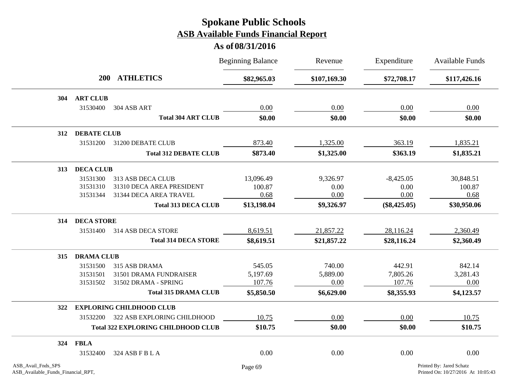|                    |                                |                                           | <b>Beginning Balance</b> | Revenue      | Expenditure<br>\$72,708.17 | <b>Available Funds</b><br>\$117,426.16 |
|--------------------|--------------------------------|-------------------------------------------|--------------------------|--------------|----------------------------|----------------------------------------|
|                    | <b>ATHLETICS</b><br><b>200</b> |                                           | \$82,965.03              | \$107,169.30 |                            |                                        |
| 304                | <b>ART CLUB</b>                |                                           |                          |              |                            |                                        |
|                    | 31530400                       | 304 ASB ART                               | 0.00                     | 0.00         | 0.00                       | 0.00                                   |
|                    |                                | <b>Total 304 ART CLUB</b>                 | \$0.00                   | \$0.00       | \$0.00                     | \$0.00                                 |
| 312                | <b>DEBATE CLUB</b>             |                                           |                          |              |                            |                                        |
|                    | 31531200                       | 31200 DEBATE CLUB                         | 873.40                   | 1,325.00     | 363.19                     | 1,835.21                               |
|                    |                                | <b>Total 312 DEBATE CLUB</b>              | \$873.40                 | \$1,325.00   | \$363.19                   | \$1,835.21                             |
| 313                | <b>DECA CLUB</b>               |                                           |                          |              |                            |                                        |
|                    | 31531300                       | 313 ASB DECA CLUB                         | 13,096.49                | 9,326.97     | $-8,425.05$                | 30,848.51                              |
|                    | 31531310                       | 31310 DECA AREA PRESIDENT                 | 100.87                   | 0.00         | 0.00                       | 100.87                                 |
|                    | 31531344                       | 31344 DECA AREA TRAVEL                    | 0.68                     | 0.00         | 0.00                       | 0.68                                   |
|                    |                                | <b>Total 313 DECA CLUB</b>                | \$13,198.04              | \$9,326.97   | $(\$8,425.05)$             | \$30,950.06                            |
| 314                | <b>DECA STORE</b>              |                                           |                          |              |                            |                                        |
|                    | 31531400                       | 314 ASB DECA STORE                        | 8,619.51                 | 21,857.22    | 28,116.24                  | 2,360.49                               |
|                    |                                | <b>Total 314 DECA STORE</b>               | \$8,619.51               | \$21,857.22  | \$28,116.24                | \$2,360.49                             |
| 315                | <b>DRAMA CLUB</b>              |                                           |                          |              |                            |                                        |
|                    | 31531500                       | 315 ASB DRAMA                             | 545.05                   | 740.00       | 442.91                     | 842.14                                 |
|                    | 31531501                       | 31501 DRAMA FUNDRAISER                    | 5,197.69                 | 5,889.00     | 7,805.26                   | 3,281.43                               |
|                    | 31531502                       | 31502 DRAMA - SPRING                      | 107.76                   | 0.00         | 107.76                     | 0.00                                   |
|                    |                                | <b>Total 315 DRAMA CLUB</b>               | \$5,850.50               | \$6,629.00   | \$8,355.93                 | \$4,123.57                             |
| 322                |                                | <b>EXPLORING CHILDHOOD CLUB</b>           |                          |              |                            |                                        |
|                    | 31532200                       | 322 ASB EXPLORING CHILDHOOD               | 10.75                    | 0.00         | 0.00                       | 10.75                                  |
|                    |                                | <b>Total 322 EXPLORING CHILDHOOD CLUB</b> | \$10.75                  | \$0.00       | \$0.00                     | \$10.75                                |
| 324                | <b>FBLA</b>                    |                                           |                          |              |                            |                                        |
|                    | 31532400                       | 324 ASB F B L A                           | 0.00                     | 0.00         | 0.00                       | 0.00                                   |
| ASB_Avail_Fnds_SPS |                                |                                           | Page 69                  |              |                            | Printed By: Jared Schatz               |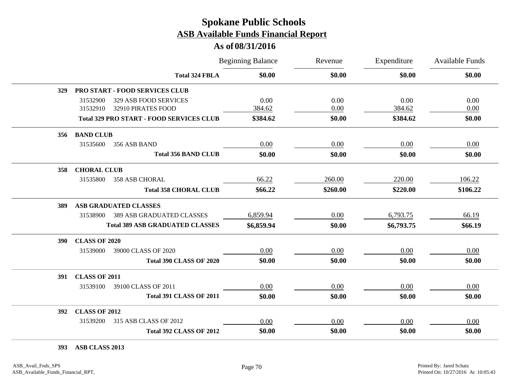#### **As of 08/31/2016**

|            |                      |                                                 | <b>Beginning Balance</b> | Revenue  | Expenditure | Available Funds |
|------------|----------------------|-------------------------------------------------|--------------------------|----------|-------------|-----------------|
|            |                      | <b>Total 324 FBLA</b>                           | \$0.00                   | \$0.00   | \$0.00      | \$0.00          |
| 329        |                      | <b>PRO START - FOOD SERVICES CLUB</b>           |                          |          |             |                 |
|            | 31532900             | 329 ASB FOOD SERVICES                           | 0.00                     | 0.00     | 0.00        | 0.00            |
|            | 31532910             | 32910 PIRATES FOOD                              | 384.62                   | 0.00     | 384.62      | 0.00            |
|            |                      | <b>Total 329 PRO START - FOOD SERVICES CLUB</b> | \$384.62                 | \$0.00   | \$384.62    | \$0.00          |
| 356        | <b>BAND CLUB</b>     |                                                 |                          |          |             |                 |
|            | 31535600             | 356 ASB BAND                                    | 0.00                     | 0.00     | 0.00        | 0.00            |
|            |                      | <b>Total 356 BAND CLUB</b>                      | \$0.00                   | \$0.00   | \$0.00      | \$0.00          |
| 358        | <b>CHORAL CLUB</b>   |                                                 |                          |          |             |                 |
|            | 31535800             | <b>358 ASB CHORAL</b>                           | 66.22                    | 260.00   | 220.00      | 106.22          |
|            |                      | <b>Total 358 CHORAL CLUB</b>                    | \$66.22                  | \$260.00 | \$220.00    | \$106.22        |
| 389        |                      | ASB GRADUATED CLASSES                           |                          |          |             |                 |
|            | 31538900             | <b>389 ASB GRADUATED CLASSES</b>                | 6,859.94                 | 0.00     | 6,793.75    | 66.19           |
|            |                      | <b>Total 389 ASB GRADUATED CLASSES</b>          | \$6,859.94               | \$0.00   | \$6,793.75  | \$66.19         |
| <b>390</b> | <b>CLASS OF 2020</b> |                                                 |                          |          |             |                 |
|            | 31539000             | 39000 CLASS OF 2020                             | 0.00                     | 0.00     | 0.00        | 0.00            |
|            |                      | <b>Total 390 CLASS OF 2020</b>                  | \$0.00                   | \$0.00   | \$0.00      | \$0.00          |
| 391        | <b>CLASS OF 2011</b> |                                                 |                          |          |             |                 |
|            | 31539100             | 39100 CLASS OF 2011                             | 0.00                     | 0.00     | 0.00        | 0.00            |
|            |                      | <b>Total 391 CLASS OF 2011</b>                  | \$0.00                   | \$0.00   | \$0.00      | \$0.00          |
| 392        | <b>CLASS OF 2012</b> |                                                 |                          |          |             |                 |
|            | 31539200             | 315 ASB CLASS OF 2012                           | 0.00                     | 0.00     | 0.00        | 0.00            |
|            |                      | <b>Total 392 CLASS OF 2012</b>                  | \$0.00                   | \$0.00   | \$0.00      | \$0.00          |

**393 ASB CLASS 2013**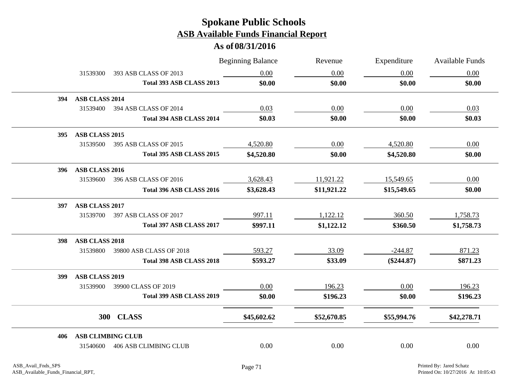|     |                          |                                 | <b>Beginning Balance</b> | Revenue     | Expenditure  | Available Funds |
|-----|--------------------------|---------------------------------|--------------------------|-------------|--------------|-----------------|
|     | 31539300                 | 393 ASB CLASS OF 2013           | 0.00                     | 0.00        | 0.00         | 0.00            |
|     |                          | Total 393 ASB CLASS 2013        | \$0.00                   | \$0.00      | \$0.00       | \$0.00          |
| 394 | <b>ASB CLASS 2014</b>    |                                 |                          |             |              |                 |
|     |                          | 31539400 394 ASB CLASS OF 2014  | 0.03                     | 0.00        | 0.00         | 0.03            |
|     |                          | Total 394 ASB CLASS 2014        | \$0.03                   | \$0.00      | \$0.00       | \$0.03          |
| 395 | <b>ASB CLASS 2015</b>    |                                 |                          |             |              |                 |
|     | 31539500                 | 395 ASB CLASS OF 2015           | 4,520.80                 | 0.00        | 4,520.80     | 0.00            |
|     |                          | Total 395 ASB CLASS 2015        | \$4,520.80               | \$0.00      | \$4,520.80   | \$0.00          |
| 396 | ASB CLASS 2016           |                                 |                          |             |              |                 |
|     |                          | 31539600 396 ASB CLASS OF 2016  | 3,628.43                 | 11,921.22   | 15,549.65    | 0.00            |
|     |                          | Total 396 ASB CLASS 2016        | \$3,628.43               | \$11,921.22 | \$15,549.65  | \$0.00          |
| 397 | ASB CLASS 2017           |                                 |                          |             |              |                 |
|     |                          | 31539700 397 ASB CLASS OF 2017  | 997.11                   | 1,122.12    | 360.50       | 1,758.73        |
|     |                          | Total 397 ASB CLASS 2017        | \$997.11                 | \$1,122.12  | \$360.50     | \$1,758.73      |
| 398 | ASB CLASS 2018           |                                 |                          |             |              |                 |
|     | 31539800                 | 39800 ASB CLASS OF 2018         | 593.27                   | 33.09       | $-244.87$    | 871.23          |
|     |                          | <b>Total 398 ASB CLASS 2018</b> | \$593.27                 | \$33.09     | $(\$244.87)$ | \$871.23        |
| 399 | ASB CLASS 2019           |                                 |                          |             |              |                 |
|     | 31539900                 | 39900 CLASS OF 2019             | 0.00                     | 196.23      | 0.00         | 196.23          |
|     |                          | Total 399 ASB CLASS 2019        | \$0.00                   | \$196.23    | \$0.00       | \$196.23        |
|     |                          | 300 CLASS                       | \$45,602.62              | \$52,670.85 | \$55,994.76  | \$42,278.71     |
| 406 | <b>ASB CLIMBING CLUB</b> |                                 |                          |             |              |                 |
|     |                          | 31540600 406 ASB CLIMBING CLUB  | 0.00                     | 0.00        | 0.00         | 0.00            |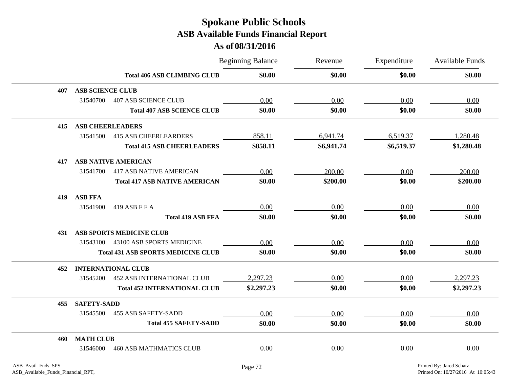|     |                            |                                           | <b>Beginning Balance</b> | Revenue    | Expenditure | Available Funds |
|-----|----------------------------|-------------------------------------------|--------------------------|------------|-------------|-----------------|
|     |                            | <b>Total 406 ASB CLIMBING CLUB</b>        | \$0.00                   | \$0.00     | \$0.00      | \$0.00          |
| 407 | <b>ASB SCIENCE CLUB</b>    |                                           |                          |            |             |                 |
|     | 31540700                   | <b>407 ASB SCIENCE CLUB</b>               | 0.00                     | 0.00       | 0.00        | 0.00            |
|     |                            | <b>Total 407 ASB SCIENCE CLUB</b>         | \$0.00                   | \$0.00     | \$0.00      | \$0.00          |
| 415 | <b>ASB CHEERLEADERS</b>    |                                           |                          |            |             |                 |
|     | 31541500                   | <b>415 ASB CHEERLEARDERS</b>              | 858.11                   | 6,941.74   | 6,519.37    | 1,280.48        |
|     |                            | <b>Total 415 ASB CHEERLEADERS</b>         | \$858.11                 | \$6,941.74 | \$6,519.37  | \$1,280.48      |
| 417 | <b>ASB NATIVE AMERICAN</b> |                                           |                          |            |             |                 |
|     | 31541700                   | <b>417 ASB NATIVE AMERICAN</b>            | 0.00                     | 200.00     | 0.00        | 200.00          |
|     |                            | <b>Total 417 ASB NATIVE AMERICAN</b>      | \$0.00                   | \$200.00   | \$0.00      | \$200.00        |
| 419 | <b>ASB FFA</b>             |                                           |                          |            |             |                 |
|     | 31541900<br>419 ASB F F A  |                                           | 0.00                     | 0.00       | 0.00        | 0.00            |
|     |                            | <b>Total 419 ASB FFA</b>                  | \$0.00                   | \$0.00     | \$0.00      | \$0.00          |
| 431 | ASB SPORTS MEDICINE CLUB   |                                           |                          |            |             |                 |
|     | 31543100                   | 43100 ASB SPORTS MEDICINE                 | 0.00                     | 0.00       | 0.00        | 0.00            |
|     |                            | <b>Total 431 ASB SPORTS MEDICINE CLUB</b> | \$0.00                   | \$0.00     | \$0.00      | \$0.00          |
| 452 | <b>INTERNATIONAL CLUB</b>  |                                           |                          |            |             |                 |
|     | 31545200                   | <b>452 ASB INTERNATIONAL CLUB</b>         | 2,297.23                 | 0.00       | 0.00        | 2,297.23        |
|     |                            | <b>Total 452 INTERNATIONAL CLUB</b>       | \$2,297.23               | \$0.00     | \$0.00      | \$2,297.23      |
| 455 | <b>SAFETY-SADD</b>         |                                           |                          |            |             |                 |
|     | 31545500                   | <b>455 ASB SAFETY-SADD</b>                | 0.00                     | 0.00       | 0.00        | 0.00            |
|     |                            | <b>Total 455 SAFETY-SADD</b>              | \$0.00                   | \$0.00     | \$0.00      | \$0.00          |
| 460 | <b>MATH CLUB</b>           |                                           |                          |            |             |                 |
|     | 31546000                   | <b>460 ASB MATHMATICS CLUB</b>            | 0.00                     | 0.00       | 0.00        | 0.00            |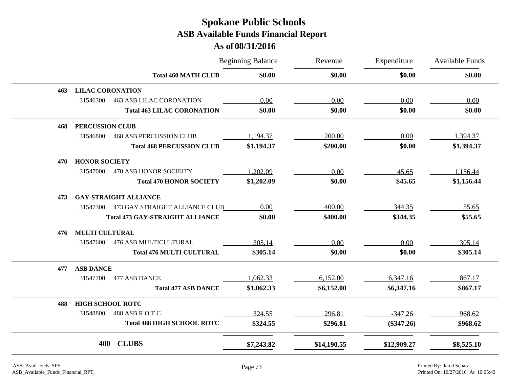|     |                         |                                         | <b>Beginning Balance</b> | Revenue     | Expenditure  | <b>Available Funds</b> |
|-----|-------------------------|-----------------------------------------|--------------------------|-------------|--------------|------------------------|
|     |                         | <b>Total 460 MATH CLUB</b>              | \$0.00                   | \$0.00      | \$0.00       | \$0.00                 |
| 463 | <b>LILAC CORONATION</b> |                                         |                          |             |              |                        |
|     | 31546300                | <b>463 ASB LILAC CORONATION</b>         | 0.00                     | 0.00        | 0.00         | 0.00                   |
|     |                         | <b>Total 463 LILAC CORONATION</b>       | \$0.00                   | \$0.00      | \$0.00       | \$0.00                 |
| 468 | <b>PERCUSSION CLUB</b>  |                                         |                          |             |              |                        |
|     | 31546800                | <b>468 ASB PERCUSSION CLUB</b>          | 1,194.37                 | 200.00      | 0.00         | 1,394.37               |
|     |                         | <b>Total 468 PERCUSSION CLUB</b>        | \$1,194.37               | \$200.00    | \$0.00       | \$1,394.37             |
| 470 | <b>HONOR SOCIETY</b>    |                                         |                          |             |              |                        |
|     | 31547000                | <b>470 ASB HONOR SOCIEITY</b>           | 1,202.09                 | 0.00        | 45.65        | 1,156.44               |
|     |                         | <b>Total 470 HONOR SOCIETY</b>          | \$1,202.09               | \$0.00      | \$45.65      | \$1,156.44             |
| 473 |                         | <b>GAY-STRAIGHT ALLIANCE</b>            |                          |             |              |                        |
|     |                         | 31547300 473 GAY STRAIGHT ALLIANCE CLUB | 0.00                     | 400.00      | 344.35       | 55.65                  |
|     |                         | <b>Total 473 GAY-STRAIGHT ALLIANCE</b>  | \$0.00                   | \$400.00    | \$344.35     | \$55.65                |
| 476 | <b>MULTI CULTURAL</b>   |                                         |                          |             |              |                        |
|     | 31547600                | <b>476 ASB MULTICULTURAL</b>            | 305.14                   | 0.00        | 0.00         | 305.14                 |
|     |                         | <b>Total 476 MULTI CULTURAL</b>         | \$305.14                 | \$0.00      | \$0.00       | \$305.14               |
| 477 | <b>ASB DANCE</b>        |                                         |                          |             |              |                        |
|     | 31547700                | 477 ASB DANCE                           | 1,062.33                 | 6,152.00    | 6,347.16     | 867.17                 |
|     |                         | <b>Total 477 ASB DANCE</b>              | \$1,062.33               | \$6,152.00  | \$6,347.16   | \$867.17               |
| 488 | <b>HIGH SCHOOL ROTC</b> |                                         |                          |             |              |                        |
|     | 31548800                | 488 ASB ROTC                            | 324.55                   | 296.81      | $-347.26$    | 968.62                 |
|     |                         | <b>Total 488 HIGH SCHOOL ROTC</b>       | \$324.55                 | \$296.81    | $(\$347.26)$ | \$968.62               |
|     | 400                     | <b>CLUBS</b>                            | \$7,243.82               | \$14,190.55 | \$12,909.27  | \$8,525.10             |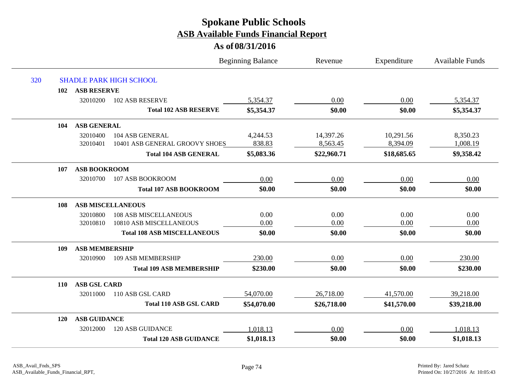|     |            |                       |                                    | <b>Beginning Balance</b> | Revenue     | Expenditure | <b>Available Funds</b> |
|-----|------------|-----------------------|------------------------------------|--------------------------|-------------|-------------|------------------------|
| 320 |            |                       | <b>SHADLE PARK HIGH SCHOOL</b>     |                          |             |             |                        |
|     | 102        | <b>ASB RESERVE</b>    |                                    |                          |             |             |                        |
|     |            | 32010200              | 102 ASB RESERVE                    | 5,354.37                 | 0.00        | 0.00        | 5,354.37               |
|     |            |                       | <b>Total 102 ASB RESERVE</b>       | \$5,354.37               | \$0.00      | \$0.00      | \$5,354.37             |
|     | 104        | <b>ASB GENERAL</b>    |                                    |                          |             |             |                        |
|     |            | 32010400              | 104 ASB GENERAL                    | 4,244.53                 | 14,397.26   | 10,291.56   | 8,350.23               |
|     |            | 32010401              | 10401 ASB GENERAL GROOVY SHOES     | 838.83                   | 8,563.45    | 8,394.09    | 1,008.19               |
|     |            |                       | <b>Total 104 ASB GENERAL</b>       | \$5,083.36               | \$22,960.71 | \$18,685.65 | \$9,358.42             |
|     | 107        | <b>ASB BOOKROOM</b>   |                                    |                          |             |             |                        |
|     |            | 32010700              | 107 ASB BOOKROOM                   | 0.00                     | 0.00        | 0.00        | 0.00                   |
|     |            |                       | <b>Total 107 ASB BOOKROOM</b>      | \$0.00                   | \$0.00      | \$0.00      | \$0.00                 |
|     | 108        |                       | <b>ASB MISCELLANEOUS</b>           |                          |             |             |                        |
|     |            | 32010800              | <b>108 ASB MISCELLANEOUS</b>       | 0.00                     | 0.00        | 0.00        | 0.00                   |
|     |            | 32010810              | 10810 ASB MISCELLANEOUS            | 0.00                     | 0.00        | 0.00        | 0.00                   |
|     |            |                       | <b>Total 108 ASB MISCELLANEOUS</b> | \$0.00                   | \$0.00      | \$0.00      | \$0.00                 |
|     | 109        | <b>ASB MEMBERSHIP</b> |                                    |                          |             |             |                        |
|     |            | 32010900              | 109 ASB MEMBERSHIP                 | 230.00                   | 0.00        | 0.00        | 230.00                 |
|     |            |                       | <b>Total 109 ASB MEMBERSHIP</b>    | \$230.00                 | \$0.00      | \$0.00      | \$230.00               |
|     | <b>110</b> | <b>ASB GSL CARD</b>   |                                    |                          |             |             |                        |
|     |            | 32011000              | 110 ASB GSL CARD                   | 54,070.00                | 26,718.00   | 41,570.00   | 39,218.00              |
|     |            |                       | <b>Total 110 ASB GSL CARD</b>      | \$54,070.00              | \$26,718.00 | \$41,570.00 | \$39,218.00            |
|     | <b>120</b> | <b>ASB GUIDANCE</b>   |                                    |                          |             |             |                        |
|     |            | 32012000              | <b>120 ASB GUIDANCE</b>            | 1,018.13                 | 0.00        | 0.00        | 1,018.13               |
|     |            |                       | <b>Total 120 ASB GUIDANCE</b>      | \$1,018.13               | \$0.00      | \$0.00      | \$1,018.13             |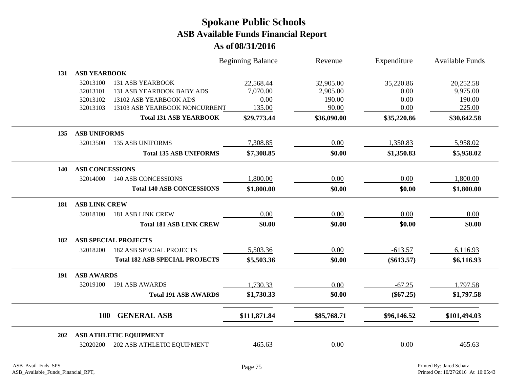|            |                        |                                       | <b>Beginning Balance</b> | Revenue     | Expenditure  | <b>Available Funds</b> |
|------------|------------------------|---------------------------------------|--------------------------|-------------|--------------|------------------------|
| 131        | <b>ASB YEARBOOK</b>    |                                       |                          |             |              |                        |
|            | 32013100               | <b>131 ASB YEARBOOK</b>               | 22,568.44                | 32,905.00   | 35,220.86    | 20,252.58              |
|            | 32013101               | 131 ASB YEARBOOK BABY ADS             | 7,070.00                 | 2,905.00    | 0.00         | 9,975.00               |
|            | 32013102               | 13102 ASB YEARBOOK ADS                | 0.00                     | 190.00      | 0.00         | 190.00                 |
|            | 32013103               | 13103 ASB YEARBOOK NONCURRENT         | 135.00                   | 90.00       | 0.00         | 225.00                 |
|            |                        | <b>Total 131 ASB YEARBOOK</b>         | \$29,773.44              | \$36,090.00 | \$35,220.86  | \$30,642.58            |
| 135        | <b>ASB UNIFORMS</b>    |                                       |                          |             |              |                        |
|            | 32013500               | <b>135 ASB UNIFORMS</b>               | 7,308.85                 | 0.00        | 1,350.83     | 5,958.02               |
|            |                        | <b>Total 135 ASB UNIFORMS</b>         | \$7,308.85               | \$0.00      | \$1,350.83   | \$5,958.02             |
| <b>140</b> | <b>ASB CONCESSIONS</b> |                                       |                          |             |              |                        |
|            | 32014000               | <b>140 ASB CONCESSIONS</b>            | 1,800.00                 | 0.00        | 0.00         | 1,800.00               |
|            |                        | <b>Total 140 ASB CONCESSIONS</b>      | \$1,800.00               | \$0.00      | \$0.00       | \$1,800.00             |
| 181        | <b>ASB LINK CREW</b>   |                                       |                          |             |              |                        |
|            | 32018100               | <b>181 ASB LINK CREW</b>              | 0.00                     | 0.00        | 0.00         | 0.00                   |
|            |                        | <b>Total 181 ASB LINK CREW</b>        | \$0.00                   | \$0.00      | \$0.00       | \$0.00                 |
| 182        |                        | <b>ASB SPECIAL PROJECTS</b>           |                          |             |              |                        |
|            | 32018200               | <b>182 ASB SPECIAL PROJECTS</b>       | 5,503.36                 | 0.00        | $-613.57$    | 6,116.93               |
|            |                        | <b>Total 182 ASB SPECIAL PROJECTS</b> | \$5,503.36               | \$0.00      | $(\$613.57)$ | \$6,116.93             |
| 191        | <b>ASB AWARDS</b>      |                                       |                          |             |              |                        |
|            | 32019100               | 191 ASB AWARDS                        | 1,730.33                 | 0.00        | $-67.25$     | 1,797.58               |
|            |                        | <b>Total 191 ASB AWARDS</b>           | \$1,730.33               | \$0.00      | $(\$67.25)$  | \$1,797.58             |
|            | <b>100</b>             | <b>GENERAL ASB</b>                    | \$111,871.84             | \$85,768.71 | \$96,146.52  | \$101,494.03           |
|            |                        |                                       |                          |             |              |                        |
| 202        |                        | <b>ASB ATHLETIC EQUIPMENT</b>         |                          |             |              |                        |
|            | 32020200               | 202 ASB ATHLETIC EQUIPMENT            | 465.63                   | 0.00        | 0.00         | 465.63                 |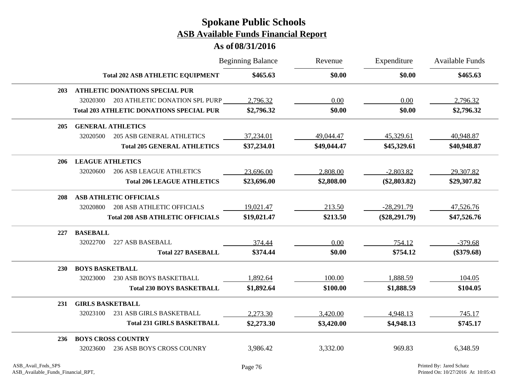|            |                         |                                                 | <b>Beginning Balance</b> | Revenue     | Expenditure     | Available Funds |
|------------|-------------------------|-------------------------------------------------|--------------------------|-------------|-----------------|-----------------|
|            |                         | <b>Total 202 ASB ATHLETIC EQUIPMENT</b>         | \$465.63                 | \$0.00      | \$0.00          | \$465.63        |
| <b>203</b> |                         | <b>ATHLETIC DONATIONS SPECIAL PUR</b>           |                          |             |                 |                 |
|            | 32020300                | 203 ATHLETIC DONATION SPL PURP                  | 2,796.32                 | 0.00        | 0.00            | 2,796.32        |
|            |                         | <b>Total 203 ATHLETIC DONATIONS SPECIAL PUR</b> | \$2,796.32               | \$0.00      | \$0.00          | \$2,796.32      |
| <b>205</b> |                         | <b>GENERAL ATHLETICS</b>                        |                          |             |                 |                 |
|            | 32020500                | <b>205 ASB GENERAL ATHLETICS</b>                | 37,234.01                | 49,044.47   | 45,329.61       | 40,948.87       |
|            |                         | <b>Total 205 GENERAL ATHLETICS</b>              | \$37,234.01              | \$49,044.47 | \$45,329.61     | \$40,948.87     |
| 206        | <b>LEAGUE ATHLETICS</b> |                                                 |                          |             |                 |                 |
|            | 32020600                | <b>206 ASB LEAGUE ATHLETICS</b>                 | 23,696.00                | 2,808.00    | $-2,803.82$     | 29,307.82       |
|            |                         | <b>Total 206 LEAGUE ATHLETICS</b>               | \$23,696.00              | \$2,808.00  | $(\$2,803.82)$  | \$29,307.82     |
| 208        |                         | <b>ASB ATHLETIC OFFICIALS</b>                   |                          |             |                 |                 |
|            | 32020800                | <b>208 ASB ATHLETIC OFFICIALS</b>               | 19,021.47                | 213.50      | $-28,291.79$    | 47,526.76       |
|            |                         | <b>Total 208 ASB ATHLETIC OFFICIALS</b>         | \$19,021.47              | \$213.50    | $(\$28,291.79)$ | \$47,526.76     |
| 227        | <b>BASEBALL</b>         |                                                 |                          |             |                 |                 |
|            | 32022700                | 227 ASB BASEBALL                                | 374.44                   | 0.00        | 754.12          | $-379.68$       |
|            |                         | <b>Total 227 BASEBALL</b>                       | \$374.44                 | \$0.00      | \$754.12        | $(\$379.68)$    |
| <b>230</b> | <b>BOYS BASKETBALL</b>  |                                                 |                          |             |                 |                 |
|            | 32023000                | 230 ASB BOYS BASKETBALL                         | 1,892.64                 | 100.00      | 1,888.59        | 104.05          |
|            |                         | <b>Total 230 BOYS BASKETBALL</b>                | \$1,892.64               | \$100.00    | \$1,888.59      | \$104.05        |
| 231        | <b>GIRLS BASKETBALL</b> |                                                 |                          |             |                 |                 |
|            | 32023100                | 231 ASB GIRLS BASKETBALL                        | 2,273.30                 | 3,420.00    | 4,948.13        | 745.17          |
|            |                         | <b>Total 231 GIRLS BASKETBALL</b>               | \$2,273.30               | \$3,420.00  | \$4,948.13      | \$745.17        |
| 236        |                         | <b>BOYS CROSS COUNTRY</b>                       |                          |             |                 |                 |
|            | 32023600                | 236 ASB BOYS CROSS COUNRY                       | 3,986.42                 | 3,332.00    | 969.83          | 6,348.59        |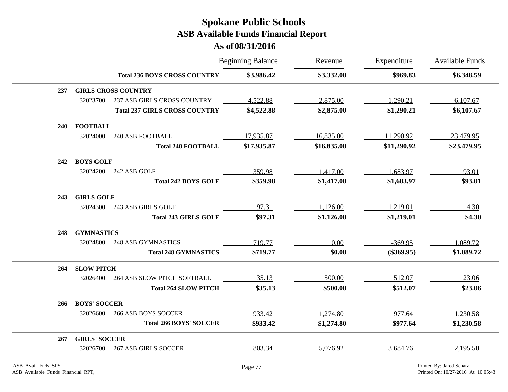|     |                      |                                      | <b>Beginning Balance</b> | Revenue     | Expenditure  | Available Funds |
|-----|----------------------|--------------------------------------|--------------------------|-------------|--------------|-----------------|
|     |                      | <b>Total 236 BOYS CROSS COUNTRY</b>  | \$3,986.42               | \$3,332.00  | \$969.83     | \$6,348.59      |
| 237 |                      | <b>GIRLS CROSS COUNTRY</b>           |                          |             |              |                 |
|     | 32023700             | <b>237 ASB GIRLS CROSS COUNTRY</b>   | 4,522.88                 | 2,875.00    | 1,290.21     | 6,107.67        |
|     |                      | <b>Total 237 GIRLS CROSS COUNTRY</b> | \$4,522.88               | \$2,875.00  | \$1,290.21   | \$6,107.67      |
| 240 | <b>FOOTBALL</b>      |                                      |                          |             |              |                 |
|     | 32024000             | <b>240 ASB FOOTBALL</b>              | 17,935.87                | 16,835.00   | 11,290.92    | 23,479.95       |
|     |                      | <b>Total 240 FOOTBALL</b>            | \$17,935.87              | \$16,835.00 | \$11,290.92  | \$23,479.95     |
| 242 | <b>BOYS GOLF</b>     |                                      |                          |             |              |                 |
|     | 32024200             | 242 ASB GOLF                         | 359.98                   | 1,417.00    | 1,683.97     | 93.01           |
|     |                      | <b>Total 242 BOYS GOLF</b>           | \$359.98                 | \$1,417.00  | \$1,683.97   | \$93.01         |
| 243 | <b>GIRLS GOLF</b>    |                                      |                          |             |              |                 |
|     | 32024300             | 243 ASB GIRLS GOLF                   | 97.31                    | 1,126.00    | 1,219.01     | 4.30            |
|     |                      | <b>Total 243 GIRLS GOLF</b>          | \$97.31                  | \$1,126.00  | \$1,219.01   | \$4.30          |
| 248 | <b>GYMNASTICS</b>    |                                      |                          |             |              |                 |
|     | 32024800             | <b>248 ASB GYMNASTICS</b>            | 719.77                   | 0.00        | $-369.95$    | 1,089.72        |
|     |                      | <b>Total 248 GYMNASTICS</b>          | \$719.77                 | \$0.00      | $(\$369.95)$ | \$1,089.72      |
| 264 | <b>SLOW PITCH</b>    |                                      |                          |             |              |                 |
|     | 32026400             | 264 ASB SLOW PITCH SOFTBALL          | 35.13                    | 500.00      | 512.07       | 23.06           |
|     |                      | <b>Total 264 SLOW PITCH</b>          | \$35.13                  | \$500.00    | \$512.07     | \$23.06         |
| 266 | <b>BOYS' SOCCER</b>  |                                      |                          |             |              |                 |
|     | 32026600             | <b>266 ASB BOYS SOCCER</b>           | 933.42                   | 1,274.80    | 977.64       | 1,230.58        |
|     |                      | <b>Total 266 BOYS' SOCCER</b>        | \$933.42                 | \$1,274.80  | \$977.64     | \$1,230.58      |
| 267 | <b>GIRLS' SOCCER</b> |                                      |                          |             |              |                 |
|     | 32026700             | <b>267 ASB GIRLS SOCCER</b>          | 803.34                   | 5,076.92    | 3,684.76     | 2,195.50        |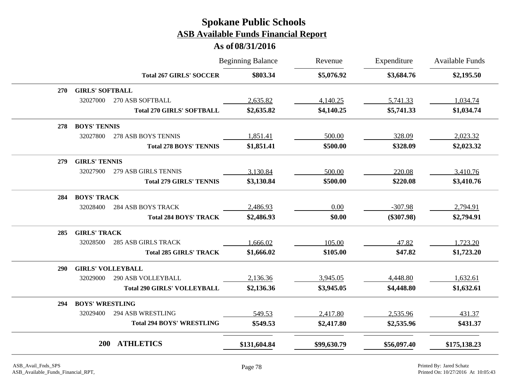|            |                          |                                    | <b>Beginning Balance</b> | Revenue     | Expenditure  | <b>Available Funds</b> |
|------------|--------------------------|------------------------------------|--------------------------|-------------|--------------|------------------------|
|            |                          | <b>Total 267 GIRLS' SOCCER</b>     | \$803.34                 | \$5,076.92  | \$3,684.76   | \$2,195.50             |
| <b>270</b> | <b>GIRLS' SOFTBALL</b>   |                                    |                          |             |              |                        |
|            | 32027000                 | 270 ASB SOFTBALL                   | 2,635.82                 | 4,140.25    | 5,741.33     | 1,034.74               |
|            |                          | <b>Total 270 GIRLS' SOFTBALL</b>   | \$2,635.82               | \$4,140.25  | \$5,741.33   | \$1,034.74             |
| 278        | <b>BOYS' TENNIS</b>      |                                    |                          |             |              |                        |
|            | 32027800                 | 278 ASB BOYS TENNIS                | 1,851.41                 | 500.00      | 328.09       | 2,023.32               |
|            |                          | <b>Total 278 BOYS' TENNIS</b>      | \$1,851.41               | \$500.00    | \$328.09     | \$2,023.32             |
| 279        | <b>GIRLS' TENNIS</b>     |                                    |                          |             |              |                        |
|            | 32027900                 | 279 ASB GIRLS TENNIS               | 3,130.84                 | 500.00      | 220.08       | 3,410.76               |
|            |                          | <b>Total 279 GIRLS' TENNIS</b>     | \$3,130.84               | \$500.00    | \$220.08     | \$3,410.76             |
| 284        | <b>BOYS' TRACK</b>       |                                    |                          |             |              |                        |
|            | 32028400                 | <b>284 ASB BOYS TRACK</b>          | 2,486.93                 | 0.00        | $-307.98$    | 2,794.91               |
|            |                          | <b>Total 284 BOYS' TRACK</b>       | \$2,486.93               | \$0.00      | $(\$307.98)$ | \$2,794.91             |
| 285        | <b>GIRLS' TRACK</b>      |                                    |                          |             |              |                        |
|            | 32028500                 | <b>285 ASB GIRLS TRACK</b>         | 1,666.02                 | 105.00      | 47.82        | 1,723.20               |
|            |                          | <b>Total 285 GIRLS' TRACK</b>      | \$1,666.02               | \$105.00    | \$47.82      | \$1,723.20             |
| <b>290</b> | <b>GIRLS' VOLLEYBALL</b> |                                    |                          |             |              |                        |
|            | 32029000                 | 290 ASB VOLLEYBALL                 | 2,136.36                 | 3,945.05    | 4,448.80     | 1,632.61               |
|            |                          | <b>Total 290 GIRLS' VOLLEYBALL</b> | \$2,136.36               | \$3,945.05  | \$4,448.80   | \$1,632.61             |
| 294        | <b>BOYS' WRESTLING</b>   |                                    |                          |             |              |                        |
|            | 32029400                 | 294 ASB WRESTLING                  | 549.53                   | 2,417.80    | 2,535.96     | 431.37                 |
|            |                          | <b>Total 294 BOYS' WRESTLING</b>   | \$549.53                 | \$2,417.80  | \$2,535.96   | \$431.37               |
|            | 200                      | <b>ATHLETICS</b>                   | \$131,604.84             | \$99,630.79 | \$56,097.40  | \$175,138.23           |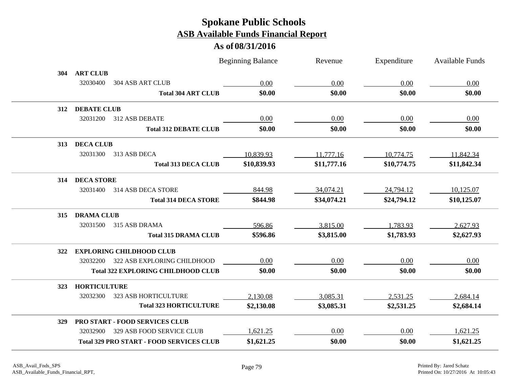|     |                     |                                                 | <b>Beginning Balance</b> | Revenue     | Expenditure | <b>Available Funds</b> |
|-----|---------------------|-------------------------------------------------|--------------------------|-------------|-------------|------------------------|
| 304 | <b>ART CLUB</b>     |                                                 |                          |             |             |                        |
|     | 32030400            | 304 ASB ART CLUB                                | 0.00                     | 0.00        | 0.00        | 0.00                   |
|     |                     | <b>Total 304 ART CLUB</b>                       | \$0.00                   | \$0.00      | \$0.00      | \$0.00                 |
| 312 | <b>DEBATE CLUB</b>  |                                                 |                          |             |             |                        |
|     | 32031200            | 312 ASB DEBATE                                  | 0.00                     | 0.00        | 0.00        | 0.00                   |
|     |                     | <b>Total 312 DEBATE CLUB</b>                    | \$0.00                   | \$0.00      | \$0.00      | \$0.00                 |
| 313 | <b>DECA CLUB</b>    |                                                 |                          |             |             |                        |
|     | 32031300            | 313 ASB DECA                                    | 10,839.93                | 11,777.16   | 10,774.75   | 11,842.34              |
|     |                     | <b>Total 313 DECA CLUB</b>                      | \$10,839.93              | \$11,777.16 | \$10,774.75 | \$11,842.34            |
| 314 | <b>DECA STORE</b>   |                                                 |                          |             |             |                        |
|     | 32031400            | 314 ASB DECA STORE                              | 844.98                   | 34,074.21   | 24,794.12   | 10,125.07              |
|     |                     | <b>Total 314 DECA STORE</b>                     | \$844.98                 | \$34,074.21 | \$24,794.12 | \$10,125.07            |
| 315 | <b>DRAMA CLUB</b>   |                                                 |                          |             |             |                        |
|     | 32031500            | 315 ASB DRAMA                                   | 596.86                   | 3,815.00    | 1,783.93    | 2,627.93               |
|     |                     | <b>Total 315 DRAMA CLUB</b>                     | \$596.86                 | \$3,815.00  | \$1,783.93  | \$2,627.93             |
| 322 |                     | <b>EXPLORING CHILDHOOD CLUB</b>                 |                          |             |             |                        |
|     | 32032200            | 322 ASB EXPLORING CHILDHOOD                     | 0.00                     | 0.00        | 0.00        | 0.00                   |
|     |                     | <b>Total 322 EXPLORING CHILDHOOD CLUB</b>       | \$0.00                   | \$0.00      | \$0.00      | \$0.00                 |
| 323 | <b>HORTICULTURE</b> |                                                 |                          |             |             |                        |
|     | 32032300            | 323 ASB HORTICULTURE                            | 2,130.08                 | 3,085.31    | 2,531.25    | 2,684.14               |
|     |                     | <b>Total 323 HORTICULTURE</b>                   | \$2,130.08               | \$3,085.31  | \$2,531.25  | \$2,684.14             |
| 329 |                     | <b>PRO START - FOOD SERVICES CLUB</b>           |                          |             |             |                        |
|     | 32032900            | 329 ASB FOOD SERVICE CLUB                       | 1,621.25                 | 0.00        | $0.00\,$    | 1,621.25               |
|     |                     | <b>Total 329 PRO START - FOOD SERVICES CLUB</b> | \$1,621.25               | \$0.00      | \$0.00      | \$1,621.25             |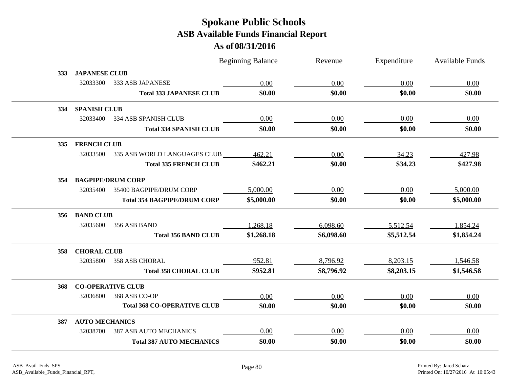|            |                       |                                    | <b>Beginning Balance</b> | Revenue    | Expenditure | <b>Available Funds</b> |
|------------|-----------------------|------------------------------------|--------------------------|------------|-------------|------------------------|
| <b>333</b> | <b>JAPANESE CLUB</b>  |                                    |                          |            |             |                        |
|            | 32033300              | 333 ASB JAPANESE                   | 0.00                     | 0.00       | 0.00        | 0.00                   |
|            |                       | <b>Total 333 JAPANESE CLUB</b>     | \$0.00                   | \$0.00     | \$0.00      | \$0.00                 |
| 334        | <b>SPANISH CLUB</b>   |                                    |                          |            |             |                        |
|            | 32033400              | 334 ASB SPANISH CLUB               | 0.00                     | 0.00       | 0.00        | 0.00                   |
|            |                       | <b>Total 334 SPANISH CLUB</b>      | \$0.00                   | \$0.00     | \$0.00      | \$0.00                 |
| 335        | <b>FRENCH CLUB</b>    |                                    |                          |            |             |                        |
|            | 32033500              | 335 ASB WORLD LANGUAGES CLUB       | 462.21                   | 0.00       | 34.23       | 427.98                 |
|            |                       | <b>Total 335 FRENCH CLUB</b>       | \$462.21                 | \$0.00     | \$34.23     | \$427.98               |
|            | 354 BAGPIPE/DRUM CORP |                                    |                          |            |             |                        |
|            | 32035400              | 35400 BAGPIPE/DRUM CORP            | 5,000.00                 | 0.00       | 0.00        | 5,000.00               |
|            |                       | <b>Total 354 BAGPIPE/DRUM CORP</b> | \$5,000.00               | \$0.00     | \$0.00      | \$5,000.00             |
|            | 356 BAND CLUB         |                                    |                          |            |             |                        |
|            | 32035600              | 356 ASB BAND                       | 1,268.18                 | 6,098.60   | 5,512.54    | 1,854.24               |
|            |                       | <b>Total 356 BAND CLUB</b>         | \$1,268.18               | \$6,098.60 | \$5,512.54  | \$1,854.24             |
| 358        | <b>CHORAL CLUB</b>    |                                    |                          |            |             |                        |
|            | 32035800              | <b>358 ASB CHORAL</b>              | 952.81                   | 8,796.92   | 8,203.15    | 1,546.58               |
|            |                       | <b>Total 358 CHORAL CLUB</b>       | \$952.81                 | \$8,796.92 | \$8,203.15  | \$1,546.58             |
| 368        |                       | <b>CO-OPERATIVE CLUB</b>           |                          |            |             |                        |
|            | 32036800              | 368 ASB CO-OP                      | 0.00                     | 0.00       | 0.00        | 0.00                   |
|            |                       | <b>Total 368 CO-OPERATIVE CLUB</b> | \$0.00                   | \$0.00     | \$0.00      | \$0.00                 |
| 387        | <b>AUTO MECHANICS</b> |                                    |                          |            |             |                        |
|            | 32038700              | <b>387 ASB AUTO MECHANICS</b>      | 0.00                     | 0.00       | 0.00        | 0.00                   |
|            |                       | <b>Total 387 AUTO MECHANICS</b>    | \$0.00                   | \$0.00     | \$0.00      | \$0.00                 |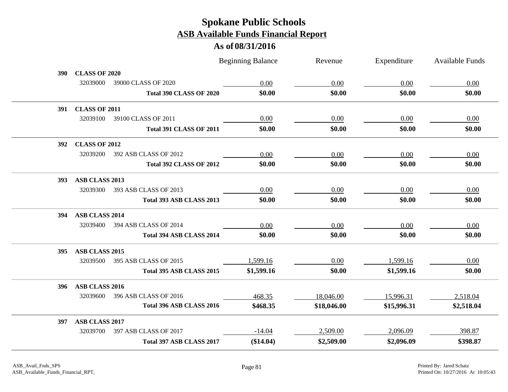|            |                                   | <b>Beginning Balance</b> | Revenue     | Expenditure | Available Funds |
|------------|-----------------------------------|--------------------------|-------------|-------------|-----------------|
| 390        | <b>CLASS OF 2020</b>              |                          |             |             |                 |
|            | 32039000<br>39000 CLASS OF 2020   | 0.00                     | 0.00        | 0.00        | 0.00            |
|            | Total 390 CLASS OF 2020           | \$0.00                   | \$0.00      | \$0.00      | \$0.00          |
| 391        | <b>CLASS OF 2011</b>              |                          |             |             |                 |
|            | 32039100<br>39100 CLASS OF 2011   | 0.00                     | 0.00        | 0.00        | 0.00            |
|            | <b>Total 391 CLASS OF 2011</b>    | \$0.00                   | \$0.00      | \$0.00      | \$0.00          |
| <b>392</b> | <b>CLASS OF 2012</b>              |                          |             |             |                 |
|            | 32039200<br>392 ASB CLASS OF 2012 | 0.00                     | 0.00        | 0.00        | 0.00            |
|            | <b>Total 392 CLASS OF 2012</b>    | \$0.00                   | \$0.00      | \$0.00      | \$0.00          |
| 393        | ASB CLASS 2013                    |                          |             |             |                 |
|            | 32039300<br>393 ASB CLASS OF 2013 | 0.00                     | 0.00        | 0.00        | 0.00            |
|            | Total 393 ASB CLASS 2013          | \$0.00                   | \$0.00      | \$0.00      | \$0.00          |
| 394        | <b>ASB CLASS 2014</b>             |                          |             |             |                 |
|            | 32039400<br>394 ASB CLASS OF 2014 | 0.00                     | 0.00        | 0.00        | 0.00            |
|            | Total 394 ASB CLASS 2014          | \$0.00                   | \$0.00      | \$0.00      | \$0.00          |
| 395        | ASB CLASS 2015                    |                          |             |             |                 |
|            | 395 ASB CLASS OF 2015<br>32039500 | 1,599.16                 | 0.00        | 1,599.16    | 0.00            |
|            | Total 395 ASB CLASS 2015          | \$1,599.16               | \$0.00      | \$1,599.16  | \$0.00          |
| 396        | ASB CLASS 2016                    |                          |             |             |                 |
|            | 32039600<br>396 ASB CLASS OF 2016 | 468.35                   | 18,046.00   | 15,996.31   | 2,518.04        |
|            | Total 396 ASB CLASS 2016          | \$468.35                 | \$18,046.00 | \$15,996.31 | \$2,518.04      |
| 397        | ASB CLASS 2017                    |                          |             |             |                 |
|            | 32039700<br>397 ASB CLASS OF 2017 | $-14.04$                 | 2,509.00    | 2,096.09    | 398.87          |
|            | Total 397 ASB CLASS 2017          | (\$14.04)                | \$2,509.00  | \$2,096.09  | \$398.87        |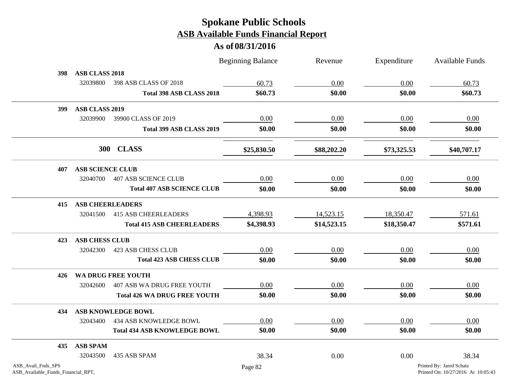|                                                          |                         |                                     | <b>Beginning Balance</b> | Revenue     | Expenditure | <b>Available Funds</b>                                         |
|----------------------------------------------------------|-------------------------|-------------------------------------|--------------------------|-------------|-------------|----------------------------------------------------------------|
| 398                                                      | <b>ASB CLASS 2018</b>   |                                     |                          |             |             |                                                                |
|                                                          | 32039800                | 398 ASB CLASS OF 2018               | 60.73                    | 0.00        | 0.00        | 60.73                                                          |
|                                                          |                         | Total 398 ASB CLASS 2018            | \$60.73                  | \$0.00      | \$0.00      | \$60.73                                                        |
| 399                                                      | ASB CLASS 2019          |                                     |                          |             |             |                                                                |
|                                                          | 32039900                | 39900 CLASS OF 2019                 | 0.00                     | 0.00        | 0.00        | 0.00                                                           |
|                                                          |                         | Total 399 ASB CLASS 2019            | \$0.00                   | \$0.00      | \$0.00      | \$0.00                                                         |
|                                                          | <b>300</b>              | <b>CLASS</b>                        | \$25,830.50              | \$88,202.20 | \$73,325.53 | \$40,707.17                                                    |
| 407                                                      | <b>ASB SCIENCE CLUB</b> |                                     |                          |             |             |                                                                |
|                                                          | 32040700                | <b>407 ASB SCIENCE CLUB</b>         | 0.00                     | 0.00        | 0.00        | 0.00                                                           |
|                                                          |                         | <b>Total 407 ASB SCIENCE CLUB</b>   | \$0.00                   | \$0.00      | \$0.00      | \$0.00                                                         |
| 415                                                      | <b>ASB CHEERLEADERS</b> |                                     |                          |             |             |                                                                |
|                                                          | 32041500                | <b>415 ASB CHEERLEADERS</b>         | 4,398.93                 | 14,523.15   | 18,350.47   | 571.61                                                         |
|                                                          |                         | <b>Total 415 ASB CHEERLEADERS</b>   | \$4,398.93               | \$14,523.15 | \$18,350.47 | \$571.61                                                       |
| 423                                                      | <b>ASB CHESS CLUB</b>   |                                     |                          |             |             |                                                                |
|                                                          | 32042300                | 423 ASB CHESS CLUB                  | 0.00                     | 0.00        | 0.00        | 0.00                                                           |
|                                                          |                         | <b>Total 423 ASB CHESS CLUB</b>     | \$0.00                   | \$0.00      | \$0.00      | \$0.00                                                         |
| 426                                                      |                         | WA DRUG FREE YOUTH                  |                          |             |             |                                                                |
|                                                          | 32042600                | 407 ASB WA DRUG FREE YOUTH          | 0.00                     | 0.00        | 0.00        | 0.00                                                           |
|                                                          |                         | <b>Total 426 WA DRUG FREE YOUTH</b> | \$0.00                   | \$0.00      | \$0.00      | \$0.00                                                         |
| 434                                                      |                         | <b>ASB KNOWLEDGE BOWL</b>           |                          |             |             |                                                                |
|                                                          | 32043400                | 434 ASB KNOWLEDGE BOWL              | 0.00                     | 0.00        | 0.00        | 0.00                                                           |
|                                                          |                         | <b>Total 434 ASB KNOWLEDGE BOWL</b> | \$0.00                   | \$0.00      | \$0.00      | \$0.00                                                         |
| 435                                                      | <b>ASB SPAM</b>         |                                     |                          |             |             |                                                                |
|                                                          | 32043500                | 435 ASB SPAM                        | 38.34                    | 0.00        | 0.00        | 38.34                                                          |
| ASB_Avail_Fnds_SPS<br>ASB_Available_Funds_Financial_RPT, |                         |                                     | Page 82                  |             |             | Printed By: Jared Schatz<br>Printed On: 10/27/2016 At 10:05:43 |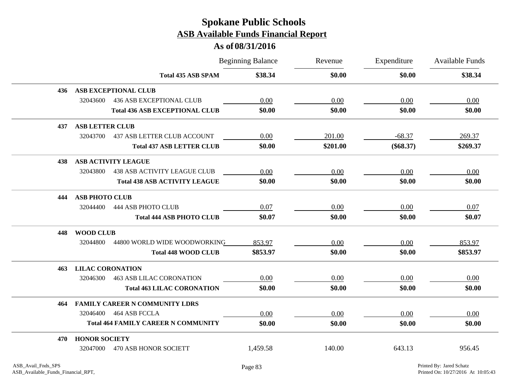|     |                                                 | <b>Beginning Balance</b> | Revenue  | Expenditure | <b>Available Funds</b> |
|-----|-------------------------------------------------|--------------------------|----------|-------------|------------------------|
|     | <b>Total 435 ASB SPAM</b>                       | \$38.34                  | \$0.00   | \$0.00      | \$38.34                |
| 436 | <b>ASB EXCEPTIONAL CLUB</b>                     |                          |          |             |                        |
|     | 32043600<br><b>436 ASB EXCEPTIONAL CLUB</b>     | 0.00                     | 0.00     | 0.00        | 0.00                   |
|     | <b>Total 436 ASB EXCEPTIONAL CLUB</b>           | \$0.00                   | \$0.00   | \$0.00      | \$0.00                 |
| 437 | <b>ASB LETTER CLUB</b>                          |                          |          |             |                        |
|     | 32043700<br><b>437 ASB LETTER CLUB ACCOUNT</b>  | 0.00                     | 201.00   | $-68.37$    | 269.37                 |
|     | <b>Total 437 ASB LETTER CLUB</b>                | \$0.00                   | \$201.00 | $(\$68.37)$ | \$269.37               |
| 438 | <b>ASB ACTIVITY LEAGUE</b>                      |                          |          |             |                        |
|     | 32043800<br><b>438 ASB ACTIVITY LEAGUE CLUB</b> | 0.00                     | 0.00     | 0.00        | 0.00                   |
|     | <b>Total 438 ASB ACTIVITY LEAGUE</b>            | \$0.00                   | \$0.00   | \$0.00      | \$0.00                 |
| 444 | <b>ASB PHOTO CLUB</b>                           |                          |          |             |                        |
|     | <b>444 ASB PHOTO CLUB</b><br>32044400           | 0.07                     | 0.00     | 0.00        | 0.07                   |
|     | <b>Total 444 ASB PHOTO CLUB</b>                 | \$0.07                   | \$0.00   | \$0.00      | \$0.07                 |
| 448 | <b>WOOD CLUB</b>                                |                          |          |             |                        |
|     | 32044800<br>44800 WORLD WIDE WOODWORKING        | 853.97                   | 0.00     | 0.00        | 853.97                 |
|     | <b>Total 448 WOOD CLUB</b>                      | \$853.97                 | \$0.00   | \$0.00      | \$853.97               |
| 463 | <b>LILAC CORONATION</b>                         |                          |          |             |                        |
|     | <b>463 ASB LILAC CORONATION</b><br>32046300     | 0.00                     | 0.00     | 0.00        | 0.00                   |
|     | <b>Total 463 LILAC CORONATION</b>               | \$0.00                   | \$0.00   | \$0.00      | \$0.00                 |
| 464 | <b>FAMILY CAREER N COMMUNITY LDRS</b>           |                          |          |             |                        |
|     | 32046400<br>464 ASB FCCLA                       | 0.00                     | 0.00     | 0.00        | 0.00                   |
|     | <b>Total 464 FAMILY CAREER N COMMUNITY</b>      | \$0.00                   | \$0.00   | \$0.00      | \$0.00                 |
| 470 | <b>HONOR SOCIETY</b>                            |                          |          |             |                        |
|     | <b>470 ASB HONOR SOCIETT</b><br>32047000        | 1,459.58                 | 140.00   | 643.13      | 956.45                 |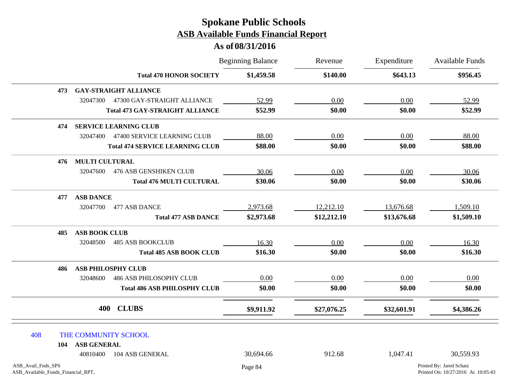|                                                          |                       |                                        | <b>Beginning Balance</b> | Revenue     | Expenditure<br>\$643.13 | Available Funds<br>\$956.45                                    |
|----------------------------------------------------------|-----------------------|----------------------------------------|--------------------------|-------------|-------------------------|----------------------------------------------------------------|
|                                                          |                       | <b>Total 470 HONOR SOCIETY</b>         | \$1,459.58               | \$140.00    |                         |                                                                |
| 473                                                      |                       | <b>GAY-STRAIGHT ALLIANCE</b>           |                          |             |                         |                                                                |
|                                                          | 32047300              | 47300 GAY-STRAIGHT ALLIANCE            | 52.99                    | 0.00        | 0.00                    | 52.99                                                          |
|                                                          |                       | <b>Total 473 GAY-STRAIGHT ALLIANCE</b> | \$52.99                  | \$0.00      | \$0.00                  | \$52.99                                                        |
| 474                                                      |                       | <b>SERVICE LEARNING CLUB</b>           |                          |             |                         |                                                                |
|                                                          | 32047400              | 47400 SERVICE LEARNING CLUB            | 88.00                    | 0.00        | 0.00                    | 88.00                                                          |
|                                                          |                       | <b>Total 474 SERVICE LEARNING CLUB</b> | \$88.00                  | \$0.00      | \$0.00                  | \$88.00                                                        |
| 476                                                      | <b>MULTI CULTURAL</b> |                                        |                          |             |                         |                                                                |
|                                                          | 32047600              | <b>476 ASB GENSHIKEN CLUB</b>          | 30.06                    | 0.00        | 0.00                    | 30.06                                                          |
|                                                          |                       | <b>Total 476 MULTI CULTURAL</b>        | \$30.06                  | \$0.00      | \$0.00                  | \$30.06                                                        |
| 477                                                      | <b>ASB DANCE</b>      |                                        |                          |             |                         |                                                                |
|                                                          | 32047700              | 477 ASB DANCE                          | 2,973.68                 | 12,212.10   | 13,676.68               | 1,509.10                                                       |
|                                                          |                       | <b>Total 477 ASB DANCE</b>             | \$2,973.68               | \$12,212.10 | \$13,676.68             | \$1,509.10                                                     |
| 485                                                      | <b>ASB BOOK CLUB</b>  |                                        |                          |             |                         |                                                                |
|                                                          | 32048500              | <b>485 ASB BOOKCLUB</b>                | 16.30                    | 0.00        | 0.00                    | 16.30                                                          |
|                                                          |                       | <b>Total 485 ASB BOOK CLUB</b>         | \$16.30                  | \$0.00      | \$0.00                  | \$16.30                                                        |
| 486                                                      |                       | <b>ASB PHILOSPHY CLUB</b>              |                          |             |                         |                                                                |
|                                                          | 32048600              | <b>486 ASB PHILOSOPHY CLUB</b>         | 0.00                     | 0.00        | 0.00                    | 0.00                                                           |
|                                                          |                       | <b>Total 486 ASB PHILOSPHY CLUB</b>    | \$0.00                   | \$0.00      | \$0.00                  | \$0.00                                                         |
|                                                          | 400                   | <b>CLUBS</b>                           | \$9,911.92               | \$27,076.25 | \$32,601.91             | \$4,386.26                                                     |
| 408                                                      |                       | THE COMMUNITY SCHOOL                   |                          |             |                         |                                                                |
| 104                                                      | <b>ASB GENERAL</b>    |                                        |                          |             |                         |                                                                |
|                                                          | 40810400              | 104 ASB GENERAL                        | 30,694.66                | 912.68      | 1,047.41                | 30,559.93                                                      |
| ASB_Avail_Fnds_SPS<br>ASB_Available_Funds_Financial_RPT, |                       |                                        | Page 84                  |             |                         | Printed By: Jared Schatz<br>Printed On: 10/27/2016 At 10:05:43 |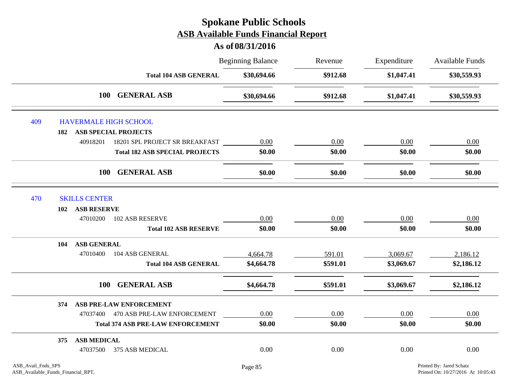# Beginning Balance Revenue Expenditure Available Funds **As of 08/31/2016 Spokane Public Schools ASB Available Funds Financial Report** Revenue **Total 104 ASB GENERAL \$30,694.66 \$912.68 \$1,047.41 \$30,559.93 100 GENERAL ASB \$30,694.66 \$912.68 \$1,047.41 \$30,559.93** 409 HAVERMALE HIGH SCHOOL **182 ASB SPECIAL PROJECTS** 40918201 18201 SPL PROJECT SR BREAKFAST 0.00 0.00 0.00 0.00 **Total 182 ASB SPECIAL PROJECTS \$0.00 \$0.00 \$0.00 \$0.00 100 GENERAL ASB \$0.00 \$0.00 \$0.00 \$0.00** 470 SKILLS CENTER **102 ASB RESERVE** 47010200 102 ASB RESERVE  $0.00$   $0.00$   $0.00$   $0.00$   $0.00$   $0.00$   $0.00$ **Total 102 ASB RESERVE \$0.00 \$0.00 \$0.00 \$0.00 104 ASB GENERAL** 47010400 104 ASB GENERAL 1 1 4,664.78 591.01 3,069.67 2,186.12 **Total 104 ASB GENERAL \$4,664.78 \$591.01 \$3,069.67 \$2,186.12 100 GENERAL ASB \$4,664.78 \$591.01 \$3,069.67 \$2,186.12 374 ASB PRE-LAW ENFORCEMENT** 47037400 470 ASB PRE-LAW ENFORCEMENT 0.00 0.00 0.00 0.00 **Total 374 ASB PRE-LAW ENFORCEMENT \$0.00 \$0.00 \$0.00 \$0.00 375 ASB MEDICAL** 47037500 375 ASB MEDICAL  $0.00$   $0.00$   $0.00$   $0.00$   $0.00$   $0.00$   $0.00$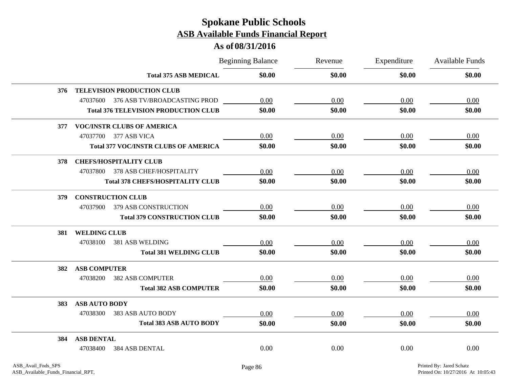|     |                                             | <b>Beginning Balance</b> | Revenue | Expenditure | <b>Available Funds</b> |
|-----|---------------------------------------------|--------------------------|---------|-------------|------------------------|
|     | <b>Total 375 ASB MEDICAL</b>                | \$0.00                   | \$0.00  | \$0.00      | \$0.00                 |
| 376 | TELEVISION PRODUCTION CLUB                  |                          |         |             |                        |
|     | 47037600<br>376 ASB TV/BROADCASTING PROD    | 0.00                     | 0.00    | 0.00        | 0.00                   |
|     | <b>Total 376 TELEVISION PRODUCTION CLUB</b> | \$0.00                   | \$0.00  | \$0.00      | \$0.00                 |
| 377 | <b>VOC/INSTR CLUBS OF AMERICA</b>           |                          |         |             |                        |
|     | 47037700 377 ASB VICA                       | 0.00                     | 0.00    | 0.00        | 0.00                   |
|     | <b>Total 377 VOC/INSTR CLUBS OF AMERICA</b> | \$0.00                   | \$0.00  | \$0.00      | \$0.00                 |
| 378 | <b>CHEFS/HOSPITALITY CLUB</b>               |                          |         |             |                        |
|     | 47037800 378 ASB CHEF/HOSPITALITY           | 0.00                     | 0.00    | 0.00        | 0.00                   |
|     | <b>Total 378 CHEFS/HOSPITALITY CLUB</b>     | \$0.00                   | \$0.00  | \$0.00      | \$0.00                 |
| 379 | <b>CONSTRUCTION CLUB</b>                    |                          |         |             |                        |
|     | 47037900<br>379 ASB CONSTRUCTION            | 0.00                     | 0.00    | 0.00        | 0.00                   |
|     | <b>Total 379 CONSTRUCTION CLUB</b>          | \$0.00                   | \$0.00  | \$0.00      | \$0.00                 |
| 381 | <b>WELDING CLUB</b>                         |                          |         |             |                        |
|     | 47038100<br>381 ASB WELDING                 | 0.00                     | 0.00    | 0.00        | 0.00                   |
|     | <b>Total 381 WELDING CLUB</b>               | \$0.00                   | \$0.00  | \$0.00      | \$0.00                 |
| 382 | <b>ASB COMPUTER</b>                         |                          |         |             |                        |
|     | 47038200<br><b>382 ASB COMPUTER</b>         | 0.00                     | 0.00    | 0.00        | 0.00                   |
|     | <b>Total 382 ASB COMPUTER</b>               | \$0.00                   | \$0.00  | \$0.00      | \$0.00                 |
| 383 | <b>ASB AUTO BODY</b>                        |                          |         |             |                        |
|     | 383 ASB AUTO BODY<br>47038300               | 0.00                     | 0.00    | 0.00        | 0.00                   |
|     | <b>Total 383 ASB AUTO BODY</b>              | \$0.00                   | \$0.00  | \$0.00      | \$0.00                 |
| 384 | <b>ASB DENTAL</b>                           |                          |         |             |                        |
|     | 47038400<br>384 ASB DENTAL                  | 0.00                     | 0.00    | 0.00        | 0.00                   |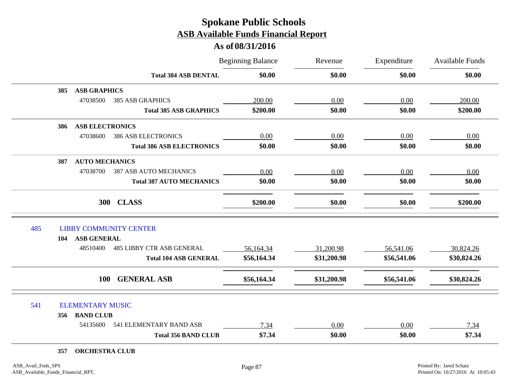|     |                                              | <b>Beginning Balance</b> | Revenue<br>\$0.00 | Expenditure<br>\$0.00 | Available Funds<br>\$0.00 |
|-----|----------------------------------------------|--------------------------|-------------------|-----------------------|---------------------------|
|     | <b>Total 384 ASB DENTAL</b>                  | \$0.00                   |                   |                       |                           |
| 385 | <b>ASB GRAPHICS</b>                          |                          |                   |                       |                           |
|     | 47038500<br><b>385 ASB GRAPHICS</b>          | 200.00                   | 0.00              | 0.00                  | 200.00                    |
|     | <b>Total 385 ASB GRAPHICS</b>                | \$200.00                 | \$0.00            | \$0.00                | \$200.00                  |
| 386 | <b>ASB ELECTRONICS</b>                       |                          |                   |                       |                           |
|     | 47038600<br><b>386 ASB ELECTRONICS</b>       | 0.00                     | 0.00              | 0.00                  | 0.00                      |
|     | <b>Total 386 ASB ELECTRONICS</b>             | \$0.00                   | \$0.00            | \$0.00                | \$0.00                    |
| 387 | <b>AUTO MECHANICS</b>                        |                          |                   |                       |                           |
|     | 47038700<br><b>387 ASB AUTO MECHANICS</b>    | 0.00                     | 0.00              | 0.00                  | 0.00                      |
|     | <b>Total 387 AUTO MECHANICS</b>              | \$0.00                   | \$0.00            | \$0.00                | \$0.00                    |
|     | 300 CLASS                                    | \$200.00                 | \$0.00            | \$0.00                | \$200.00                  |
| 485 | <b>LIBBY COMMUNITY CENTER</b>                |                          |                   |                       |                           |
| 104 | <b>ASB GENERAL</b>                           |                          |                   |                       |                           |
|     | <b>485 LIBBY CTR ASB GENERAL</b><br>48510400 | 56,164.34                | 31,200.98         | 56,541.06             | 30,824.26                 |
|     | <b>Total 104 ASB GENERAL</b>                 | \$56,164.34              | \$31,200.98       | \$56,541.06           | \$30,824.26               |
|     | <b>GENERAL ASB</b><br><b>100</b>             | \$56,164.34              | \$31,200.98       | \$56,541.06           | \$30,824.26               |
| 541 | <b>ELEMENTARY MUSIC</b>                      |                          |                   |                       |                           |
| 356 | <b>BAND CLUB</b>                             |                          |                   |                       |                           |
|     | 541 ELEMENTARY BAND ASB<br>54135600          | 7.34                     | 0.00              | 0.00                  | 7.34                      |
|     | <b>Total 356 BAND CLUB</b>                   | \$7.34                   | \$0.00            | \$0.00                | \$7.34                    |
| 357 | <b>ORCHESTRA CLUB</b>                        |                          |                   |                       |                           |